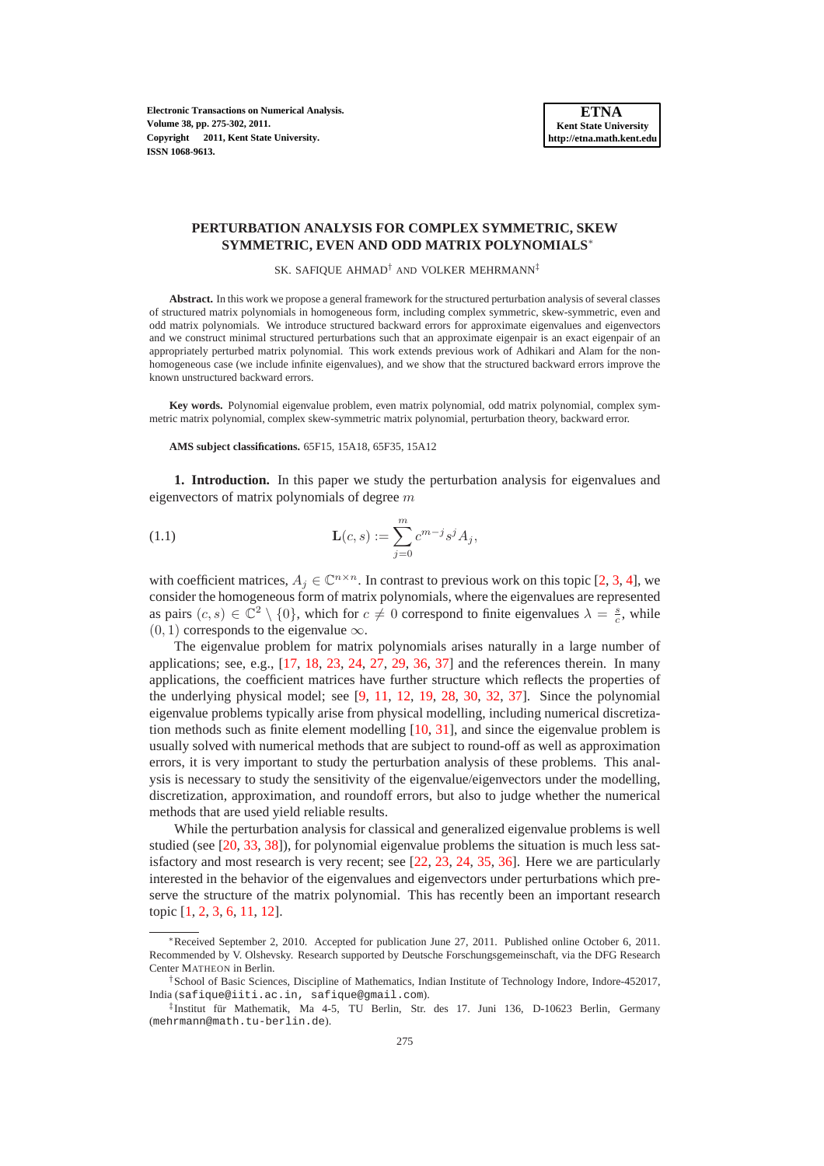**Electronic Transactions on Numerical Analysis. Volume 38, pp. 275-302, 2011. Copyright 2011, Kent State University. ISSN 1068-9613.**

### **PERTURBATION ANALYSIS FOR COMPLEX SYMMETRIC, SKEW SYMMETRIC, EVEN AND ODD MATRIX POLYNOMIALS**<sup>∗</sup>

SK. SAFIQUE AHMAD† AND VOLKER MEHRMANN‡

**Abstract.** In this work we propose a general framework for the structured perturbation analysis of several classes of structured matrix polynomials in homogeneous form, including complex symmetric, skew-symmetric, even and odd matrix polynomials. We introduce structured backward errors for approximate eigenvalues and eigenvectors and we construct minimal structured perturbations such that an approximate eigenpair is an exact eigenpair of an appropriately perturbed matrix polynomial. This work extends previous work of Adhikari and Alam for the nonhomogeneous case (we include infinite eigenvalues), and we show that the structured backward errors improve the known unstructured backward errors.

**Key words.** Polynomial eigenvalue problem, even matrix polynomial, odd matrix polynomial, complex symmetric matrix polynomial, complex skew-symmetric matrix polynomial, perturbation theory, backward error.

### <span id="page-0-0"></span>**AMS subject classifications.** 65F15, 15A18, 65F35, 15A12

**1. Introduction.** In this paper we study the perturbation analysis for eigenvalues and eigenvectors of matrix polynomials of degree  $m$ 

(1.1) 
$$
\mathbf{L}(c,s) := \sum_{j=0}^{m} c^{m-j} s^j A_j,
$$

with coefficient matrices,  $A_j \in \mathbb{C}^{n \times n}$ . In contrast to previous work on this topic [\[2,](#page-26-0) [3,](#page-26-1) [4\]](#page-26-2), we consider the homogeneous form of matrix polynomials, where the eigenvalues are represented as pairs  $(c, s) \in \mathbb{C}^2 \setminus \{0\}$ , which for  $c \neq 0$  correspond to finite eigenvalues  $\lambda = \frac{s}{c}$ , while  $(0, 1)$  corresponds to the eigenvalue  $\infty$ .

The eigenvalue problem for matrix polynomials arises naturally in a large number of applications; see, e.g.,  $[17, 18, 23, 24, 27, 29, 36, 37]$  $[17, 18, 23, 24, 27, 29, 36, 37]$  $[17, 18, 23, 24, 27, 29, 36, 37]$  $[17, 18, 23, 24, 27, 29, 36, 37]$  $[17, 18, 23, 24, 27, 29, 36, 37]$  $[17, 18, 23, 24, 27, 29, 36, 37]$  $[17, 18, 23, 24, 27, 29, 36, 37]$  $[17, 18, 23, 24, 27, 29, 36, 37]$  $[17, 18, 23, 24, 27, 29, 36, 37]$  $[17, 18, 23, 24, 27, 29, 36, 37]$  $[17, 18, 23, 24, 27, 29, 36, 37]$  $[17, 18, 23, 24, 27, 29, 36, 37]$  $[17, 18, 23, 24, 27, 29, 36, 37]$  $[17, 18, 23, 24, 27, 29, 36, 37]$  $[17, 18, 23, 24, 27, 29, 36, 37]$  and the references therein. In many applications, the coefficient matrices have further structure which reflects the properties of the underlying physical model; see [\[9,](#page-26-3) [11,](#page-26-4) [12,](#page-26-5) [19,](#page-27-8) [28,](#page-27-9) [30,](#page-27-10) [32,](#page-27-11) [37\]](#page-27-7). Since the polynomial eigenvalue problems typically arise from physical modelling, including numerical discretization methods such as finite element modelling [\[10,](#page-26-6) [31\]](#page-27-12), and since the eigenvalue problem is usually solved with numerical methods that are subject to round-off as well as approximation errors, it is very important to study the perturbation analysis of these problems. This analysis is necessary to study the sensitivity of the eigenvalue/eigenvectors under the modelling, discretization, approximation, and roundoff errors, but also to judge whether the numerical methods that are used yield reliable results.

While the perturbation analysis for classical and generalized eigenvalue problems is well studied (see [\[20,](#page-27-13) [33,](#page-27-14) [38\]](#page-27-15)), for polynomial eigenvalue problems the situation is much less satisfactory and most research is very recent; see [\[22,](#page-27-16) [23,](#page-27-2) [24,](#page-27-3) [35,](#page-27-17) [36\]](#page-27-6). Here we are particularly interested in the behavior of the eigenvalues and eigenvectors under perturbations which preserve the structure of the matrix polynomial. This has recently been an important research topic [\[1,](#page-26-7) [2,](#page-26-0) [3,](#page-26-1) [6,](#page-26-8) [11,](#page-26-4) [12\]](#page-26-5).

<sup>∗</sup>Received September 2, 2010. Accepted for publication June 27, 2011. Published online October 6, 2011. Recommended by V. Olshevsky. Research supported by Deutsche Forschungsgemeinschaft, via the DFG Research Center MATHEON in Berlin.

<sup>†</sup>School of Basic Sciences, Discipline of Mathematics, Indian Institute of Technology Indore, Indore-452017, India (safique@iiti.ac.in, safique@gmail.com).

<sup>‡</sup>Institut für Mathematik, Ma 4-5, TU Berlin, Str. des 17. Juni 136, D-10623 Berlin, Germany (mehrmann@math.tu-berlin.de).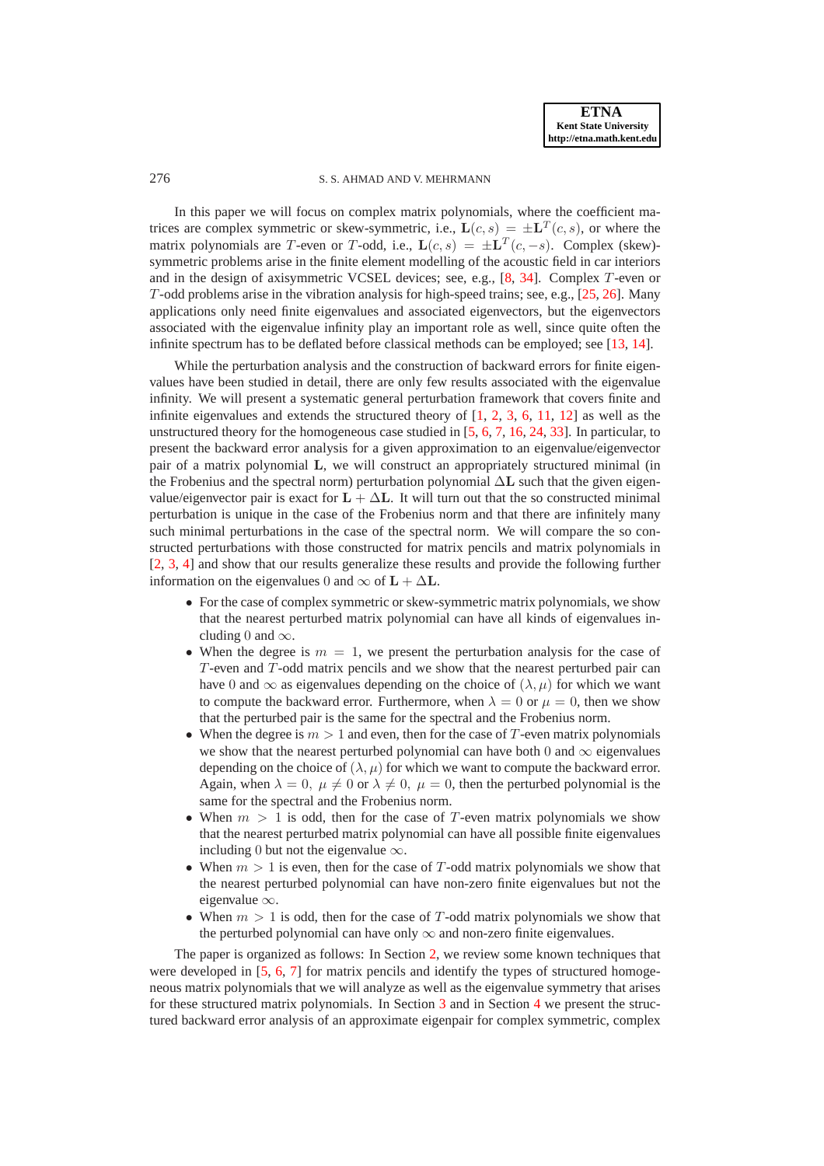# 276 S. S. AHMAD AND V. MEHRMANN

In this paper we will focus on complex matrix polynomials, where the coefficient matrices are complex symmetric or skew-symmetric, i.e.,  $\mathbf{L}(c, s) = \pm \mathbf{L}^T(c, s)$ , or where the matrix polynomials are T-even or T-odd, i.e.,  $\mathbf{L}(c, s) = \pm \mathbf{L}^T(c, -s)$ . Complex (skew)symmetric problems arise in the finite element modelling of the acoustic field in car interiors and in the design of axisymmetric VCSEL devices; see, e.g., [\[8,](#page-26-9) [34\]](#page-27-18). Complex T-even or T-odd problems arise in the vibration analysis for high-speed trains; see, e.g., [\[25,](#page-27-19) [26\]](#page-27-20). Many applications only need finite eigenvalues and associated eigenvectors, but the eigenvectors associated with the eigenvalue infinity play an important role as well, since quite often the infinite spectrum has to be deflated before classical methods can be employed; see [\[13,](#page-26-10) [14\]](#page-26-11).

While the perturbation analysis and the construction of backward errors for finite eigenvalues have been studied in detail, there are only few results associated with the eigenvalue infinity. We will present a systematic general perturbation framework that covers finite and infinite eigenvalues and extends the structured theory of  $[1, 2, 3, 6, 11, 12]$  $[1, 2, 3, 6, 11, 12]$  $[1, 2, 3, 6, 11, 12]$  $[1, 2, 3, 6, 11, 12]$  $[1, 2, 3, 6, 11, 12]$  $[1, 2, 3, 6, 11, 12]$  $[1, 2, 3, 6, 11, 12]$  $[1, 2, 3, 6, 11, 12]$  $[1, 2, 3, 6, 11, 12]$  $[1, 2, 3, 6, 11, 12]$  as well as the unstructured theory for the homogeneous case studied in [\[5,](#page-26-12) [6,](#page-26-8) [7,](#page-26-13) [16,](#page-27-21) [24,](#page-27-3) [33\]](#page-27-14). In particular, to present the backward error analysis for a given approximation to an eigenvalue/eigenvector pair of a matrix polynomial L, we will construct an appropriately structured minimal (in the Frobenius and the spectral norm) perturbation polynomial  $\Delta L$  such that the given eigenvalue/eigenvector pair is exact for  $L + \Delta L$ . It will turn out that the so constructed minimal perturbation is unique in the case of the Frobenius norm and that there are infinitely many such minimal perturbations in the case of the spectral norm. We will compare the so constructed perturbations with those constructed for matrix pencils and matrix polynomials in [\[2,](#page-26-0) [3,](#page-26-1) [4\]](#page-26-2) and show that our results generalize these results and provide the following further information on the eigenvalues 0 and  $\infty$  of  $L + \Delta L$ .

- For the case of complex symmetric or skew-symmetric matrix polynomials, we show that the nearest perturbed matrix polynomial can have all kinds of eigenvalues including 0 and  $\infty$ .
- When the degree is  $m = 1$ , we present the perturbation analysis for the case of T-even and T-odd matrix pencils and we show that the nearest perturbed pair can have 0 and  $\infty$  as eigenvalues depending on the choice of  $(\lambda, \mu)$  for which we want to compute the backward error. Furthermore, when  $\lambda = 0$  or  $\mu = 0$ , then we show that the perturbed pair is the same for the spectral and the Frobenius norm.
- When the degree is  $m > 1$  and even, then for the case of T-even matrix polynomials we show that the nearest perturbed polynomial can have both 0 and  $\infty$  eigenvalues depending on the choice of  $(\lambda, \mu)$  for which we want to compute the backward error. Again, when  $\lambda = 0$ ,  $\mu \neq 0$  or  $\lambda \neq 0$ ,  $\mu = 0$ , then the perturbed polynomial is the same for the spectral and the Frobenius norm.
- When  $m > 1$  is odd, then for the case of T-even matrix polynomials we show that the nearest perturbed matrix polynomial can have all possible finite eigenvalues including 0 but not the eigenvalue  $\infty$ .
- When  $m > 1$  is even, then for the case of T-odd matrix polynomials we show that the nearest perturbed polynomial can have non-zero finite eigenvalues but not the eigenvalue ∞.
- When  $m > 1$  is odd, then for the case of T-odd matrix polynomials we show that the perturbed polynomial can have only  $\infty$  and non-zero finite eigenvalues.

The paper is organized as follows: In Section [2,](#page-2-0) we review some known techniques that were developed in [\[5,](#page-26-12) [6,](#page-26-8) [7\]](#page-26-13) for matrix pencils and identify the types of structured homogeneous matrix polynomials that we will analyze as well as the eigenvalue symmetry that arises for these structured matrix polynomials. In Section [3](#page-6-0) and in Section [4](#page-13-0) we present the structured backward error analysis of an approximate eigenpair for complex symmetric, complex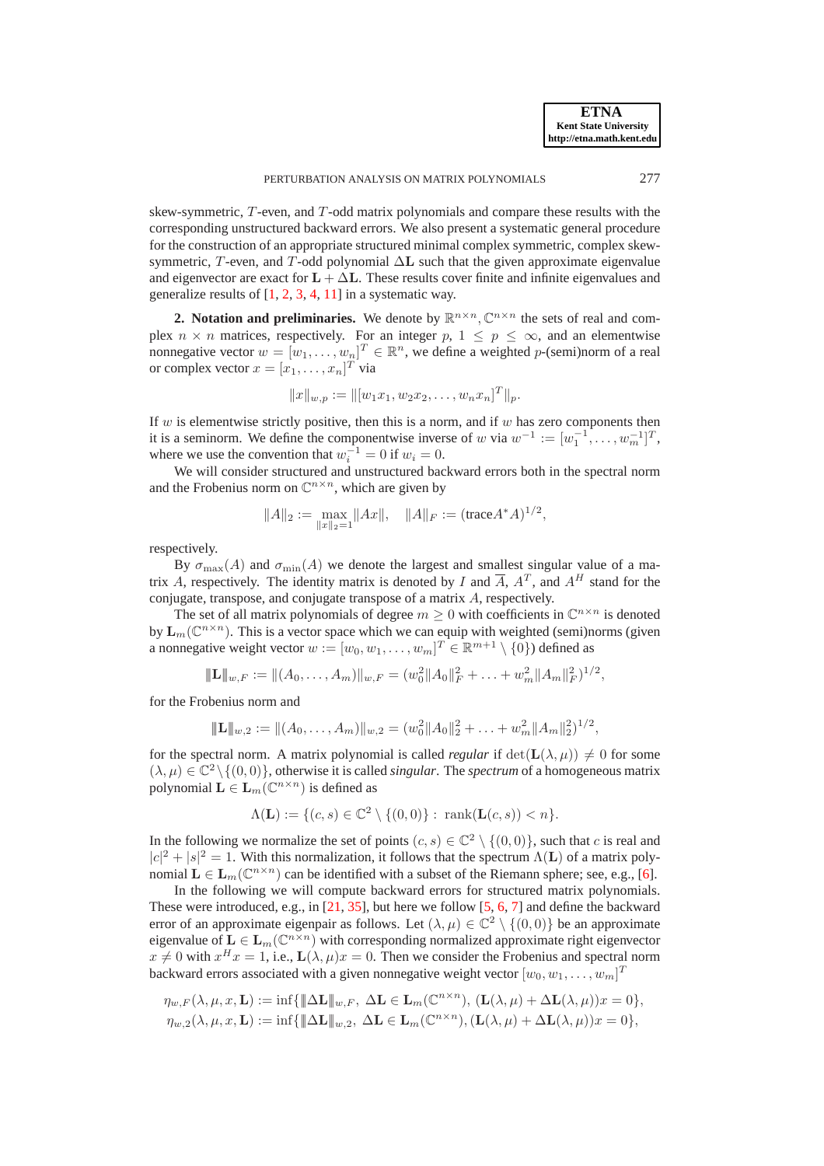skew-symmetric, T-even, and T-odd matrix polynomials and compare these results with the corresponding unstructured backward errors. We also present a systematic general procedure for the construction of an appropriate structured minimal complex symmetric, complex skewsymmetric, T-even, and T-odd polynomial  $\Delta L$  such that the given approximate eigenvalue and eigenvector are exact for  $L + \Delta L$ . These results cover finite and infinite eigenvalues and generalize results of [\[1,](#page-26-7) [2,](#page-26-0) [3,](#page-26-1) [4,](#page-26-2) [11\]](#page-26-4) in a systematic way.

<span id="page-2-0"></span>**2. Notation and preliminaries.** We denote by  $\mathbb{R}^{n \times n}$ ,  $\mathbb{C}^{n \times n}$  the sets of real and complex  $n \times n$  matrices, respectively. For an integer  $p, 1 \leq p \leq \infty$ , and an elementwise nonnegative vector  $w = [w_1, \dots, w_n]^T \in \mathbb{R}^n$ , we define a weighted p-(semi)norm of a real or complex vector  $x = [x_1, \ldots, x_n]^T$  via

$$
||x||_{w,p} := ||[w_1x_1, w_2x_2, \dots, w_nx_n]^T||_p.
$$

If w is elementwise strictly positive, then this is a norm, and if w has zero components then it is a seminorm. We define the componentwise inverse of w via  $w^{-1} := [w_1^{-1}, \dots, w_m^{-1}]^T$ , where we use the convention that  $w_i^{-1} = 0$  if  $w_i = 0$ .

We will consider structured and unstructured backward errors both in the spectral norm and the Frobenius norm on  $\mathbb{C}^{n \times n}$ , which are given by

$$
||A||_2 := \max_{||x||_2=1} ||Ax||, \quad ||A||_F := (\text{trace} A^* A)^{1/2},
$$

respectively.

By  $\sigma_{\text{max}}(A)$  and  $\sigma_{\text{min}}(A)$  we denote the largest and smallest singular value of a matrix A, respectively. The identity matrix is denoted by I and  $\overline{A}$ ,  $A<sup>T</sup>$ , and  $A<sup>H</sup>$  stand for the conjugate, transpose, and conjugate transpose of a matrix A, respectively.

The set of all matrix polynomials of degree  $m \geq 0$  with coefficients in  $\mathbb{C}^{n \times n}$  is denoted by  $\mathbf{L}_m(\mathbb{C}^{n \times n})$ . This is a vector space which we can equip with weighted (semi)norms (given a nonnegative weight vector  $w := [w_0, w_1, \dots, w_m]^T \in \mathbb{R}^{m+1} \setminus \{0\}$  defined as

$$
\|\mathbf{L}\|_{w,F} := \|(A_0,\ldots,A_m)\|_{w,F} = (w_0^2\|A_0\|_F^2 + \ldots + w_m^2\|A_m\|_F^2)^{1/2},
$$

for the Frobenius norm and

$$
\|\mathbf{L}\|_{w,2} := \|(A_0,\ldots,A_m)\|_{w,2} = (w_0^2 \|A_0\|_2^2 + \ldots + w_m^2 \|A_m\|_2^2)^{1/2},
$$

for the spectral norm. A matrix polynomial is called *regular* if  $det(L(\lambda, \mu)) \neq 0$  for some  $(\lambda, \mu) \in \mathbb{C}^2 \setminus \{(0, 0)\},$  otherwise it is called *singular*. The *spectrum* of a homogeneous matrix polynomial  $\mathbf{L} \in \mathbf{L}_m(\mathbb{C}^{n \times n})$  is defined as

$$
\Lambda(\mathbf{L}) := \{ (c, s) \in \mathbb{C}^2 \setminus \{ (0, 0) \} : \ \text{rank}(\mathbf{L}(c, s)) < n \}.
$$

In the following we normalize the set of points  $(c, s) \in \mathbb{C}^2 \setminus \{(0, 0)\}\)$ , such that c is real and  $|c|^2 + |s|^2 = 1$ . With this normalization, it follows that the spectrum  $\Lambda(L)$  of a matrix polynomial  $\mathbf{L} \in \mathbf{L}_m(\mathbb{C}^{n \times n})$  can be identified with a subset of the Riemann sphere; see, e.g., [\[6\]](#page-26-8).

In the following we will compute backward errors for structured matrix polynomials. These were introduced, e.g., in [\[21,](#page-27-22) [35\]](#page-27-17), but here we follow [\[5,](#page-26-12) [6,](#page-26-8) [7\]](#page-26-13) and define the backward error of an approximate eigenpair as follows. Let  $(\lambda, \mu) \in \mathbb{C}^2 \setminus \{(0, 0)\}\$ be an approximate eigenvalue of  $L \in L_m(\mathbb{C}^{n \times n})$  with corresponding normalized approximate right eigenvector  $x \neq 0$  with  $x^H x = 1$ , i.e.,  $\mathbf{L}(\lambda, \mu)x = 0$ . Then we consider the Frobenius and spectral norm backward errors associated with a given nonnegative weight vector  $[w_0, w_1, \ldots, w_m]^T$ 

$$
\eta_{w,F}(\lambda,\mu,x,\mathbf{L}) := \inf \{ \|\Delta \mathbf{L}\|_{w,F}, \ \Delta \mathbf{L} \in \mathbf{L}_m(\mathbb{C}^{n \times n}), (\mathbf{L}(\lambda,\mu) + \Delta \mathbf{L}(\lambda,\mu))x = 0 \},
$$
  

$$
\eta_{w,2}(\lambda,\mu,x,\mathbf{L}) := \inf \{ \|\Delta \mathbf{L}\|_{w,2}, \ \Delta \mathbf{L} \in \mathbf{L}_m(\mathbb{C}^{n \times n}), (\mathbf{L}(\lambda,\mu) + \Delta \mathbf{L}(\lambda,\mu))x = 0 \},
$$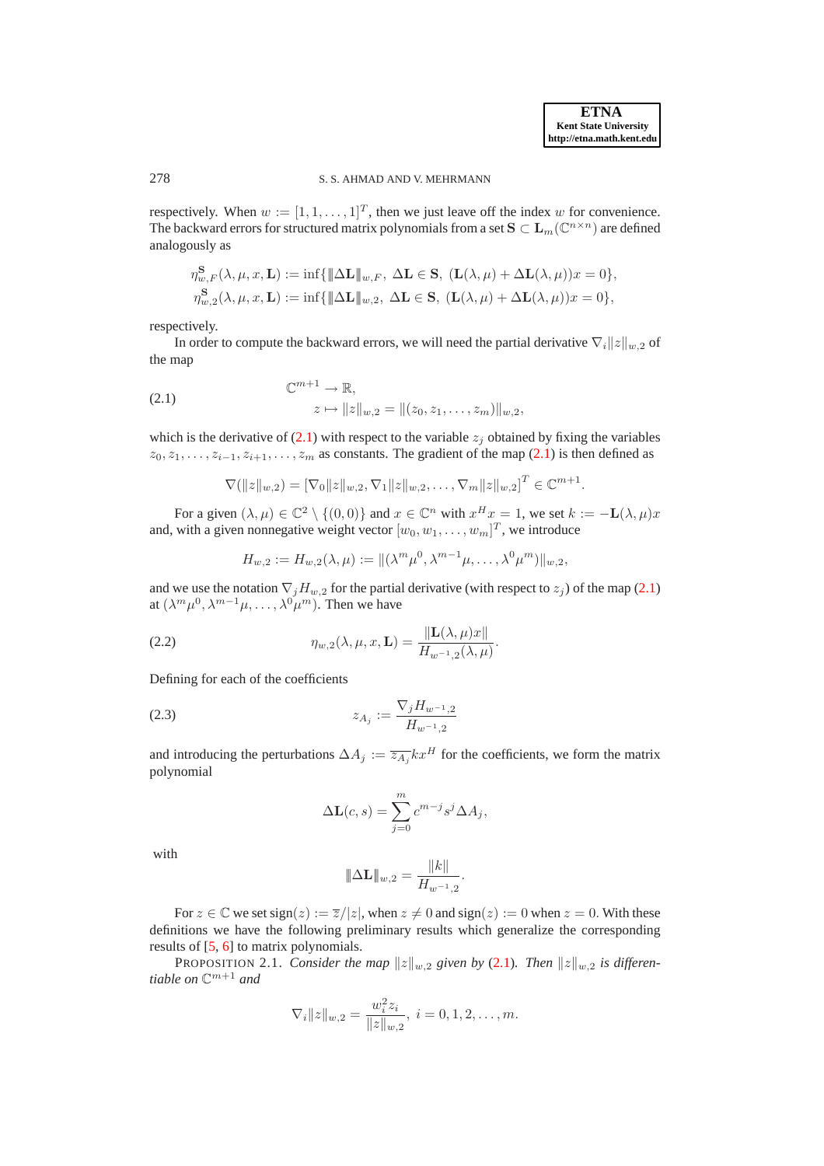### 278 S. S. AHMAD AND V. MEHRMANN

respectively. When  $w := [1, 1, ..., 1]^T$ , then we just leave off the index w for convenience. The backward errors for structured matrix polynomials from a set  $\mathbf{S}\subset \mathbf{L}_m(\mathbb{C}^{n\times n})$  are defined analogously as

$$
\begin{aligned}\n\eta_{w,F}^{\mathbf{S}}(\lambda,\mu,x,\mathbf{L}) &:= \inf \{ \|\Delta \mathbf{L}\|_{w,F}, \ \Delta \mathbf{L} \in \mathbf{S}, \ (\mathbf{L}(\lambda,\mu) + \Delta \mathbf{L}(\lambda,\mu))x = 0 \}, \\
\eta_{w,2}^{\mathbf{S}}(\lambda,\mu,x,\mathbf{L}) &:= \inf \{ \|\Delta \mathbf{L}\|_{w,2}, \ \Delta \mathbf{L} \in \mathbf{S}, \ (\mathbf{L}(\lambda,\mu) + \Delta \mathbf{L}(\lambda,\mu))x = 0 \},\n\end{aligned}
$$

respectively.

<span id="page-3-0"></span>In order to compute the backward errors, we will need the partial derivative  $\nabla_i ||z||_{w,2}$  of the map

(2.1) 
$$
\mathbb{C}^{m+1} \to \mathbb{R},
$$

$$
z \mapsto ||z||_{w,2} = ||(z_0, z_1, \dots, z_m)||_{w,2},
$$

which is the derivative of  $(2.1)$  with respect to the variable  $z_i$  obtained by fixing the variables  $z_0, z_1, \ldots, z_{i-1}, z_{i+1}, \ldots, z_m$  as constants. The gradient of the map [\(2.1\)](#page-3-0) is then defined as

$$
\nabla(||z||_{w,2}) = [\nabla_0 ||z||_{w,2}, \nabla_1 ||z||_{w,2}, \dots, \nabla_m ||z||_{w,2}]^T \in \mathbb{C}^{m+1}.
$$

For a given  $(\lambda, \mu) \in \mathbb{C}^2 \setminus \{(0, 0)\}\$  and  $x \in \mathbb{C}^n$  with  $x^H x = 1$ , we set  $k := -L(\lambda, \mu)x$ and, with a given nonnegative weight vector  $[w_0, w_1, \ldots, w_m]^T$ , we introduce

<span id="page-3-3"></span>
$$
H_{w,2} := H_{w,2}(\lambda,\mu) := \|(\lambda^m \mu^0, \lambda^{m-1} \mu, \dots, \lambda^0 \mu^m)\|_{w,2},
$$

and we use the notation  $\nabla_j H_{w,2}$  for the partial derivative (with respect to  $z_j$ ) of the map [\(2.1\)](#page-3-0) at  $(\lambda^m \mu^0, \lambda^{m-1} \mu, \dots, \lambda^0 \mu^m)$ . Then we have

(2.2) 
$$
\eta_{w,2}(\lambda,\mu,x,\mathbf{L}) = \frac{\|\mathbf{L}(\lambda,\mu)x\|}{H_{w^{-1},2}(\lambda,\mu)}.
$$

Defining for each of the coefficients

$$
(2.3) \t\t\t z_{A_j} := \frac{\nabla_j H_{w^{-1},2}}{H_{w^{-1},2}}
$$

and introducing the perturbations  $\Delta A_j := \overline{z_{A_i}} k x^H$  for the coefficients, we form the matrix polynomial

<span id="page-3-2"></span>
$$
\Delta \mathbf{L}(c, s) = \sum_{j=0}^{m} c^{m-j} s^j \Delta A_j,
$$

with

<span id="page-3-1"></span>
$$
\|\Delta \mathbf{L}\|_{w,2} = \frac{\|k\|}{H_{w^{-1},2}}.
$$

For  $z \in \mathbb{C}$  we set sign(z) :=  $\overline{z}/|z|$ , when  $z \neq 0$  and sign(z) := 0 when  $z = 0$ . With these definitions we have the following preliminary results which generalize the corresponding results of [\[5,](#page-26-12) [6\]](#page-26-8) to matrix polynomials.

**PROPOSITION 2.1.** *Consider the map*  $||z||_{w,2}$  *given by* [\(2.1\)](#page-3-0)*. Then*  $||z||_{w,2}$  *is differentiable on* C <sup>m</sup>+1 *and*

$$
\nabla_i ||z||_{w,2} = \frac{w_i^2 z_i}{||z||_{w,2}}, \ i = 0, 1, 2, \dots, m.
$$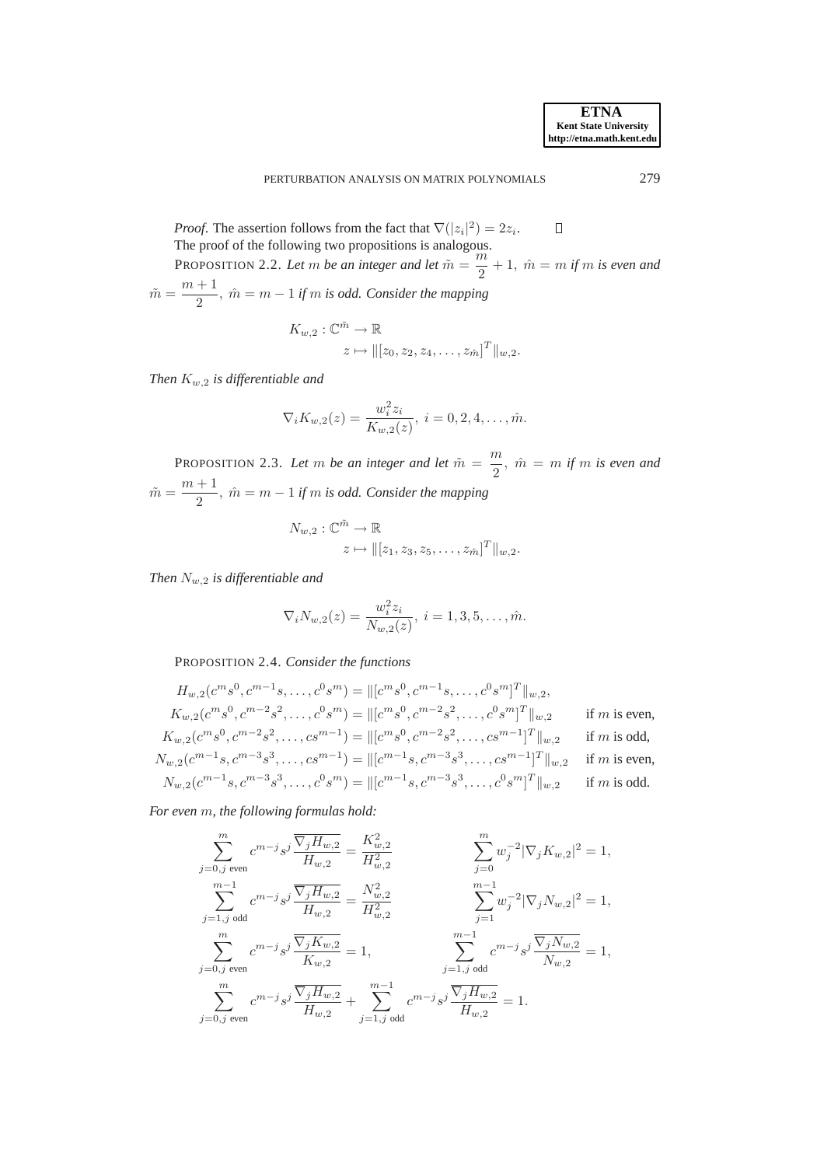$\Box$ *Proof.* The assertion follows from the fact that  $\nabla(|z_i|^2) = 2z_i$ . | The proof of the following two propositions is analogous.

PROPOSITION 2.2. Let m be an integer and let  $\tilde{m} = \frac{m}{2}$  $\frac{n}{2}+1$ ,  $\hat{m}=m$  *if* m *is even and*  $\tilde{m} = \frac{m+1}{2}$  $\frac{1}{2}$ ,  $\hat{m} = m - 1$  *if* m *is odd.* Consider the mapping

$$
K_{w,2}: \mathbb{C}^{\tilde{m}} \to \mathbb{R}
$$
  

$$
z \mapsto ||[z_0, z_2, z_4, \dots, z_{\hat{m}}]^T||_{w,2}.
$$

*Then* Kw,<sup>2</sup> *is differentiable and*

$$
\nabla_i K_{w,2}(z) = \frac{w_i^2 z_i}{K_{w,2}(z)}, \ i = 0, 2, 4, \dots, \hat{m}.
$$

<span id="page-4-0"></span>PROPOSITION 2.3. Let m be an integer and let  $\tilde{m} = \frac{m}{2}$  $\frac{\pi}{2}$ ,  $\hat{m} = m$  *if* m *is even and*  $\tilde{m} = \frac{m+1}{2}$  $\frac{1}{2}$ ,  $\hat{m} = m - 1$  *if* m *is odd.* Consider the mapping

$$
N_{w,2}: \mathbb{C}^{\tilde{m}} \to \mathbb{R}
$$
  

$$
z \mapsto ||[z_1, z_3, z_5, \dots, z_{\hat{m}}]^T||_{w,2}.
$$

*Then* Nw,<sup>2</sup> *is differentiable and*

$$
\nabla_i N_{w,2}(z) = \frac{w_i^2 z_i}{N_{w,2}(z)}, \ i = 1, 3, 5, \dots, \hat{m}.
$$

<span id="page-4-1"></span>PROPOSITION 2.4. *Consider the functions*

$$
H_{w,2}(c^m s^0, c^{m-1} s, \dots, c^0 s^m) = ||[c^m s^0, c^{m-1} s, \dots, c^0 s^m]^T||_{w,2},
$$
  
\n
$$
K_{w,2}(c^m s^0, c^{m-2} s^2, \dots, c^0 s^m) = ||[c^m s^0, c^{m-2} s^2, \dots, c^0 s^m]^T||_{w,2}
$$
 if *m* is even,  
\n
$$
K_{w,2}(c^m s^0, c^{m-2} s^2, \dots, c s^{m-1}) = ||[c^m s^0, c^{m-2} s^2, \dots, c s^{m-1}]^T||_{w,2}
$$
 if *m* is odd,  
\n
$$
N_{w,2}(c^{m-1} s, c^{m-3} s^3, \dots, c s^{m-1}) = ||[c^{m-1} s, c^{m-3} s^3, \dots, c s^{m-1}]^T||_{w,2}
$$
 if *m* is even,  
\n
$$
N_{w,2}(c^{m-1} s, c^{m-3} s^3, \dots, c^0 s^m) = ||[c^{m-1} s, c^{m-3} s^3, \dots, c^0 s^m]^T||_{w,2}
$$
 if *m* is odd.

*For even* m*, the following formulas hold:*

$$
\sum_{j=0,j \text{ even}}^{m} c^{m-j} s^j \frac{\overline{\nabla_j H_{w,2}}}{H_{w,2}} = \frac{K_{w,2}^2}{H_{w,2}^2} \n\qquad\n\sum_{j=0}^{m} w_j^{-2} |\nabla_j K_{w,2}|^2 = 1,
$$
\n
$$
\sum_{j=1,j \text{ odd}}^{m-1} c^{m-j} s^j \frac{\overline{\nabla_j H_{w,2}}}{H_{w,2}} = \frac{N_{w,2}^2}{H_{w,2}^2} \n\qquad\n\sum_{j=1}^{m-1} w_j^{-2} |\nabla_j N_{w,2}|^2 = 1,
$$
\n
$$
\sum_{j=0,j \text{ even}}^{m} c^{m-j} s^j \frac{\overline{\nabla_j K_{w,2}}}{K_{w,2}} = 1,
$$
\n
$$
\sum_{j=1,j \text{ odd}}^{m-1} c^{m-j} s^j \frac{\overline{\nabla_j K_{w,2}}}{N_{w,2}} = 1,
$$
\n
$$
\sum_{j=1,j \text{ odd}}^{m-1} c^{m-j} s^j \frac{\overline{\nabla_j N_{w,2}}}{N_{w,2}} = 1,
$$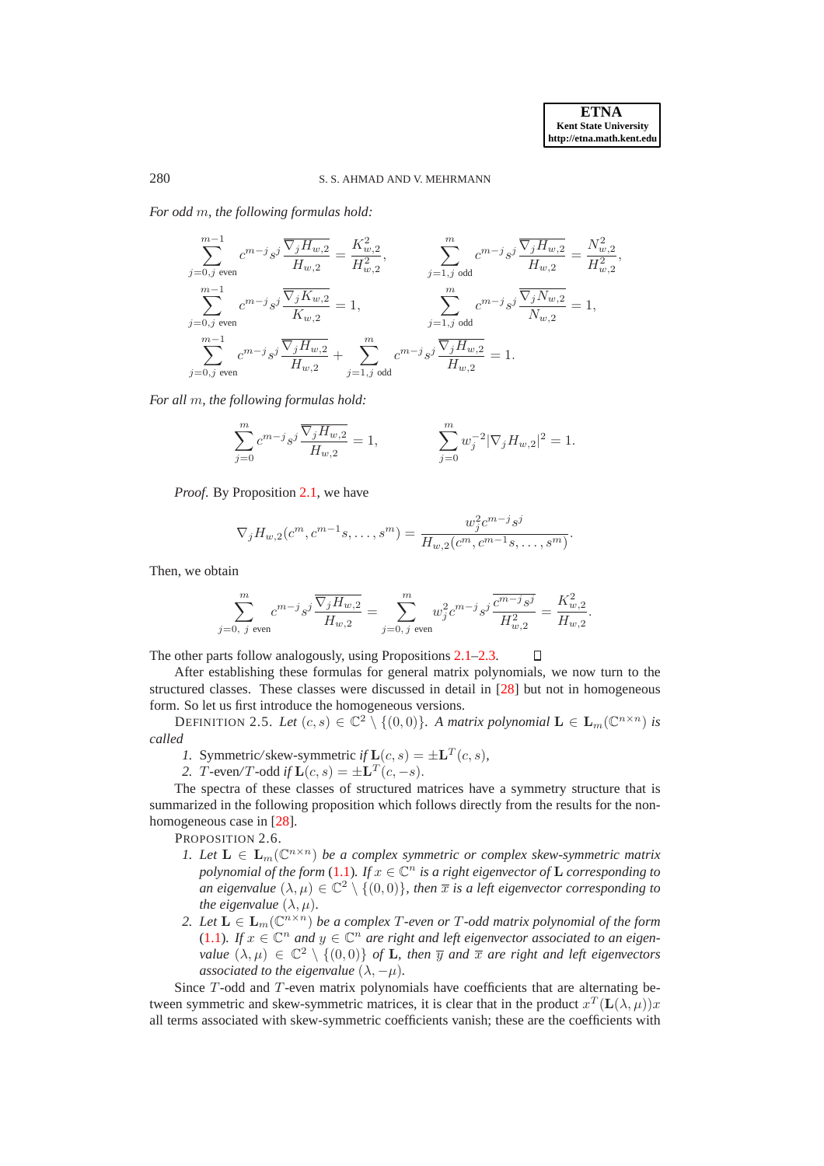.

П

# 280 S. S. AHMAD AND V. MEHRMANN

*For odd* m*, the following formulas hold:*

$$
\sum_{j=0,j \text{ even}}^{m-1} c^{m-j} s^j \frac{\overline{\nabla_j H_{w,2}}}{H_{w,2}} = \frac{K_{w,2}^2}{H_{w,2}^2}, \qquad \sum_{j=1,j \text{ odd}}^{m} c^{m-j} s^j \frac{\overline{\nabla_j H_{w,2}}}{H_{w,2}} = \frac{N_{w,2}^2}{H_{2,2}^2},
$$
\n
$$
\sum_{j=0,j \text{ even}}^{m-1} c^{m-j} s^j \frac{\overline{\nabla_j K_{w,2}}}{K_{w,2}} = 1, \qquad \sum_{j=1,j \text{ odd}}^{m} c^{m-j} s^j \frac{\overline{\nabla_j N_{w,2}}}{N_{w,2}} = 1,
$$
\n
$$
\sum_{j=0,j \text{ even}}^{m} c^{m-j} s^j \frac{\overline{\nabla_j H_{w,2}}}{H_{w,2}} + \sum_{j=1,j \text{ odd}}^{m} c^{m-j} s^j \frac{\overline{\nabla_j H_{w,2}}}{H_{w,2}} = 1.
$$

*For all* m*, the following formulas hold:*

$$
\sum_{j=0}^{m} c^{m-j} s^j \frac{\overline{\nabla_j H_{w,2}}}{H_{w,2}} = 1, \qquad \sum_{j=0}^{m} w_j^{-2} |\nabla_j H_{w,2}|^2 = 1.
$$

*Proof*. By Proposition [2.1,](#page-3-1) we have

$$
\nabla_j H_{w,2}(c^m, c^{m-1}s, \dots, s^m) = \frac{w_j^2 c^{m-j} s^j}{H_{w,2}(c^m, c^{m-1}s, \dots, s^m)}.
$$

Then, we obtain

$$
\sum_{j=0, j \text{ even}}^{m} c^{m-j} s^j \frac{\overline{\nabla_j H_{w,2}}}{H_{w,2}} = \sum_{j=0, j \text{ even}}^{m} w_j^2 c^{m-j} s^j \frac{\overline{c^{m-j} s^j}}{H_{w,2}^2} = \frac{K_{w,2}^2}{H_{w,2}}
$$

The other parts follow analogously, using Propositions [2.1](#page-3-1)[–2.3.](#page-4-0)

After establishing these formulas for general matrix polynomials, we now turn to the structured classes. These classes were discussed in detail in [\[28\]](#page-27-9) but not in homogeneous form. So let us first introduce the homogeneous versions.

DEFINITION 2.5. Let  $(c, s) \in \mathbb{C}^2 \setminus \{(0, 0)\}\$ . A matrix polynomial  $\mathbf{L} \in \mathbf{L}_m(\mathbb{C}^{n \times n})$  is *called*

- *1.* Symmetric/skew-symmetric  $i fL(c, s) = \pm L^T(c, s)$ ,
- 2. *T*-even/*T*-odd *if*  $L(c, s) = \pm L^T(c, -s)$ .

The spectra of these classes of structured matrices have a symmetry structure that is summarized in the following proposition which follows directly from the results for the nonhomogeneous case in [\[28\]](#page-27-9).

PROPOSITION 2.6.

- *1. Let*  $\mathbf{L} \in \mathbf{L}_m(\mathbb{C}^{n \times n})$  *be a complex symmetric or complex skew-symmetric matrix polynomial of the form* [\(1.1\)](#page-0-0). If  $x \in \mathbb{C}^n$  *is a right eigenvector of* **L** *corresponding to an eigenvalue*  $(\lambda, \mu) \in \mathbb{C}^2 \setminus \{(0, 0)\}\$ , then  $\overline{x}$  *is a left eigenvector corresponding to the eigenvalue*  $(\lambda, \mu)$ *.*
- 2. Let  $\mathbf{L} \in \mathbf{L}_m(\mathbb{C}^{n \times n})$  *be a complex*  $T$ -even or  $T$ -odd matrix polynomial of the form [\(1.1\)](#page-0-0)*.* If  $x \in \mathbb{C}^n$  and  $y \in \mathbb{C}^n$  are right and left eigenvector associated to an eigen*value*  $(\lambda, \mu) \in \mathbb{C}^2 \setminus \{(0, 0)\}$  *of* **L**, then  $\overline{y}$  *and*  $\overline{x}$  *are right and left eigenvectors associated to the eigenvalue*  $(\lambda, -\mu)$ *.*

Since T-odd and T-even matrix polynomials have coefficients that are alternating between symmetric and skew-symmetric matrices, it is clear that in the product  $x^T(\mathbf{L}(\lambda,\mu))x$ all terms associated with skew-symmetric coefficients vanish; these are the coefficients with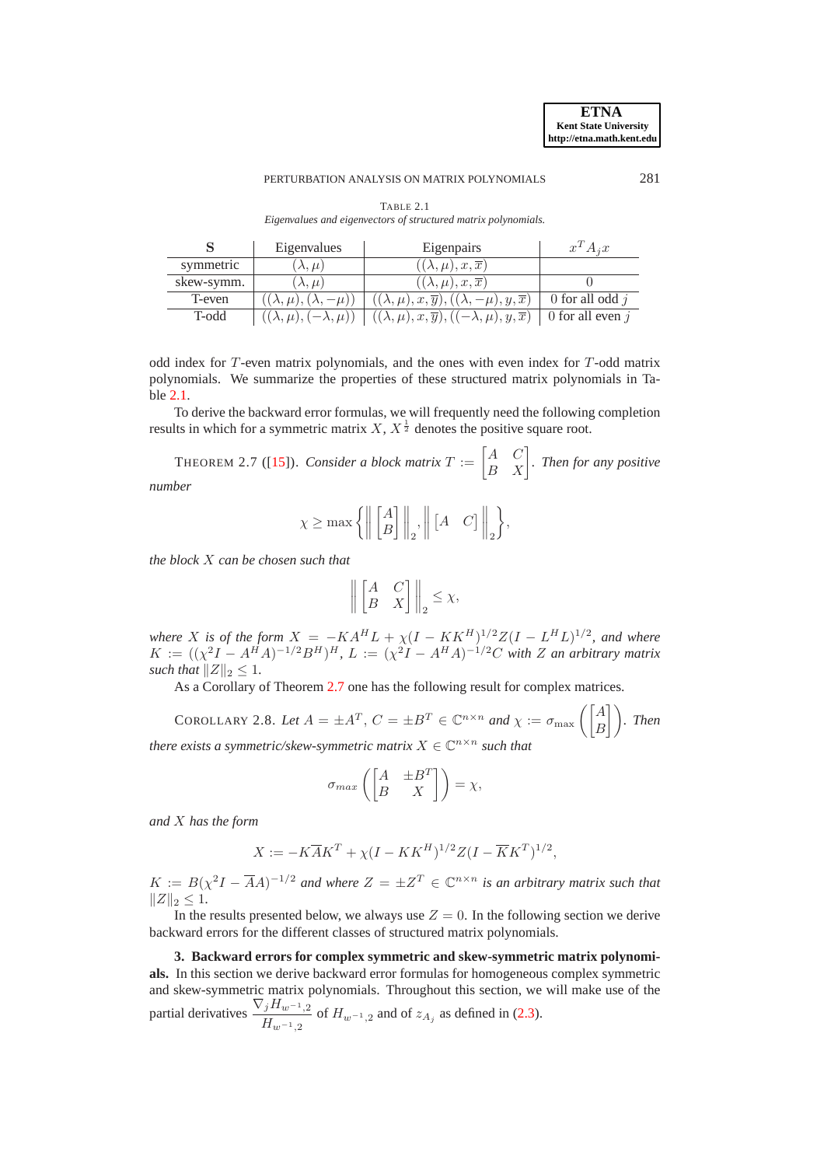#### PERTURBATION ANALYSIS ON MATRIX POLYNOMIALS 281

| TABLE 2.1<br>w |  |
|----------------|--|
|                |  |

<span id="page-6-1"></span>*Eigenvalues and eigenvectors of structured matrix polynomials.*

|            | Eigenvalues                            | Eigenpairs                                                        | $x^T A_i x$        |
|------------|----------------------------------------|-------------------------------------------------------------------|--------------------|
| symmetric  | $(\lambda, \mu)$                       | $((\lambda,\mu),x,\overline{x})$                                  |                    |
| skew-symm. | $(\lambda, \mu)$                       | $((\lambda,\mu),x,\overline{x})$                                  |                    |
| T-even     | $(\lambda,\mu), (\lambda,$<br>$-\mu$ ) | $((\lambda,\mu),x,\overline{y}), ((\lambda,-\mu),y,\overline{x})$ | 0 for all odd $j$  |
| T-odd      | $((\lambda,\mu),(-\lambda,\mu))$       | $((\lambda,\mu),x,\overline{y}), ((-\lambda,\mu),y,\overline{x})$ | 0 for all even $j$ |

odd index for T-even matrix polynomials, and the ones with even index for T-odd matrix polynomials. We summarize the properties of these structured matrix polynomials in Table [2.1.](#page-6-1)

To derive the backward error formulas, we will frequently need the following completion results in which for a symmetric matrix  $X, X^{\frac{1}{2}}$  denotes the positive square root.

<span id="page-6-2"></span>THEOREM 2.7 ([\[15\]](#page-27-23)). *Consider a block matrix*  $T := \begin{bmatrix} A & C \ B & X \end{bmatrix}$ *. Then for any positive number*

$$
\chi \ge \max\left\{ \left\| \begin{bmatrix} A \\ B \end{bmatrix} \right\|_2, \left\| \begin{bmatrix} A & C \end{bmatrix} \right\|_2 \right\},\
$$

*the block* X *can be chosen such that*

$$
\left\| \begin{bmatrix} A & C \\ B & X \end{bmatrix} \right\|_2 \leq \chi,
$$

*where X is of the form*  $X = -KA^H L + \chi (I - KK^H)^{1/2} Z (I - L^H L)^{1/2}$ , and where  $K := ((\chi^2 I - A^H A)^{-1/2} B^H)^H$ ,  $L := (\chi^2 I - A^H A)^{-1/2} C$  with Z an arbitrary matrix *such that*  $||Z||_2 \leq 1$ *.* 

As a Corollary of Theorem [2.7](#page-6-2) one has the following result for complex matrices.

<span id="page-6-4"></span>COROLLARY 2.8. Let  $A = \pm A^T$ ,  $C = \pm B^T \in \mathbb{C}^{n \times n}$  and  $\chi := \sigma_{\max}\left(\begin{bmatrix} A \\ B \end{bmatrix}\right)$ . Then *there exists a symmetric/skew-symmetric matrix*  $X \in \mathbb{C}^{n \times n}$  *such that* 

<span id="page-6-3"></span>
$$
\sigma_{max}\left(\begin{bmatrix} A & \pm B^T \\ B & X \end{bmatrix}\right) = \chi,
$$

*and* X *has the form*

$$
X := -K\overline{A}K^{T} + \chi(I - KK^{H})^{1/2}Z(I - \overline{K}K^{T})^{1/2},
$$

 $K := B(\chi^2 I - \overline{A}A)^{-1/2}$  and where  $Z = \pm Z^T \in \mathbb{C}^{n \times n}$  is an arbitrary matrix such that  $||Z||_2 \leq 1.$ 

In the results presented below, we always use  $Z = 0$ . In the following section we derive backward errors for the different classes of structured matrix polynomials.

<span id="page-6-0"></span>**3. Backward errors for complex symmetric and skew-symmetric matrix polynomials.** In this section we derive backward error formulas for homogeneous complex symmetric and skew-symmetric matrix polynomials. Throughout this section, we will make use of the partial derivatives  $\frac{\nabla_j H_{w^{-1},2}}{\sigma_r}$  $\frac{f^{12}w^{-1},2}{H_{w^{-1},2}}$  of  $H_{w^{-1},2}$  and of  $z_{A_j}$  as defined in [\(2.3\)](#page-3-2).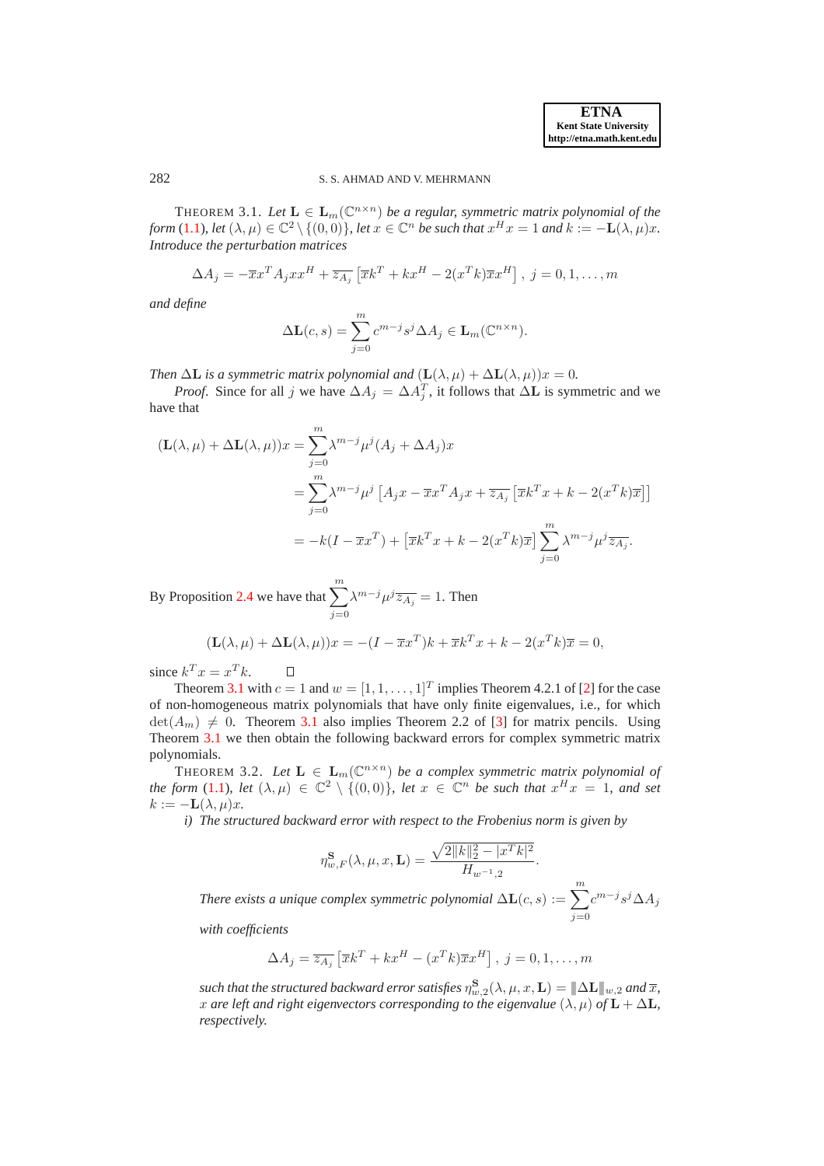282 S. S. AHMAD AND V. MEHRMANN

THEOREM 3.1. Let  $\mathbf{L} \in \mathbf{L}_m(\mathbb{C}^{n \times n})$  *be a regular, symmetric matrix polynomial of the form* [\(1.1\)](#page-0-0)*, let*  $(\lambda, \mu) \in \mathbb{C}^2 \setminus \{(0, 0)\}\)$ , *let*  $x \in \mathbb{C}^n$  *be such that*  $x^H x = 1$  *and*  $k := -L(\lambda, \mu)x$ . *Introduce the perturbation matrices*

$$
\Delta A_j = -\overline{x}x^T A_j x x^H + \overline{z_{A_j}} \left[ \overline{x}k^T + k x^H - 2(x^T k) \overline{x} x^H \right], \ j = 0, 1, \dots, m
$$

*and define*

$$
\Delta \mathbf{L}(c, s) = \sum_{j=0}^{m} c^{m-j} s^j \Delta A_j \in \mathbf{L}_m(\mathbb{C}^{n \times n}).
$$

*Then*  $\Delta$ **L** *is a symmetric matrix polynomial and*  $(L(\lambda, \mu) + \Delta L(\lambda, \mu))x = 0$ *.* 

*Proof.* Since for all j we have  $\Delta A_j = \Delta A_j^T$ , it follows that  $\Delta L$  is symmetric and we have that

$$
(\mathbf{L}(\lambda,\mu) + \Delta \mathbf{L}(\lambda,\mu))x = \sum_{j=0}^{m} \lambda^{m-j} \mu^{j} (A_j + \Delta A_j)x
$$
  
= 
$$
\sum_{j=0}^{m} \lambda^{m-j} \mu^{j} [A_j x - \overline{x} x^{T} A_j x + \overline{z_{A_j}} [\overline{x} k^{T} x + k - 2(x^{T} k)\overline{x}]]
$$
  
= 
$$
-k(I - \overline{x} x^{T}) + [\overline{x} k^{T} x + k - 2(x^{T} k)\overline{x}] \sum_{j=0}^{m} \lambda^{m-j} \mu^{j} \overline{z_{A_j}}.
$$

By Proposition [2.4](#page-4-1) we have that  $\sum_{m=1}^{m}$  $j=0$  $\lambda^{m-j}\mu^j\overline{z_{A_j}}=1$ . Then

$$
(\mathbf{L}(\lambda,\mu) + \Delta \mathbf{L}(\lambda,\mu))x = -(I - \overline{x}x^T)k + \overline{x}k^T x + k - 2(x^T k)\overline{x} = 0,
$$

since  $k^T x = x^T k$ .  $\Box$ 

Theorem [3.1](#page-6-3) with  $c = 1$  and  $w = [1, 1, \ldots, 1]^T$  implies Theorem 4.2.1 of [\[2\]](#page-26-0) for the case of non-homogeneous matrix polynomials that have only finite eigenvalues, i.e., for which  $\det(A_m) \neq 0$ . Theorem [3.1](#page-6-3) also implies Theorem 2.2 of [\[3\]](#page-26-1) for matrix pencils. Using Theorem [3.1](#page-6-3) we then obtain the following backward errors for complex symmetric matrix polynomials.

<span id="page-7-0"></span>THEOREM 3.2. *Let*  $\mathbf{L} \in \mathbf{L}_m(\mathbb{C}^{n \times n})$  *be a complex symmetric matrix polynomial of the form* [\(1.1\)](#page-0-0)*, let*  $(\lambda, \mu) \in \mathbb{C}^2 \setminus \{(0, 0)\}\)$ *, let*  $x \in \mathbb{C}^n$  *be such that*  $x^H x = 1$ *, and set*  $k := -L(\lambda, \mu)x$ .

*i) The structured backward error with respect to the Frobenius norm is given by*

$$
\eta_{w,F}^{\mathbf{S}}(\lambda,\mu,x,\mathbf{L}) = \frac{\sqrt{2||k||_2^2 - |x^T k|^2}}{H_{w^{-1},2}}.
$$

*There exists a unique complex symmetric polynomial*  $\Delta L(c,s) := \sum_{m=1}^{m}$  $j=0$  $c^{m-j} s^j \Delta A_j$ 

*with coefficients*

$$
\Delta A_j = \overline{z_{A_j}} \left[ \overline{x} k^T + k x^H - (x^T k) \overline{x} x^H \right], \ j = 0, 1, \dots, m
$$

such that the structured backward error satisfies  $\eta_{w,2}^{\bf S}(\lambda,\mu,x,{\bf L}) = |\!|\!| \Delta {\bf L} |\!|\!|_{w,2}$  and  $\overline{x},$ x are left and right eigenvectors corresponding to the eigenvalue  $(\lambda, \mu)$  of  $\mathbf{L} + \Delta \mathbf{L}$ , *respectively.*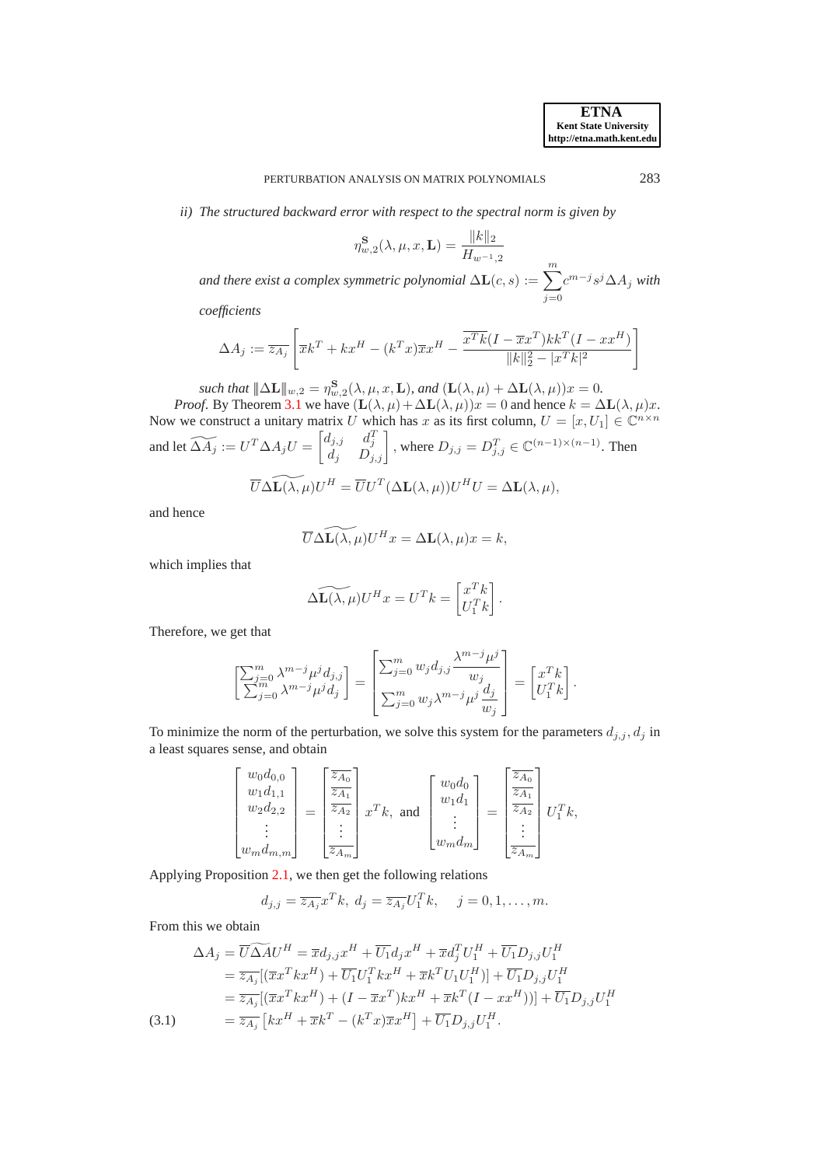*ii) The structured backward error with respect to the spectral norm is given by*

$$
\eta_{w,2}^{\mathbf{S}}(\lambda,\mu,x,\mathbf{L}) = \frac{\|k\|_2}{H_{w^{-1},2}}
$$

and there exist a complex symmetric polynomial  $\Delta L(c,s) := \sum_{m=1}^{\infty}$  $j=0$  $c^{m-j}$ s<sup>j</sup>∆A<sub>j</sub> with

*coefficients*

$$
\Delta A_j := \overline{z_{A_j}} \left[ \overline{x} k^T + k x^H - (k^T x) \overline{x} x^H - \frac{\overline{x^T k} (I - \overline{x} x^T) k k^T (I - x x^H)}{\|k\|_2^2 - |x^T k|^2} \right]
$$

such that  $|\!|\!|\Delta \mathbf{L}|\!|\!|_{w,2} = \eta_{w,2}^{\mathbf{S}}(\lambda,\mu,x,\mathbf{L}),$  and  $(\mathbf{L}(\lambda,\mu) + \Delta \mathbf{L}(\lambda,\mu))x = 0.$ *Proof.* By Theorem [3.1](#page-6-3) we have  $(L(\lambda, \mu) + \Delta L(\lambda, \mu))x = 0$  and hence  $k = \Delta L(\lambda, \mu)x$ . Now we construct a unitary matrix U which has x as its first column,  $U = [x, U_1] \in \mathbb{C}^{n \times n}$ and let  $\widetilde{\Delta A_j} := U^T \Delta A_j U = \begin{bmatrix} d_{j,j} & d_j^T \\ d_j & D_{j,j} \end{bmatrix}$ , where  $D_{j,j} = D_{j,j}^T \in \mathbb{C}^{(n-1)\times (n-1)}$ . Then

$$
\overline{U}\Delta \widetilde{\mathbf{L}(\lambda,\mu)}U^H = \overline{U}U^T(\Delta \mathbf{L}(\lambda,\mu))U^HU = \Delta \mathbf{L}(\lambda,\mu),
$$

and hence

$$
\overline{U}\Delta \widetilde{\mathbf{L}(\lambda,\mu)}U^H x = \Delta \mathbf{L}(\lambda,\mu)x = k,
$$

which implies that

$$
\widetilde{\Delta \mathbf{L}(\lambda, \mu)} U^H x = U^T k = \begin{bmatrix} x^T k \\ U_1^T k \end{bmatrix}.
$$

Therefore, we get that

$$
\begin{bmatrix} \sum_{j=0}^m \lambda^{m-j} \mu^j d_{j,j} \\ \sum_{j=0}^m \lambda^{m-j} \mu^j d_j \end{bmatrix} = \begin{bmatrix} \sum_{j=0}^m w_j d_{j,j} \frac{\lambda^{m-j} \mu^j}{w_j} \\ \sum_{j=0}^m w_j \lambda^{m-j} \mu^j \frac{d_j}{w_j} \end{bmatrix} = \begin{bmatrix} x^T k \\ U_1^T k \end{bmatrix}.
$$

To minimize the norm of the perturbation, we solve this system for the parameters  $d_{j,j}$ ,  $d_j$  in a least squares sense, and obtain

$$
\begin{bmatrix} w_0 d_{0,0} \\ w_1 d_{1,1} \\ w_2 d_{2,2} \\ \vdots \\ w_m d_{m,m} \end{bmatrix} = \begin{bmatrix} \frac{\overline{z_{A_0}}}{\overline{z_{A_1}} } \\ \vdots \\ \frac{\overline{z_{A_2}}}{\overline{z_{A_m}}} \end{bmatrix} x^T k, \text{ and } \begin{bmatrix} w_0 d_0 \\ w_1 d_1 \\ \vdots \\ w_m d_m \end{bmatrix} = \begin{bmatrix} \frac{\overline{z_{A_0}}}{\overline{z_{A_1}} } \\ \vdots \\ \frac{\overline{z_{A_2}}}{\overline{z_{A_m}}} \end{bmatrix} U_1^T k,
$$

Applying Proposition [2.1,](#page-3-1) we then get the following relations

$$
d_{j,j} = \overline{z_{A_j}} x^T k, \ d_j = \overline{z_{A_j}} U_1^T k, \quad j = 0, 1, \dots, m.
$$

From this we obtain

<span id="page-8-0"></span>
$$
\Delta A_j = \overline{U} \widetilde{\Delta A} U^H = \overline{x} d_{j,j} x^H + \overline{U_1} d_j x^H + \overline{x} d_j^T U_1^H + \overline{U_1} D_{j,j} U_1^H
$$
  
\n
$$
= \overline{z_{A_j}} [(\overline{x} x^T k x^H) + \overline{U_1} U_1^T k x^H + \overline{x} k^T U_1 U_1^H)] + \overline{U_1} D_{j,j} U_1^H
$$
  
\n
$$
= \overline{z_{A_j}} [(\overline{x} x^T k x^H) + (I - \overline{x} x^T) k x^H + \overline{x} k^T (I - x x^H))] + \overline{U_1} D_{j,j} U_1^H
$$
  
\n(3.1)  
\n
$$
= \overline{z_{A_j}} [k x^H + \overline{x} k^T - (k^T x) \overline{x} x^H] + \overline{U_1} D_{j,j} U_1^H.
$$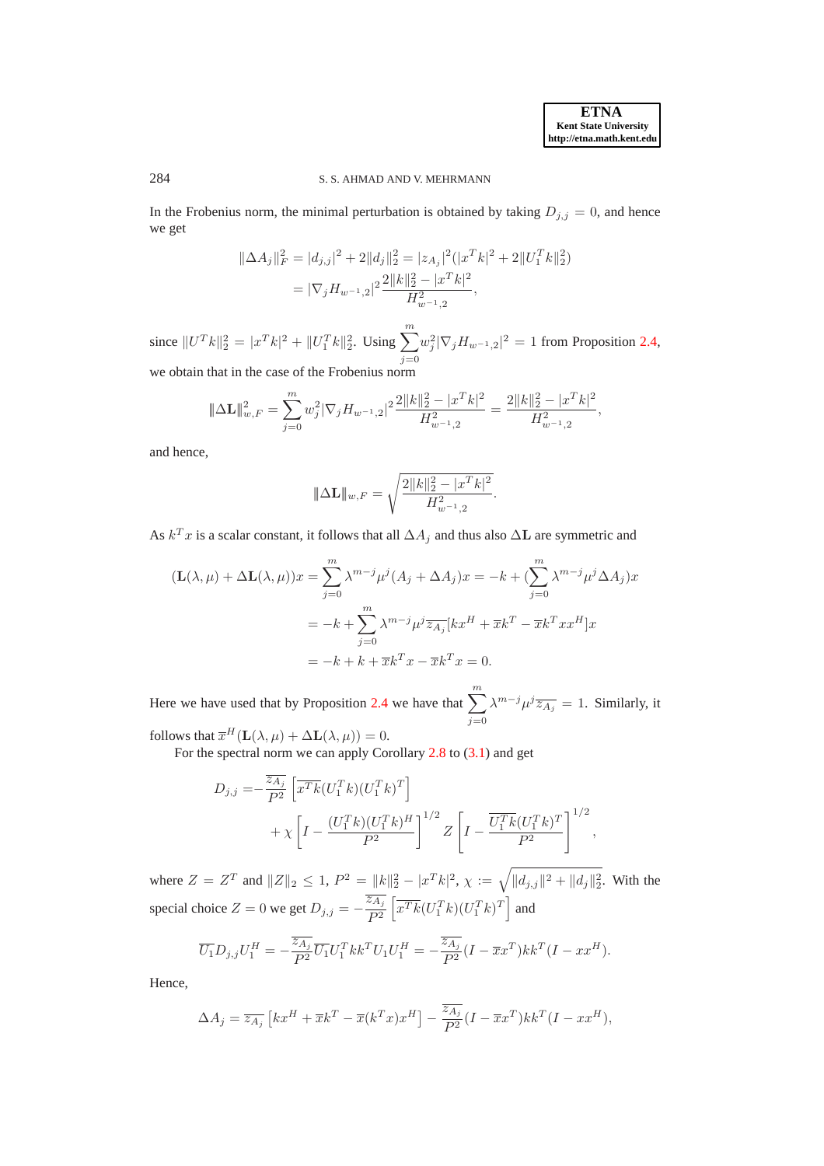## 284 S. S. AHMAD AND V. MEHRMANN

In the Frobenius norm, the minimal perturbation is obtained by taking  $D_{j,j} = 0$ , and hence we get

$$
\|\Delta A_j\|_F^2 = |d_{j,j}|^2 + 2||d_j||_2^2 = |z_{A_j}|^2 (|x^T k|^2 + 2||U_1^T k||_2^2)
$$
  
=  $|\nabla_j H_{w^{-1},2}|^2 \frac{2||k||_2^2 - |x^T k|^2}{H_{w^{-1},2}^2},$ 

since  $||U^T k||_2^2 = |x^T k|^2 + ||U_1^T k||_2^2$ . Using  $\sum^m$  $j=0$  $w_j^2 |\nabla_j H_{w^{-1},2}|^2 = 1$  from Proposition [2.4,](#page-4-1) we obtain that in the case of the Frobenius norm

$$
\|\Delta \mathbf{L}\|_{w,F}^2=\sum_{j=0}^m w_j^2|\nabla_j H_{w^{-1},2}|^2\frac{2\|k\|_2^2-\vert x^Tk\vert^2}{H_{w^{-1},2}^2}=\frac{2\|k\|_2^2-\vert x^Tk\vert^2}{H_{w^{-1},2}^2},
$$

and hence,

$$
\|\Delta \mathbf{L}\|_{w,F} = \sqrt{\frac{2\|k\|_2^2 - |x^T k|^2}{H_{w^{-1},2}^2}}.
$$

As  $k^T x$  is a scalar constant, it follows that all  $\Delta A_j$  and thus also  $\Delta L$  are symmetric and

$$
(\mathbf{L}(\lambda,\mu) + \Delta \mathbf{L}(\lambda,\mu))x = \sum_{j=0}^{m} \lambda^{m-j} \mu^{j} (A_j + \Delta A_j)x = -k + (\sum_{j=0}^{m} \lambda^{m-j} \mu^{j} \Delta A_j)x
$$
  
=  $-k + \sum_{j=0}^{m} \lambda^{m-j} \mu^{j} \overline{z_{A_j}} [kx^{H} + \overline{x}k^{T} - \overline{x}k^{T}xx^{H}]x$   
=  $-k + k + \overline{x}k^{T}x - \overline{x}k^{T}x = 0.$ 

Here we have used that by Proposition [2.4](#page-4-1) we have that  $\sum_{n=1}^{m}$  $j=0$  $\lambda^{m-j}\mu^j\overline{z_{A_j}}=1$ . Similarly, it

follows that  $\overline{x}^H(\mathbf{L}(\lambda,\mu) + \Delta \mathbf{L}(\lambda,\mu)) = 0.$ 

For the spectral norm we can apply Corollary [2.8](#page-6-4) to [\(3.1\)](#page-8-0) and get

$$
D_{j,j} = -\frac{\overline{z_{A_j}}}{P^2} \left[ \overline{x^T k} (U_1^T k)(U_1^T k)^T \right] + \chi \left[ I - \frac{(U_1^T k)(U_1^T k)^H}{P^2} \right]^{1/2} Z \left[ I - \frac{\overline{U_1^T k}(U_1^T k)^T}{P^2} \right]^{1/2},
$$

where  $Z = Z^T$  and  $||Z||_2 \le 1$ ,  $P^2 = ||k||_2^2 - |x^T k|^2$ ,  $\chi := \sqrt{||d_{j,j}||^2 + ||d_j||_2^2}$ . With the special choice  $Z = 0$  we get  $D_{j,j} = -\frac{\overline{z_{A_j}}}{P^2}$  $P^2$  $\left[\overline{x^Tk}(U_1^Tk)(U_1^Tk)^T\right]$  and

$$
\overline{U_1}D_{j,j}U_1^H = -\frac{\overline{z_{A_j}}}{P^2}\overline{U_1}U_1^Tkk^TU_1U_1^H = -\frac{\overline{z_{A_j}}}{P^2}(I - \overline{x}x^T)kk^T(I - xx^H).
$$

Hence,

$$
\Delta A_j = \overline{z_{A_j}} \left[ k x^H + \overline{x} k^T - \overline{x} (k^T x) x^H \right] - \frac{\overline{z_{A_j}}}{P^2} (I - \overline{x} x^T) k k^T (I - x x^H),
$$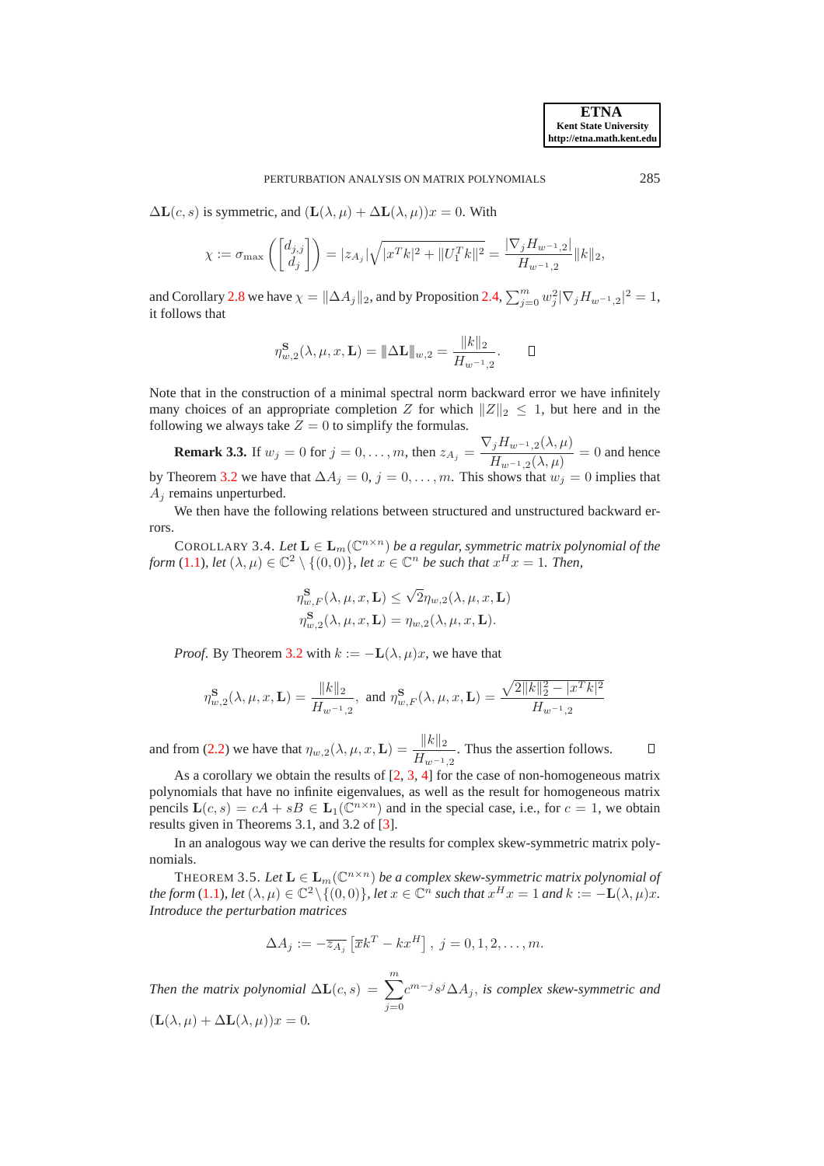$\Delta$ **L**(c, s) is symmetric, and  $(L(\lambda, \mu) + \Delta$ **L** $(\lambda, \mu))x = 0$ . With

$$
\chi:=\sigma_{\max}\left(\left[\begin{matrix}d_{j,j}\\ d_j\end{matrix}\right]\right)=|z_{A_j}|\sqrt{|x^Tk|^2+\|U_1^Tk\|^2}=\frac{|\nabla_j H_{w^{-1},2}|}{H_{w^{-1},2}}\|k\|_2,
$$

and Corollary [2.8](#page-6-4) we have  $\chi = \|\Delta A_j\|_2$ , and by Proposition [2.4,](#page-4-1)  $\sum_{j=0}^m w_j^2 |\nabla_j H_{w^{-1},2}|^2 = 1$ , it follows that

$$
\eta_{w,2}^{\mathbf{S}}(\lambda,\mu,x,\mathbf{L}) = \|\Delta \mathbf{L}\|_{w,2} = \frac{\|k\|_2}{H_{w^{-1},2}}.\qquad \Box
$$

Note that in the construction of a minimal spectral norm backward error we have infinitely many choices of an appropriate completion Z for which  $||Z||_2 \le 1$ , but here and in the following we always take  $Z = 0$  to simplify the formulas.

**Remark 3.3.** If  $w_j = 0$  for  $j = 0, \ldots, m$ , then  $z_{A_j} = \frac{\nabla_j H_{w^{-1},2}(\lambda, \mu)}{H_{w^{-1},2}(\lambda, \mu)}$  $\frac{H_{w^{-1},2}(\lambda,\mu)}{H_{w^{-1},2}(\lambda,\mu)} = 0$  and hence by Theorem [3.2](#page-7-0) we have that  $\Delta A_j = 0, j = 0, \ldots, m$ . This shows that  $w_j = 0$  implies that  $A_i$  remains unperturbed.

We then have the following relations between structured and unstructured backward errors.

COROLLARY 3.4. Let  $\mathbf{L} \in \mathbf{L}_m(\mathbb{C}^{n \times n})$  *be a regular, symmetric matrix polynomial of the form* [\(1.1\)](#page-0-0), let  $(\lambda, \mu) \in \mathbb{C}^2 \setminus \{(0, 0)\},$  let  $x \in \mathbb{C}^n$  be such that  $x^H x = 1$ . Then,

$$
\eta_{w,F}^{\mathbf{S}}(\lambda, \mu, x, \mathbf{L}) \leq \sqrt{2} \eta_{w,2}(\lambda, \mu, x, \mathbf{L})
$$
  

$$
\eta_{w,2}^{\mathbf{S}}(\lambda, \mu, x, \mathbf{L}) = \eta_{w,2}(\lambda, \mu, x, \mathbf{L}).
$$

*Proof.* By Theorem [3.2](#page-7-0) with  $k := -L(\lambda, \mu)x$ , we have that

$$
\eta_{w,2}^{\mathbf S}(\lambda,\mu,x,\mathbf L)=\frac{\|k\|_2}{H_{w^{-1},2}},\ \text{and} \ \eta_{w,F}^{\mathbf S}(\lambda,\mu,x,\mathbf L)=\frac{\sqrt{2\|k\|_2^2-\|x^Tk\|^2}}{H_{w^{-1},2}}
$$

and from [\(2.2\)](#page-3-3) we have that  $\eta_{w,2}(\lambda,\mu,x,\mathbf{L}) = \frac{\Vert k \Vert_2}{H_{w^{-1},2}}$ . Thus the assertion follows.  $\Box$ 

As a corollary we obtain the results of  $[2, 3, 4]$  $[2, 3, 4]$  $[2, 3, 4]$  $[2, 3, 4]$  for the case of non-homogeneous matrix polynomials that have no infinite eigenvalues, as well as the result for homogeneous matrix pencils  $\mathbf{L}(c,s) = cA + sB \in \mathbf{L}_1(\mathbb{C}^{n \times n})$  and in the special case, i.e., for  $c = 1$ , we obtain results given in Theorems 3.1, and 3.2 of [\[3\]](#page-26-1).

<span id="page-10-0"></span>In an analogous way we can derive the results for complex skew-symmetric matrix polynomials.

THEOREM 3.5. Let  $\mathbf{L} \in \mathbf{L}_m(\mathbb{C}^{n \times n})$  be a complex skew-symmetric matrix polynomial of *the form* [\(1.1\)](#page-0-0)*, let*  $(\lambda, \mu) \in \mathbb{C}^2 \setminus \{(0, 0)\}$ *, let*  $x \in \mathbb{C}^n$  *such that*  $x^H x = 1$  *and*  $k := -L(\lambda, \mu)x$ *. Introduce the perturbation matrices*

$$
\Delta A_j := -\overline{z_{A_j}} \left[ \overline{x} k^T - k x^H \right], \ j = 0, 1, 2, \dots, m.
$$

*Then the matrix polynomial*  $\Delta L(c,s) = \sum_{m=1}^{m}$  $j=0$  $c^{m-j}s^{j}\Delta A_{j}$ , is complex skew-symmetric and  $(\mathbf{L}(\lambda, \mu) + \Delta \mathbf{L}(\lambda, \mu))x = 0.$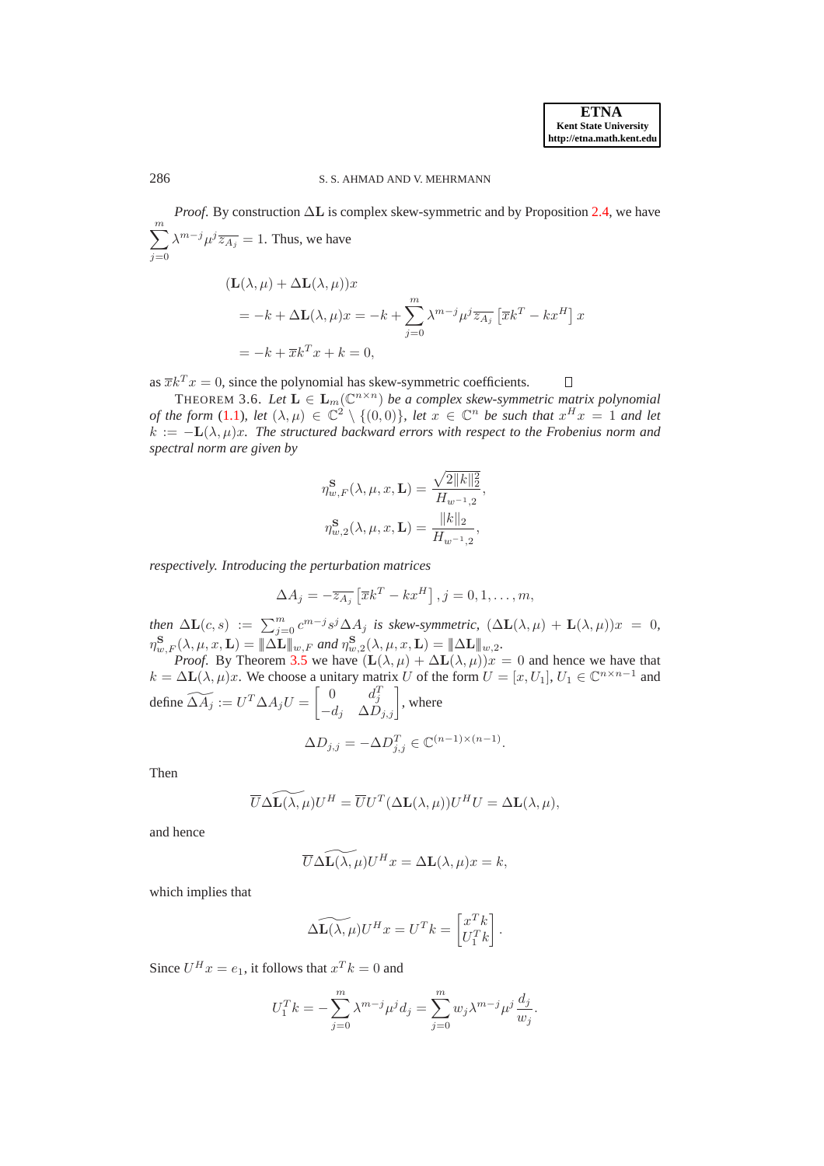<span id="page-11-0"></span> $\Box$ 

### 286 S. S. AHMAD AND V. MEHRMANN

*Proof.* By construction ∆L is complex skew-symmetric and by Proposition [2.4,](#page-4-1) we have  $\sum_{ }^{m}$  $j=0$  $\lambda^{m-j}\mu^j\overline{z_{A_j}}=1$ . Thus, we have

$$
(\mathbf{L}(\lambda,\mu) + \Delta \mathbf{L}(\lambda,\mu))x
$$
  
=  $-k + \Delta \mathbf{L}(\lambda,\mu)x = -k + \sum_{j=0}^{m} \lambda^{m-j} \mu^{j} \overline{z_{A_j}} \left[ \overline{x}k^{T} - kx^{H} \right] x$   
=  $-k + \overline{x}k^{T}x + k = 0$ ,

as  $\overline{x}k^Tx = 0$ , since the polynomial has skew-symmetric coefficients.

THEOREM 3.6. Let  $\mathbf{L} \in \mathbf{L}_m(\mathbb{C}^{n \times n})$  *be a complex skew-symmetric matrix polynomial of the form* [\(1.1\)](#page-0-0), let  $(\lambda, \mu) \in \mathbb{C}^2 \setminus \{(0, 0)\}\$ , let  $x \in \mathbb{C}^n$  be such that  $x^H x = 1$  and let  $k := -L(\lambda, \mu)x$ . The structured backward errors with respect to the Frobenius norm and *spectral norm are given by*

$$
\eta_{w,F}^{\mathbf{S}}(\lambda, \mu, x, \mathbf{L}) = \frac{\sqrt{2||k||_2^2}}{H_{w^{-1},2}},
$$
  

$$
\eta_{w,2}^{\mathbf{S}}(\lambda, \mu, x, \mathbf{L}) = \frac{||k||_2}{H_{w^{-1},2}},
$$

*respectively. Introducing the perturbation matrices*

$$
\Delta A_j = -\overline{z_{A_j}} \left[ \overline{x} k^T - k x^H \right], j = 0, 1, \dots, m,
$$

*then*  $\Delta$ **L**(*c*, *s*) :=  $\sum_{j=0}^{m} c^{m-j} s^j \Delta A_j$  *is skew-symmetric,*  $(\Delta$ **L**( $\lambda$ ,  $\mu$ ) + **L**( $\lambda$ ,  $\mu$ )) $x = 0$ ,  $\eta_{w,F}^{\mathbf{S}}(\lambda,\mu,x,\mathbf{L}) = \|\Delta \mathbf{L}\|_{w,F}$  and  $\eta_{w,2}^{\mathbf{S}}(\lambda,\mu,x,\mathbf{L}) = \|\Delta \mathbf{L}\|_{w,2}$ .

*Proof.* By Theorem [3.5](#page-10-0) we have  $(L(\lambda, \mu) + \Delta L(\lambda, \mu))x = 0$  and hence we have that  $k = \Delta L(\lambda, \mu)x$ . We choose a unitary matrix U of the form  $U = [x, U_1], U_1 \in \mathbb{C}^{n \times n-1}$  and define  $\widetilde{\Delta A_j} := U^T \Delta A_j U = \begin{bmatrix} 0 & d_j^T \ -d_j & \Delta D_{j,j} \end{bmatrix}$ , where

$$
\Delta D_{j,j} = -\Delta D_{j,j}^T \in \mathbb{C}^{(n-1)\times (n-1)}.
$$

Then

$$
\overline{U}\Delta \widetilde{\mathbf{L}(\lambda,\mu)}U^H = \overline{U}U^T(\Delta \mathbf{L}(\lambda,\mu))U^HU = \Delta \mathbf{L}(\lambda,\mu),
$$

and hence

$$
\overline{U}\Delta \widetilde{\mathbf{L}(\lambda,\mu)}U^H x = \Delta \mathbf{L}(\lambda,\mu)x = k,
$$

which implies that

$$
\widetilde{\Delta \mathbf{L}(\lambda, \mu)} U^H x = U^T k = \begin{bmatrix} x^T k \\ U_1^T k \end{bmatrix}.
$$

Since  $U^H x = e_1$ , it follows that  $x^T k = 0$  and

$$
U_1^T k = -\sum_{j=0}^m \lambda^{m-j} \mu^j d_j = \sum_{j=0}^m w_j \lambda^{m-j} \mu^j \frac{d_j}{w_j}.
$$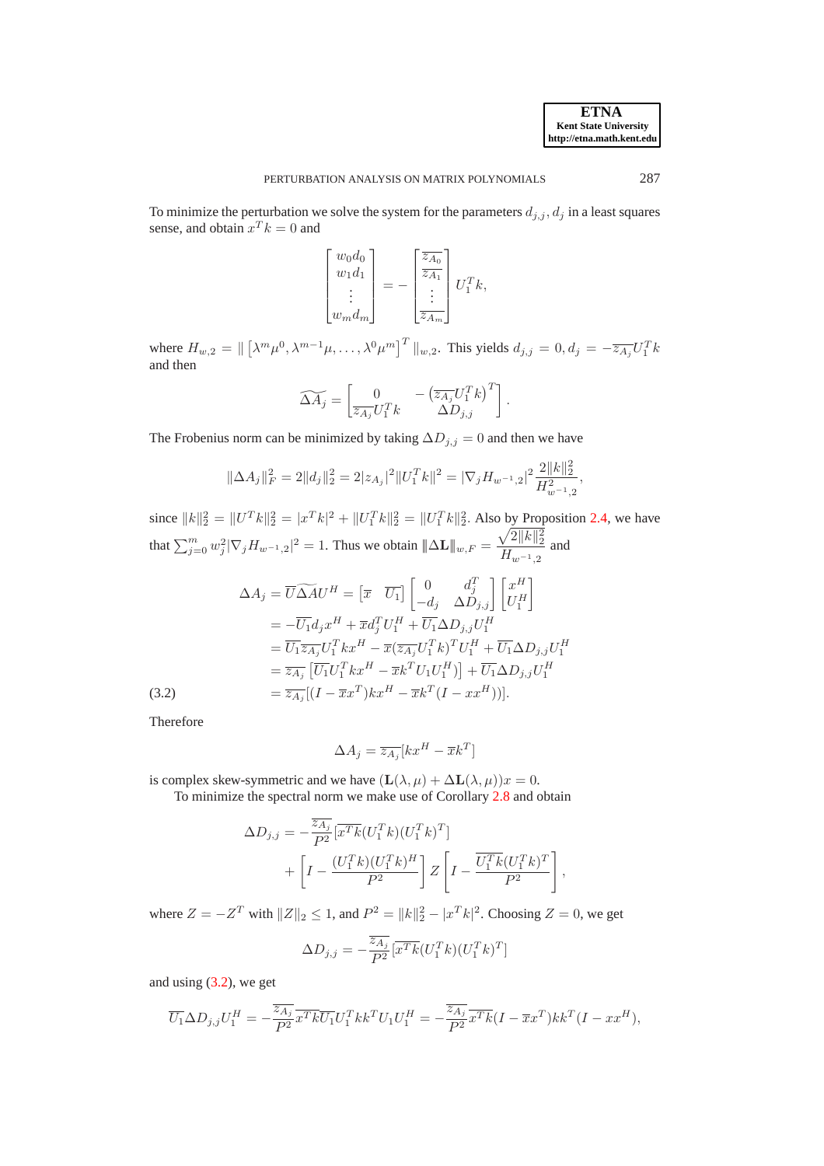To minimize the perturbation we solve the system for the parameters  $d_{j,i}$ ,  $d_j$  in a least squares sense, and obtain  $x^T k = 0$  and

$$
\begin{bmatrix} w_0 d_0 \\ w_1 d_1 \\ \vdots \\ w_m d_m \end{bmatrix} = - \begin{bmatrix} \overline{z_{A_0}} \\ \overline{z_{A_1}} \\ \vdots \\ \overline{z_{A_m}} \end{bmatrix} U_1^T k,
$$

where  $H_{w,2} = \left\| \left[ \lambda^m \mu^0, \lambda^{m-1} \mu, \ldots, \lambda^0 \mu^m \right]^T \right\|_{w,2}$ . This yields  $d_{j,j} = 0, d_j = -\overline{z_{A_j}} U_1^T k$ and then

$$
\widetilde{\Delta A_j} = \begin{bmatrix} 0 & -\left(\overline{z_{A_j}} U_1^T k\right)^T \\ \overline{z_{A_j}} U_1^T k & \Delta D_{j,j} \end{bmatrix}.
$$

The Frobenius norm can be minimized by taking  $\Delta D_{j,j} = 0$  and then we have

$$
\|\Delta A_j\|_F^2 = 2\|d_j\|_2^2 = 2|z_{A_j}|^2\|U_1^T k\|^2 = |\nabla_j H_{w^{-1},2}|^2 \frac{2\|k\|_2^2}{H_{w^{-1},2}^2},
$$

since  $||k||_2^2 = ||U^T k||_2^2 = |x^T k|^2 + ||U_1^T k||_2^2 = ||U_1^T k||_2^2$ . Also by Proposition [2.4,](#page-4-1) we have that  $\sum_{j=0}^{m} w_j^2 |\nabla_j H_{w^{-1},2}|^2 = 1$ . Thus we obtain  $\|\Delta \mathbf{L}\|_{w,F} = \frac{\sqrt{2||k||_2^2}}{H_{w^{-1},2}}$  $\frac{W^{-1}||^{10}||^{2}}{H_{w^{-1},2}}$  and

<span id="page-12-0"></span>
$$
\Delta A_j = \overline{U} \widetilde{\Delta A} U^H = \begin{bmatrix} \overline{x} & \overline{U_1} \end{bmatrix} \begin{bmatrix} 0 & d_j^T \\ -d_j & \Delta D_{j,j} \end{bmatrix} \begin{bmatrix} x^H \\ U_1^H \end{bmatrix}
$$
  
\n
$$
= -\overline{U_1} d_j x^H + \overline{x} d_j^T U_1^H + \overline{U_1} \Delta D_{j,j} U_1^H
$$
  
\n
$$
= \overline{U_1} \overline{z_{A_j}} U_1^T k x^H - \overline{x} (\overline{z_{A_j}} U_1^T k)^T U_1^H + \overline{U_1} \Delta D_{j,j} U_1^H
$$
  
\n
$$
= \overline{z_{A_j}} \begin{bmatrix} \overline{U_1} U_1^T k x^H - \overline{x} k^T U_1 U_1^H \end{bmatrix} + \overline{U_1} \Delta D_{j,j} U_1^H
$$
  
\n(3.2)  
\n
$$
= \overline{z_{A_j}} [(I - \overline{x} x^T) k x^H - \overline{x} k^T (I - x x^H))].
$$

Therefore

$$
\Delta A_j = \overline{z_{A_j}}[kx^H - \overline{x}k^T]
$$

is complex skew-symmetric and we have  $(L(\lambda, \mu) + \Delta L(\lambda, \mu))x = 0$ .

To minimize the spectral norm we make use of Corollary [2.8](#page-6-4) and obtain

$$
\Delta D_{j,j} = -\frac{\overline{z_{A_j}}}{P^2} \left[ \overline{x^T k} (U_1^T k)(U_1^T k)^T \right] + \left[ I - \frac{(U_1^T k)(U_1^T k)^H}{P^2} \right] Z \left[ I - \frac{\overline{U_1^T k}(U_1^T k)^T}{P^2} \right],
$$

where  $Z = -Z^T$  with  $||Z||_2 \le 1$ , and  $P^2 = ||k||_2^2 - |x^T k|^2$ . Choosing  $Z = 0$ , we get

$$
\Delta D_{j,j} = -\frac{\overline{z_{A_j}}}{P^2} \left[ \overline{x^T k} (U_1^T k) (U_1^T k)^T \right]
$$

and using [\(3.2\)](#page-12-0), we get

$$
\overline{U_1}\Delta D_{j,j}U_1^H = -\frac{\overline{z_{A_j}}}{P^2}\overline{x^T k}\overline{U_1}U_1^T k k^T U_1 U_1^H = -\frac{\overline{z_{A_j}}}{P^2}\overline{x^T k}(I - \overline{x} x^T)kk^T(I - x x^H),
$$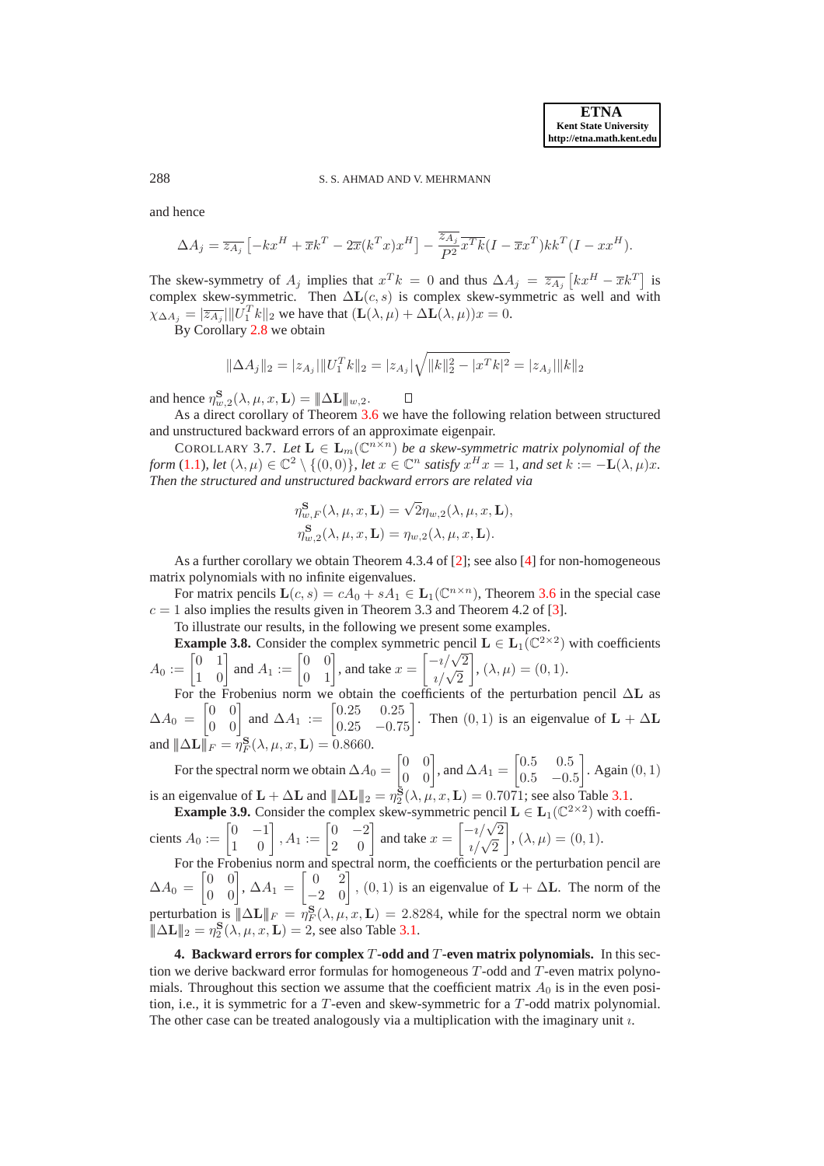288 S. S. AHMAD AND V. MEHRMANN

and hence

$$
\Delta A_j = \overline{z_{A_j}} \left[ -kx^H + \overline{x}k^T - 2\overline{x}(k^T x)x^H \right] - \frac{\overline{z_{A_j}}}{P^2} \overline{x^T k} (I - \overline{x}x^T)kk^T(I - xx^H).
$$

The skew-symmetry of  $A_j$  implies that  $x^T k = 0$  and thus  $\Delta A_j = \overline{z_{A_j}} [k x^H - \overline{x} k^T]$  is complex skew-symmetric. Then  $\Delta L(c, s)$  is complex skew-symmetric as well and with  $\chi_{\Delta A_j} = |\overline{z_{A_j}}| ||U_1^T k||_2$  we have that  $(\mathbf{L}(\lambda, \mu) + \Delta \mathbf{L}(\lambda, \mu))x = 0$ .

By Corollary [2.8](#page-6-4) we obtain

$$
\|\Delta A_j\|_2 = |z_{A_j}|\|U_1^T k\|_2 = |z_{A_j}|\sqrt{\|k\|_2^2 - |x^T k|^2} = |z_{A_j}|\|k\|_2
$$

and hence  $\eta_{w,2}^{\mathbf{S}}(\lambda,\mu,x,\mathbf{L}) = \|\Delta \mathbf{L}\|_{w,2}$ .

 $\Box$ As a direct corollary of Theorem [3.6](#page-11-0) we have the following relation between structured and unstructured backward errors of an approximate eigenpair.

COROLLARY 3.7. Let  $\mathbf{L} \in \mathbf{L}_m(\mathbb{C}^{n \times n})$  *be a skew-symmetric matrix polynomial of the form* [\(1.1\)](#page-0-0)*, let*  $(\lambda, \mu) \in \mathbb{C}^2 \setminus \{(0, 0)\}\)$ , *let*  $x \in \mathbb{C}^n$  *satisfy*  $x^H x = 1$ *, and set*  $k := -L(\lambda, \mu)x$ *. Then the structured and unstructured backward errors are related via*

<span id="page-13-1"></span>
$$
\eta_{w,F}^{\mathbf{S}}(\lambda, \mu, x, \mathbf{L}) = \sqrt{2} \eta_{w,2}(\lambda, \mu, x, \mathbf{L}),
$$
  

$$
\eta_{w,2}^{\mathbf{S}}(\lambda, \mu, x, \mathbf{L}) = \eta_{w,2}(\lambda, \mu, x, \mathbf{L}).
$$

As a further corollary we obtain Theorem 4.3.4 of [\[2\]](#page-26-0); see also [\[4\]](#page-26-2) for non-homogeneous matrix polynomials with no infinite eigenvalues.

For matrix pencils  $\mathbf{L}(c, s) = cA_0 + sA_1 \in \mathbf{L}_1(\mathbb{C}^{n \times n})$ , Theorem [3.6](#page-11-0) in the special case  $c = 1$  also implies the results given in Theorem 3.3 and Theorem 4.2 of [\[3\]](#page-26-1).

To illustrate our results, in the following we present some examples.

**Example 3.8.** Consider the complex symmetric pencil  $\mathbf{L} \in L_1(\mathbb{C}^{2\times 2})$  with coefficients  $A_0 := \begin{bmatrix} 0 & 1 \\ 1 & 0 \end{bmatrix}$  and  $A_1 := \begin{bmatrix} 0 & 0 \\ 0 & 1 \end{bmatrix}$ , and take  $x =$  $\begin{bmatrix} -i/\sqrt{2} \\ i/\sqrt{2} \end{bmatrix}$ ¸ ,  $(\lambda, \mu) = (0, 1).$ 

For the Frobenius norm we obtain the coefficients of the perturbation pencil ∆L as  $\Delta A_0 =$  $\begin{bmatrix} 0 & 0 \\ 0 & 0 \end{bmatrix}$  and  $\Delta A_1 := \begin{bmatrix} 0.25 & 0.25 \\ 0.25 & -0.75 \end{bmatrix}$ . Then  $(0, 1)$  is an eigenvalue of  $\mathbf{L} + \Delta \mathbf{L}$ and  $\|\Delta \mathbf{L}\|_F = \eta_F^{\mathbf{S}}(\lambda, \mu, x, \mathbf{L}) = 0.8660.$ 

For the spectral norm we obtain  $\Delta A_0 =$  $\begin{bmatrix} 0 & 0 \\ 0 & 0 \end{bmatrix}$ , and  $\Delta A_1 =$  $\begin{bmatrix} 0.5 & 0.5 \end{bmatrix}$  $0.5$  −0.5 ¸ . Again (0, 1) is an eigenvalue of  $\mathbf{L} + \Delta \mathbf{L}$  and  $\|\Delta \mathbf{L}\|_2 = \eta_2^{\mathbf{S}}(\lambda, \mu, x, \mathbf{L}) = 0.7071$ ; see also Table [3.1.](#page-14-0)

<span id="page-13-2"></span>**Example 3.9.** Consider the complex skew-symmetric pencil  $L \in L_1(\mathbb{C}^{2\times 2})$  with coefficients  $A_0 := \begin{bmatrix} 0 & -1 \\ 1 & 0 \end{bmatrix}$ ,  $A_1 := \begin{bmatrix} 0 & -2 \\ 2 & 0 \end{bmatrix}$  and take  $x =$  $\begin{bmatrix} -i/\sqrt{2} \\ i/\sqrt{2} \end{bmatrix}$ 1 ,  $(\lambda, \mu) = (0, 1).$ 

For the Frobenius norm and spectral norm, the coefficients or the perturbation pencil are  $\Delta A_0 =$  $\begin{bmatrix} 0 & 0 \\ 0 & 0 \end{bmatrix}$ ,  $\Delta A_1 =$  $\begin{bmatrix} 0 & 2 \\ -2 & 0 \end{bmatrix}$ ,  $(0, 1)$  is an eigenvalue of  $\mathbf{L} + \Delta \mathbf{L}$ . The norm of the perturbation is  $\|\Delta L\|_F = \eta_F^S(\lambda, \mu, x, L) = 2.8284$ , while for the spectral norm we obtain  $\|\Delta \mathbf{L}\|_2 = \eta_2^{\mathbf{S}}(\lambda, \mu, x, \mathbf{L}) = 2$ , see also Table [3.1.](#page-14-0)

<span id="page-13-0"></span>**4. Backward errors for complex** T**-odd and** T**-even matrix polynomials.** In this section we derive backward error formulas for homogeneous  $T$ -odd and  $T$ -even matrix polynomials. Throughout this section we assume that the coefficient matrix  $A_0$  is in the even position, i.e., it is symmetric for a T-even and skew-symmetric for a T-odd matrix polynomial. The other case can be treated analogously via a multiplication with the imaginary unit  $\imath$ .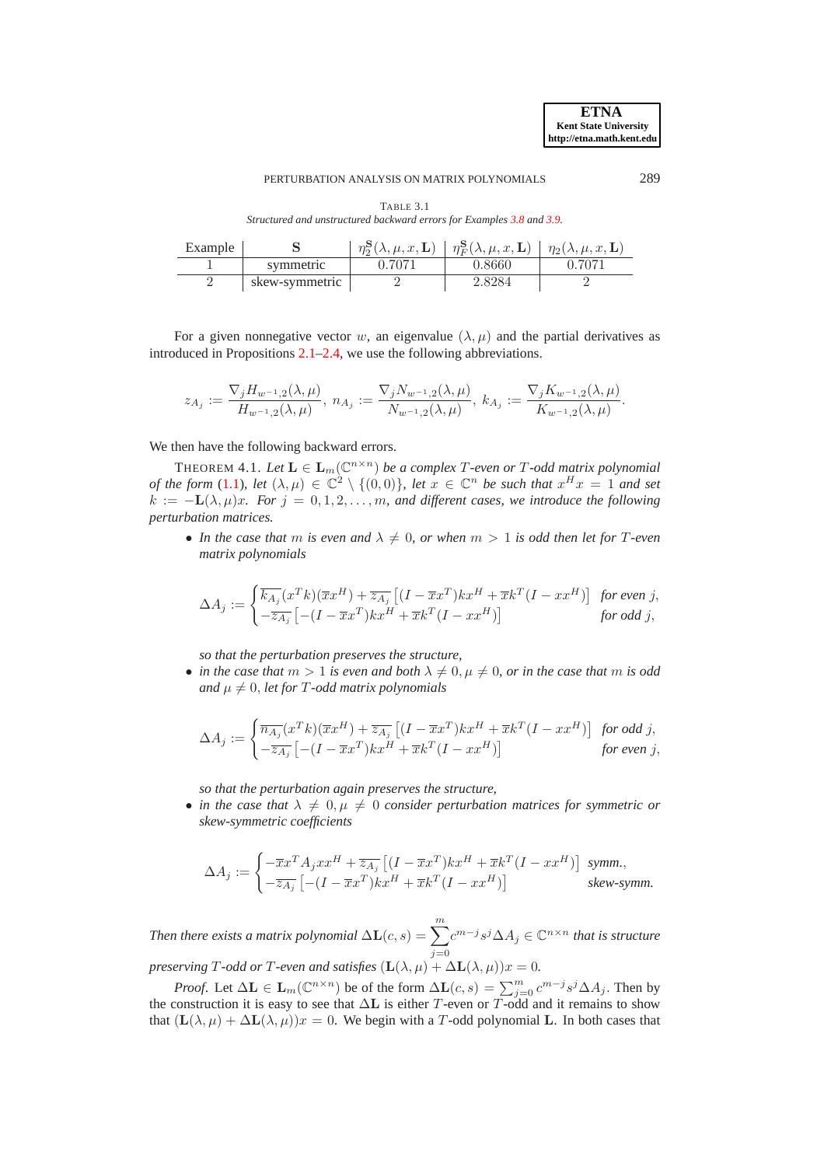<span id="page-14-0"></span>*Structured and unstructured backward errors for Examples [3.8](#page-13-1) and [3.9.](#page-13-2)*

| Example |                | $\eta_2^{\mathbf{S}}(\lambda,\mu,x,\mathbf{L})$ | $\eta = \eta_F^{\mathbf{S}}(\lambda,\mu,x,\mathbf{L}) \mid \eta_2(\lambda,\mu,x,\mathbf{L}) \mid$ |        |
|---------|----------------|-------------------------------------------------|---------------------------------------------------------------------------------------------------|--------|
|         | symmetric      | 0.7071                                          | 0.8660                                                                                            | ባ 7071 |
|         | skew-symmetric |                                                 | 2.8284                                                                                            |        |

For a given nonnegative vector w, an eigenvalue  $(\lambda, \mu)$  and the partial derivatives as introduced in Propositions [2.1–](#page-3-1)[2.4,](#page-4-1) we use the following abbreviations.

<span id="page-14-1"></span>
$$
z_{A_j} := \frac{\nabla_j H_{w^{-1},2}(\lambda,\mu)}{H_{w^{-1},2}(\lambda,\mu)}, \ n_{A_j} := \frac{\nabla_j N_{w^{-1},2}(\lambda,\mu)}{N_{w^{-1},2}(\lambda,\mu)}, \ k_{A_j} := \frac{\nabla_j K_{w^{-1},2}(\lambda,\mu)}{K_{w^{-1},2}(\lambda,\mu)}.
$$

We then have the following backward errors.

THEOREM 4.1. Let  $\mathbf{L} \in \mathbf{L}_m(\mathbb{C}^{n \times n})$  be a complex T-even or T-odd matrix polynomial *of the form* [\(1.1\)](#page-0-0)*, let*  $(\lambda, \mu) \in \mathbb{C}^2 \setminus \{(0, 0)\}\$ *, let*  $x \in \mathbb{C}^n$  *be such that*  $x^H x = 1$  *and set*  $k := -L(\lambda, \mu)x$ *. For*  $j = 0, 1, 2, \ldots, m$ *, and different cases, we introduce the following perturbation matrices.*

• In the case that m is even and  $\lambda \neq 0$ , or when  $m > 1$  is odd then let for T-even *matrix polynomials*

$$
\Delta A_j:=\begin{cases} \overline{k_{A_j}}(x^T k)(\overline{x} x^H)+\overline{z_{A_j}}\left[(I-\overline{x} x^T) k x^H+\overline{x} k^T(I-x x^H)\right] \ \textit{for even $j$},\\ -\overline{z_{A_j}}\left[-(I-\overline{x} x^T) k x^H+\overline{x} k^T(I-x x^H)\right] \ \textit{for odd $j$}, \end{cases}
$$

*so that the perturbation preserves the structure,*

• *in the case that*  $m > 1$  *is even and both*  $\lambda \neq 0, \mu \neq 0$ *, or in the case that* m *is odd and*  $\mu \neq 0$ , *let for* T-odd matrix polynomials

$$
\Delta A_j := \begin{cases} \overline{n_{A_j}}(x^T k)(\overline{x} x^H) + \overline{z_{A_j}} \left[ (I - \overline{x} x^T) k x^H + \overline{x} k^T (I - x x^H) \right] & \text{for odd } j, \\ -\overline{z_{A_j}} \left[ -(I - \overline{x} x^T) k x^H + \overline{x} k^T (I - x x^H) \right] & \text{for even } j, \end{cases}
$$

*so that the perturbation again preserves the structure,*

• *in the case that*  $\lambda \neq 0, \mu \neq 0$  *consider perturbation matrices for symmetric or skew-symmetric coefficients*

$$
\Delta A_j := \begin{cases}\n-\overline{x}x^T A_j x x^H + \overline{z_{A_j}} \left[ (I - \overline{x}x^T)k x^H + \overline{x}k^T (I - x x^H) \right] \text{ symm,} \\
-\overline{z_{A_j}} \left[ -(I - \overline{x}x^T)k x^H + \overline{x}k^T (I - x x^H) \right] \text{ skew-symm.}\n\end{cases}
$$

*Then there exists a matrix polynomial*  $\Delta L(c,s) = \sum^{m}$  $j=0$  $c^{m-j} s^j$ ∆ $A_j$  ∈  $\mathbb{C}^{n \times n}$  *that is structure preserving T*-odd or *T*-even and satisfies  $(L(\lambda, \mu) + \Delta L(\lambda, \mu))x = 0$ .

*Proof.* Let  $\Delta L \in \mathbf{L}_m(\mathbb{C}^{n \times n})$  be of the form  $\Delta L(c, s) = \sum_{j=0}^m c^{m-j} s^j \Delta A_j$ . Then by the construction it is easy to see that  $\Delta L$  is either T-even or T-odd and it remains to show that  $(L(\lambda, \mu) + \Delta L(\lambda, \mu))x = 0$ . We begin with a T-odd polynomial L. In both cases that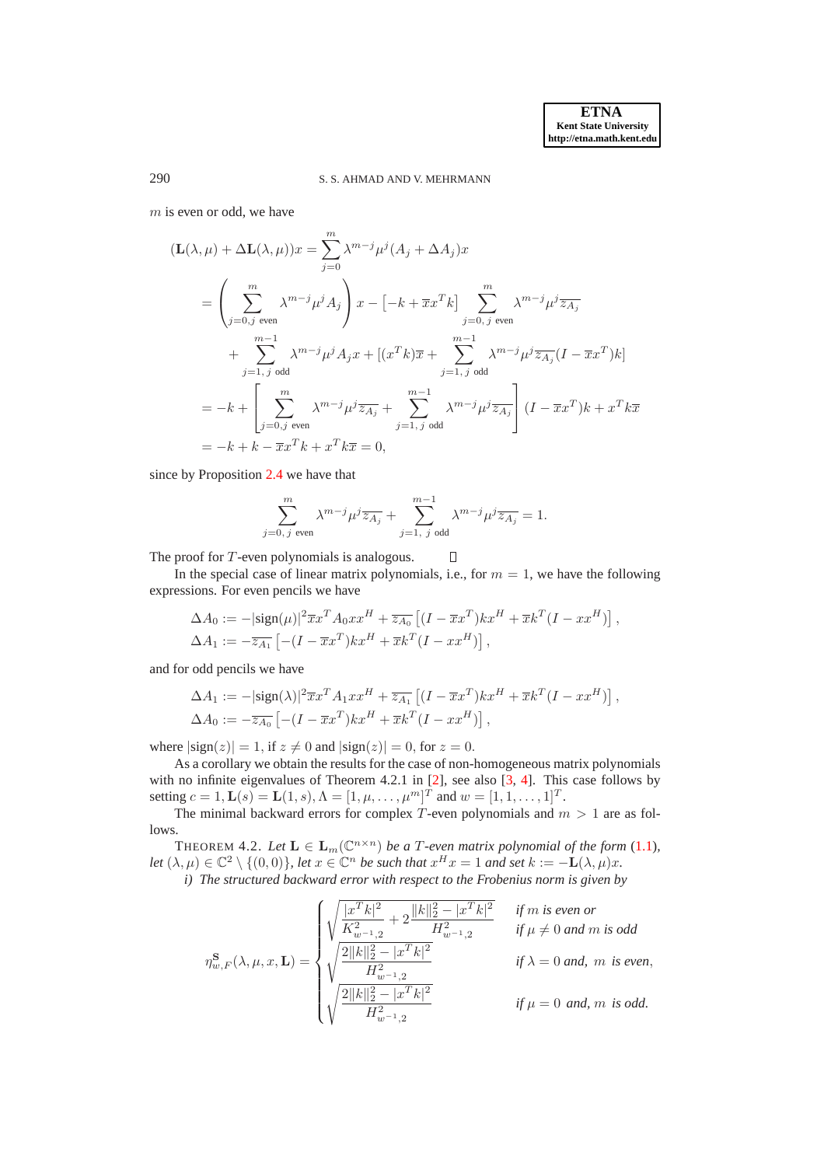# 290 S. S. AHMAD AND V. MEHRMANN

 $m$  is even or odd, we have

$$
(\mathbf{L}(\lambda,\mu) + \Delta \mathbf{L}(\lambda,\mu))x = \sum_{j=0}^{m} \lambda^{m-j} \mu^{j} (A_j + \Delta A_j)x
$$
  
\n
$$
= \left(\sum_{j=0,j \text{ even}}^{m} \lambda^{m-j} \mu^{j} A_j\right) x - \left[-k + \overline{x}x^{T}k\right] \sum_{j=0,j \text{ even}}^{m} \lambda^{m-j} \mu^{j} \overline{z_{A_j}}
$$
  
\n
$$
+ \sum_{j=1,j \text{ odd}}^{m-1} \lambda^{m-j} \mu^{j} A_j x + \left[(x^{T}k)\overline{x} + \sum_{j=1,j \text{ odd}}^{m-1} \lambda^{m-j} \mu^{j} \overline{z_{A_j}} (I - \overline{x}x^{T})k\right]
$$
  
\n
$$
= -k + \left[\sum_{j=0,j \text{ even}}^{m} \lambda^{m-j} \mu^{j} \overline{z_{A_j}} + \sum_{j=1,j \text{ odd}}^{m-1} \lambda^{m-j} \mu^{j} \overline{z_{A_j}}\right] (I - \overline{x}x^{T})k + x^{T}k\overline{x}
$$
  
\n
$$
= -k + k - \overline{x}x^{T}k + x^{T}k\overline{x} = 0,
$$

since by Proposition [2.4](#page-4-1) we have that

$$
\sum_{j=0, j \text{ even}}^{m} \lambda^{m-j} \mu^j \overline{z_{A_j}} + \sum_{j=1, j \text{ odd}}^{m-1} \lambda^{m-j} \mu^j \overline{z_{A_j}} = 1.
$$

The proof for T-even polynomials is analogous.  $\Box$ 

In the special case of linear matrix polynomials, i.e., for  $m = 1$ , we have the following expressions. For even pencils we have

$$
\Delta A_0 := -|\text{sign}(\mu)|^2 \overline{x} x^T A_0 x x^H + \overline{z_{A_0}} \left[ (I - \overline{x} x^T) k x^H + \overline{x} k^T (I - x x^H) \right],
$$
  

$$
\Delta A_1 := -\overline{z_{A_1}} \left[ -(I - \overline{x} x^T) k x^H + \overline{x} k^T (I - x x^H) \right],
$$

and for odd pencils we have

$$
\Delta A_1 := -|\text{sign}(\lambda)|^2 \overline{x} x^T A_1 x x^H + \overline{z_{A_1}} \left[ (I - \overline{x} x^T) k x^H + \overline{x} k^T (I - x x^H) \right],
$$
  

$$
\Delta A_0 := -\overline{z_{A_0}} \left[ -(I - \overline{x} x^T) k x^H + \overline{x} k^T (I - x x^H) \right],
$$

where  $|\text{sign}(z)| = 1$ , if  $z \neq 0$  and  $|\text{sign}(z)| = 0$ , for  $z = 0$ .

As a corollary we obtain the results for the case of non-homogeneous matrix polynomials with no infinite eigenvalues of Theorem 4.2.1 in [\[2\]](#page-26-0), see also [\[3,](#page-26-1) [4\]](#page-26-2). This case follows by setting  $c = 1$ ,  $\mathbf{L}(s) = \mathbf{L}(1, s)$ ,  $\Lambda = [1, \mu, \dots, \mu^m]^T$  and  $w = [1, 1, \dots, 1]^T$ .

The minimal backward errors for complex T-even polynomials and  $m > 1$  are as follows.

<span id="page-15-0"></span>THEOREM 4.2. Let  $\mathbf{L} \in \mathbf{L}_m(\mathbb{C}^{n \times n})$  be a T-even matrix polynomial of the form [\(1.1\)](#page-0-0), *let*  $(\lambda, \mu) \in \mathbb{C}^2 \setminus \{(0, 0)\}\$ , *let*  $x \in \mathbb{C}^n$  *be such that*  $x^H x = 1$  *and set*  $k := -L(\lambda, \mu)x$ .

*i) The structured backward error with respect to the Frobenius norm is given by*

$$
\eta_{w,F}^{\mathbf{S}}(\lambda,\mu,x,\mathbf{L}) = \begin{cases} \sqrt{\frac{|x^T k|^2}{K_{w^{-1},2}^2}+2\frac{\|k\|_2^2-|x^T k|^2}{H_{w^{-1},2}^2}} & \text{ if $m$ is even or} \\ \sqrt{\frac{2\|k\|_2^2-|x^T k|^2}{H_{w^{-1},2}^2}} & \text{ if $\mu\neq 0$ and $m$ is odd} \\ \sqrt{\frac{2\|k\|_2^2-|x^T k|^2}{H_{w^{-1},2}^2}} & \text{ if $\lambda=0$ and, $m$ is even,} \\ \sqrt{\frac{2\|k\|_2^2-|x^T k|^2}{H_{w^{-1},2}^2}} & \text{ if $\mu=0$ and, $m$ is odd.} \end{cases}
$$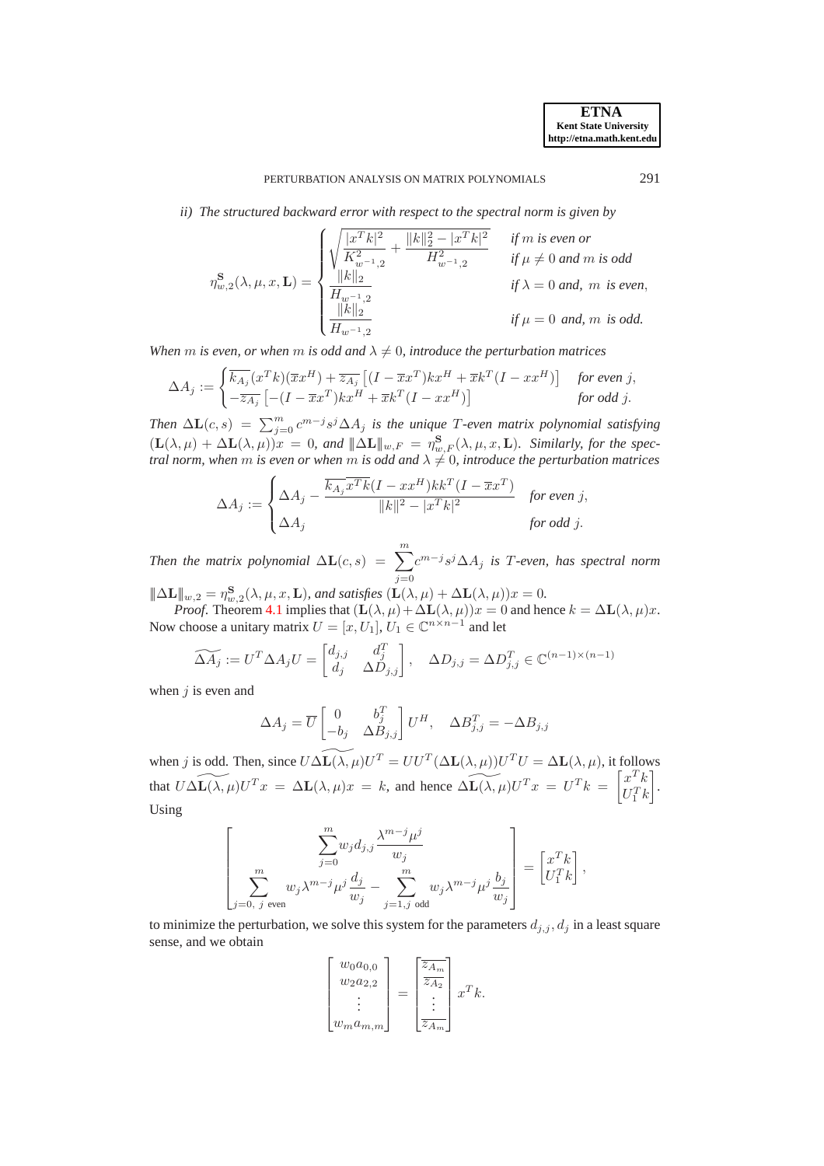*ii) The structured backward error with respect to the spectral norm is given by*

$$
\eta_{w,2}^{\mathbf{S}}(\lambda,\mu,x,\mathbf{L}) = \begin{cases} \sqrt{\frac{|x^T k|^2}{K_{w^{-1},2}^2} + \frac{\|k\|_2^2 - |x^T k|^2}{H_{w^{-1},2}^2}} & \text{if $m$ is even or} \\ \frac{\|k\|_2}{H_{w^{-1},2}} & \text{if $\mu \neq 0$ and $m$ is odd} \\ \frac{\|k\|_2}{H_{w^{-1},2}} & \text{if $\lambda = 0$ and, $m$ is even,} \\ \frac{\|k\|_2}{H_{w^{-1},2}} & \text{if $\mu = 0$ and, $m$ is odd.} \end{cases}
$$

*When m is even, or when m is odd and*  $\lambda \neq 0$ *, introduce the perturbation matrices* 

$$
\Delta A_j := \begin{cases} \overline{k_{A_j}}(x^T k)(\overline{x} x^H) + \overline{z_{A_j}} \left[ (I - \overline{x} x^T) k x^H + \overline{x} k^T (I - x x^H) \right] & \text{for even } j, \\ -\overline{z_{A_j}} \left[ -(I - \overline{x} x^T) k x^H + \overline{x} k^T (I - x x^H) \right] & \text{for odd } j. \end{cases}
$$

*Then*  $\Delta L(c, s) = \sum_{j=0}^{m} c^{m-j} s^j \Delta A_j$  *is the unique T*-even matrix polynomial satisfying  $(\mathbf{L}(\lambda,\mu) + \Delta \mathbf{L}(\lambda,\mu))x = 0$ , and  $\|\Delta \mathbf{L}\|_{w,F} = \eta_{w,F}^{\mathbf{S}}(\lambda,\mu,x,\mathbf{L})$ . Similarly, for the spec*tral norm, when m is even or when m is odd and*  $\lambda \neq 0$ *, introduce the perturbation matrices* 

$$
\Delta A_j := \begin{cases} \Delta A_j - \frac{\overline{k_{A_j}} \overline{x^T k} (I - x x^H) k k^T (I - \overline{x} x^T)}{\|k\|^2 - |x^T k|^2} & \text{for even } j, \\ \Delta A_j & \text{for odd } j. \end{cases}
$$

*Then the matrix polynomial*  $\Delta L(c,s) = \sum_{m=1}^{m}$  $j=0$ c m−j s <sup>j</sup>∆A<sup>j</sup> *is* T*-even, has spectral norm*

 $|\!|\!|\Delta\mathbf{L}|\!|\!|_{w,2} = \eta_{w,2}^{\mathbf{S}}(\lambda,\mu,x,\mathbf{L})$ *, and satisfies*  $(\mathbf{L}(\lambda,\mu) + \Delta\mathbf{L}(\lambda,\mu))x = 0$ *. Proof.* Theorem [4.1](#page-14-1) implies that  $(L(\lambda, \mu) + \Delta L(\lambda, \mu))x = 0$  and hence  $k = \Delta L(\lambda, \mu)x$ . Now choose a unitary matrix  $U = [x, U_1], U_1 \in \mathbb{C}^{n \times n-1}$  and let

$$
\widetilde{\Delta A_j} := U^T \Delta A_j U = \begin{bmatrix} d_{j,j} & d_j^T \\ d_j & \Delta D_{j,j} \end{bmatrix}, \quad \Delta D_{j,j} = \Delta D_{j,j}^T \in \mathbb{C}^{(n-1)\times(n-1)}
$$

when  $j$  is even and

$$
\Delta A_j = \overline{U} \begin{bmatrix} 0 & b_j^T \\ -b_j & \Delta B_{j,j} \end{bmatrix} U^H, \quad \Delta B_{j,j}^T = -\Delta B_{j,j}
$$

when j is odd. Then, since  $\widetilde{U\Delta L(\lambda,\mu)}U^T = U U^T(\Delta L(\lambda,\mu))U^T U = \Delta L(\lambda,\mu)$ , it follows that  $\widetilde{U \Delta L(\lambda, \mu)} U^T x = \Delta L(\lambda, \mu) x = k$ , and hence  $\widetilde{\Delta L(\lambda, \mu)} U^T x = U^T k = \begin{bmatrix} x^T k \\ r^T \mu \end{bmatrix}$  $U_1^T k$ ¸ . Using

$$
\left[\sum_{\substack{m\\j=0,\ j\text{ even}}}^m w_j \lambda^{m-j} \mu^j \frac{d_j}{w_j} - \sum_{\substack{m\\j=1,j\text{ odd}}}^m w_j \lambda^{m-j} \mu^j \frac{b_j}{w_j}\right] = \begin{bmatrix} x^T k \\ U_1^T k \end{bmatrix},
$$

to minimize the perturbation, we solve this system for the parameters  $d_{j,j}$ ,  $d_j$  in a least square sense, and we obtain

$$
\begin{bmatrix} w_0 a_{0,0} \\ w_2 a_{2,2} \\ \vdots \\ w_m a_{m,m} \end{bmatrix} = \begin{bmatrix} \overline{z_{A_m}} \\ \overline{z_{A_2}} \\ \vdots \\ \overline{z_{A_m}} \end{bmatrix} x^T k.
$$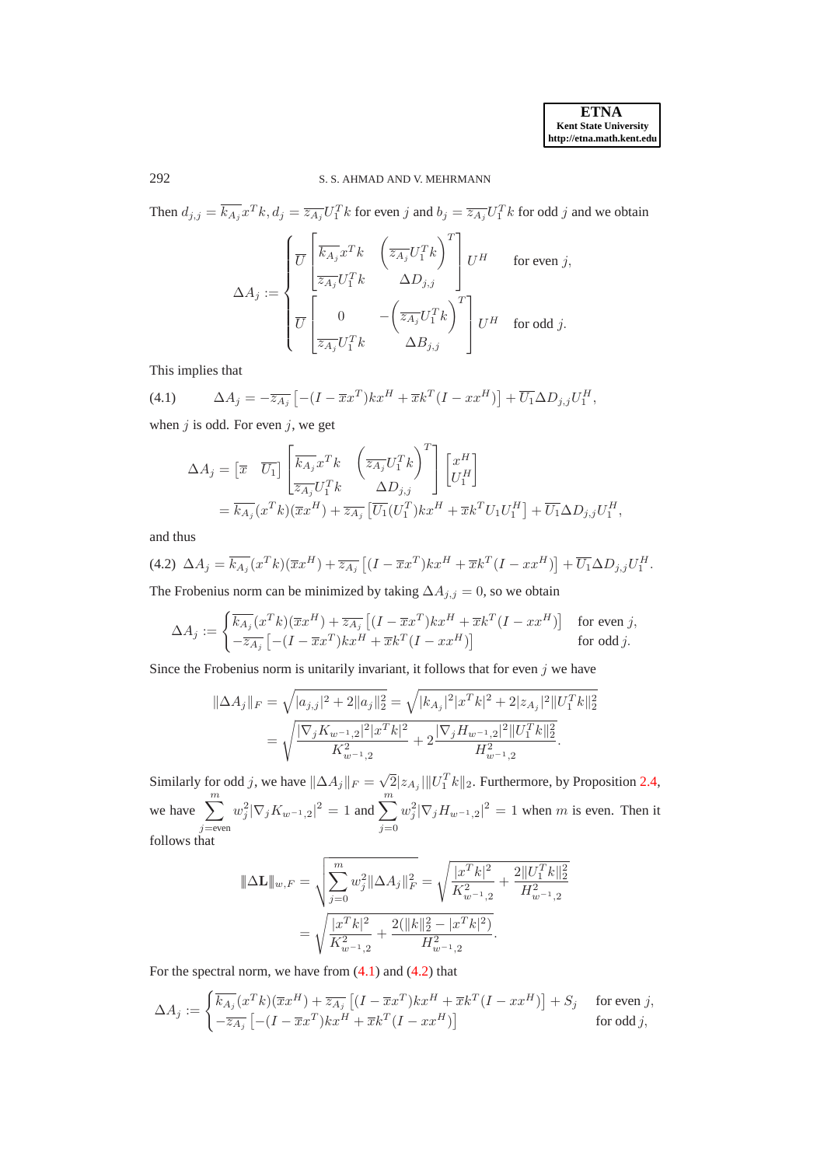# 292 S. S. AHMAD AND V. MEHRMANN

Then  $d_{j,j} = \overline{k_{A_j}} x^T k$ ,  $d_j = \overline{z_{A_j}} U_1^T k$  for even j and  $b_j = \overline{z_{A_j}} U_1^T k$  for odd j and we obtain

$$
\Delta A_j := \begin{cases} \overline{U} \begin{bmatrix} \overline{k_{A_j}} x^T k & \left( \overline{z_{A_j}} U_1^T k \right)^T \\ \overline{z_{A_j}} U_1^T k & \Delta D_{j,j} \end{bmatrix} U^H & \text{ for even } j, \\ \overline{U} \begin{bmatrix} 0 & -\left( \overline{z_{A_j}} U_1^T k \right)^T \\ \overline{z_{A_j}} U_1^T k & \Delta B_{j,j} \end{bmatrix} U^H & \text{ for odd } j. \end{cases}
$$

<span id="page-17-0"></span>This implies that

(4.1) 
$$
\Delta A_j = -\overline{z_{A_j}} \left[ -(I - \overline{x} x^T) k x^H + \overline{x} k^T (I - x x^H) \right] + \overline{U_1} \Delta D_{j,j} U_1^H,
$$

when  $j$  is odd. For even  $j$ , we get

$$
\Delta A_j = \begin{bmatrix} \overline{x} & \overline{U_1} \end{bmatrix} \begin{bmatrix} \overline{k_{A_j}} x^T k & \left( \overline{z_{A_j}} U_1^T k \right)^T \\ \overline{z_{A_j}} U_1^T k & \Delta D_{j,j} \end{bmatrix} \begin{bmatrix} x^H \\ U_1^H \end{bmatrix} \n= \overline{k_{A_j}} (x^T k) (\overline{x} x^H) + \overline{z_{A_j}} \begin{bmatrix} \overline{U_1} (U_1^T) k x^H + \overline{x} k^T U_1 U_1^H \end{bmatrix} + \overline{U_1} \Delta D_{j,j} U_1^H,
$$

<span id="page-17-1"></span>and thus

$$
(4.2)\ \Delta A_j = \overline{k_{A_j}}(x^T k)(\overline{x} x^H) + \overline{z_{A_j}} \left[ (I - \overline{x} x^T) k x^H + \overline{x} k^T (I - x x^H) \right] + \overline{U_1} \Delta D_{j,j} U_1^H.
$$

The Frobenius norm can be minimized by taking  $\Delta A_{j,j} = 0$ , so we obtain

$$
\Delta A_j := \begin{cases} \overline{k_{A_j}}(x^T k)(\overline{x} x^H) + \overline{z_{A_j}} \left[ (I - \overline{x} x^T) k x^H + \overline{x} k^T (I - x x^H) \right] & \text{for even } j, \\ -\overline{z_{A_j}} \left[ -(I - \overline{x} x^T) k x^H + \overline{x} k^T (I - x x^H) \right] & \text{for odd } j. \end{cases}
$$

Since the Frobenius norm is unitarily invariant, it follows that for even  $j$  we have

$$
\|\Delta A_j\|_F = \sqrt{|a_{j,j}|^2 + 2||a_j||_2^2} = \sqrt{|k_{A_j}|^2 |x^T k|^2 + 2|z_{A_j}|^2 ||U_1^T k||_2^2}
$$
  
= 
$$
\sqrt{\frac{|\nabla_j K_{w^{-1},2}|^2 |x^T k|^2}{K_{w^{-1},2}^2} + 2\frac{|\nabla_j H_{w^{-1},2}|^2 ||U_1^T k||_2^2}{H_{w^{-1},2}^2}}.
$$

Similarly for odd j, we have  $\|\Delta A_j\|_F = \sqrt{2} |z_{A_j}|\|U_1^T k\|_2$ . Furthermore, by Proposition [2.4,](#page-4-1) we have  $\sum_{m=1}^{m}$  $j$ =even  $w_j^2 |\nabla_j K_{w^{-1},2}|^2 = 1$  and  $\sum^m$  $j=0$  $w_j^2 |\nabla_j H_{w^{-1},2}|^2 = 1$  when m is even. Then it follows that

$$
\|\Delta \mathbf{L}\|_{w,F} = \sqrt{\sum_{j=0}^{m} w_j^2 \|\Delta A_j\|_F^2} = \sqrt{\frac{|x^T k|^2}{K_{w^{-1},2}^2} + \frac{2||U_1^T k||_2^2}{H_{w^{-1},2}^2}}
$$

$$
= \sqrt{\frac{|x^T k|^2}{K_{w^{-1},2}^2} + \frac{2(||k||_2^2 - |x^T k|^2)}{H_{w^{-1},2}^2}}.
$$

For the spectral norm, we have from  $(4.1)$  and  $(4.2)$  that

$$
\Delta A_j := \begin{cases} \overline{k_{A_j}}(x^T k)(\overline{x} x^H) + \overline{z_{A_j}} \left[ (I - \overline{x} x^T) k x^H + \overline{x} k^T (I - x x^H) \right] + S_j & \text{for even } j, \\ -\overline{z_{A_j}} \left[ -(I - \overline{x} x^T) k x^H + \overline{x} k^T (I - x x^H) \right] & \text{for odd } j, \end{cases}
$$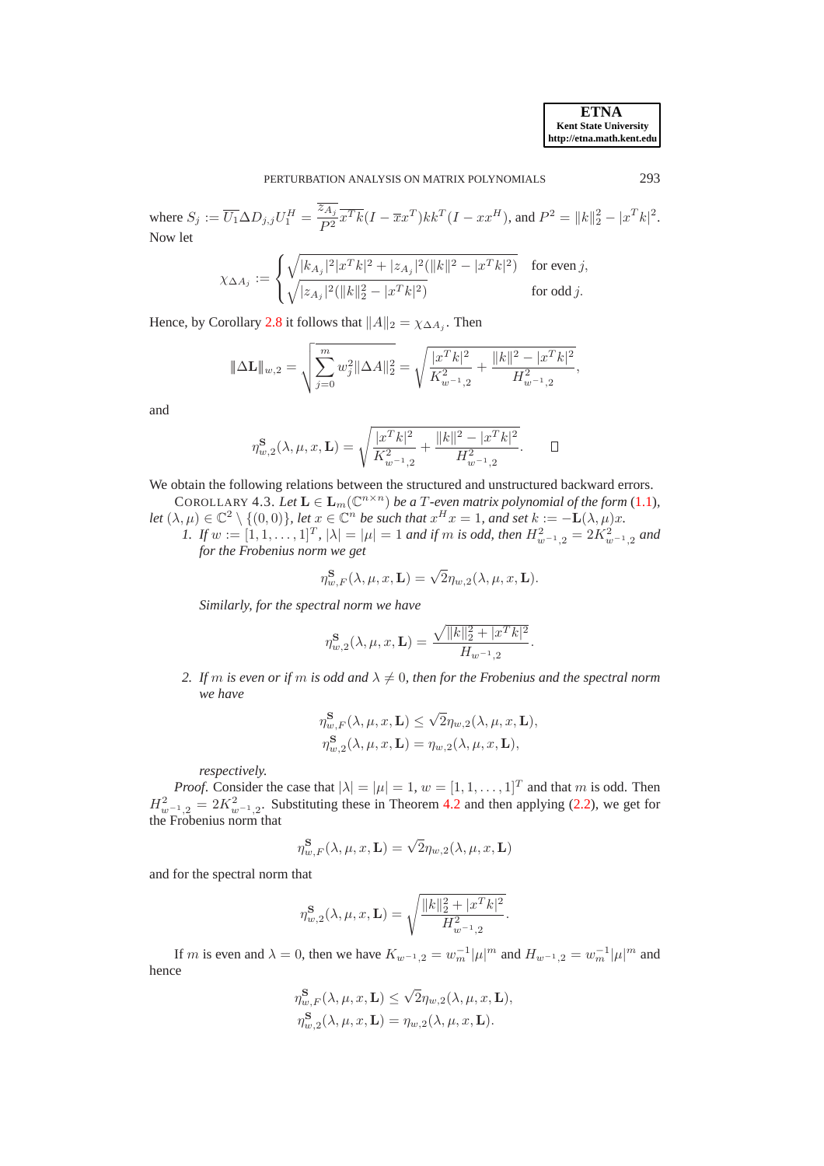where  $S_j := \overline{U_1} \Delta D_{j,j} U_1^H = \frac{\overline{z_{A_j}}}{R^2}$  $\frac{kA_j}{P^2}\overline{x^Tk}(I-\overline{x}x^T)kk^T(I-xx^H)$ , and  $P^2 = ||k||_2^2 - |x^Tk|^2$ . Now let

$$
\chi_{\Delta A_j}:=\begin{cases} \sqrt{|k_{A_j}|^2|x^Tk|^2+|z_{A_j}|^2(\|k\|^2-|x^Tk|^2)} & \text{for even $j$,} \\ \sqrt{|z_{A_j}|^2(\|k\|_2^2-|x^Tk|^2)} & \text{for odd $j$.} \end{cases}
$$

Hence, by Corollary [2.8](#page-6-4) it follows that  $||A||_2 = \chi_{\Delta A_j}$ . Then

$$
\|\Delta \mathbf{L}\|_{w,2} = \sqrt{\sum_{j=0}^{m} w_j^2 \|\Delta A\|_2^2} = \sqrt{\frac{|x^T k|^2}{K_{w^{-1},2}^2} + \frac{\|k\|^2 - |x^T k|^2}{H_{w^{-1},2}^2}},
$$

and

$$
\eta_{w,2}^{\mathbf{S}}(\lambda,\mu,x,\mathbf{L}) = \sqrt{\frac{|x^T k|^2}{K_{w^{-1},2}^2} + \frac{\|k\|^2 - |x^T k|^2}{H_{w^{-1},2}^2}}.\quad \Box
$$

We obtain the following relations between the structured and unstructured backward errors. COROLLARY 4.3. Let  $\mathbf{L} \in \mathbf{L}_m(\mathbb{C}^{n \times n})$  *be a T*-even matrix polynomial of the form [\(1.1\)](#page-0-0),

*let*  $(\lambda, \mu) \in \mathbb{C}^2 \setminus \{(0, 0)\}\)$ , *let*  $x \in \mathbb{C}^n$  *be such that*  $x^H x = 1$ *, and set*  $k := -L(\lambda, \mu)x$ *.* 

*1. If*  $w := [1, 1, \ldots, 1]^T$ ,  $|\lambda| = |\mu| = 1$  *and if*  $m$  *is odd, then*  $H^2_{w^{-1},2} = 2K^2_{w^{-1},2}$  *and for the Frobenius norm we get*

<span id="page-18-0"></span>
$$
\eta_{w,F}^{\mathbf{S}}(\lambda,\mu,x,\mathbf{L})=\sqrt{2}\eta_{w,2}(\lambda,\mu,x,\mathbf{L}).
$$

*Similarly, for the spectral norm we have*

$$
\eta_{w,2}^{\mathbf{S}}(\lambda,\mu,x,\mathbf{L}) = \frac{\sqrt{\|k\|_2^2 + |x^T k|^2}}{H_{w^{-1},2}}.
$$

*2. If* m *is even or if* m *is odd and*  $\lambda \neq 0$ , then for the Frobenius and the spectral norm *we have*

$$
\begin{aligned} &\eta_{w,F}^{\mathbf{S}}(\lambda,\mu,x,\mathbf{L})\leq\sqrt{2}\eta_{w,2}(\lambda,\mu,x,\mathbf{L}),\\ &\eta_{w,2}^{\mathbf{S}}(\lambda,\mu,x,\mathbf{L})=\eta_{w,2}(\lambda,\mu,x,\mathbf{L}), \end{aligned}
$$

*respectively.*

*Proof.* Consider the case that  $|\lambda| = |\mu| = 1$ ,  $w = [1, 1, \dots, 1]^T$  and that m is odd. Then  $H^2_{w^{-1},2} = 2K^2_{w^{-1},2}$ . Substituting these in Theorem [4.2](#page-15-0) and then applying [\(2.2\)](#page-3-3), we get for the Frobenius norm that

$$
\eta_{w,F}^{\mathbf{S}}(\lambda,\mu,x,\mathbf{L})=\sqrt{2}\eta_{w,2}(\lambda,\mu,x,\mathbf{L})
$$

and for the spectral norm that

$$
\eta_{w,2}^{\mathbf{S}}(\lambda,\mu,x,\mathbf{L}) = \sqrt{\frac{\|k\|_2^2 + |x^T k|^2}{H_{w^{-1},2}^2}}.
$$

If m is even and  $\lambda = 0$ , then we have  $K_{w^{-1},2} = w_m^{-1} |\mu|^m$  and  $H_{w^{-1},2} = w_m^{-1} |\mu|^m$  and hence

$$
\eta_{w,F}^{\mathbf{S}}(\lambda, \mu, x, \mathbf{L}) \le \sqrt{2} \eta_{w,2}(\lambda, \mu, x, \mathbf{L}),
$$
  

$$
\eta_{w,2}^{\mathbf{S}}(\lambda, \mu, x, \mathbf{L}) = \eta_{w,2}(\lambda, \mu, x, \mathbf{L}).
$$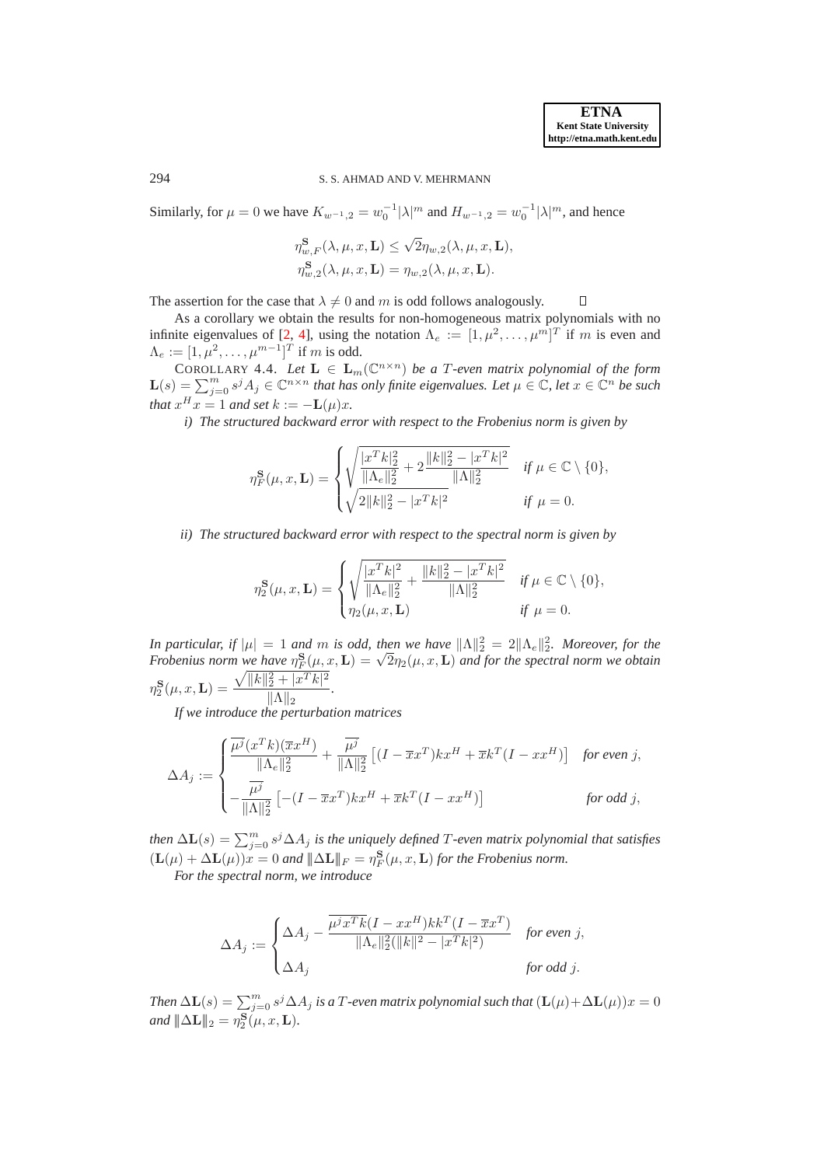## 294 S. S. AHMAD AND V. MEHRMANN

Similarly, for  $\mu = 0$  we have  $K_{w^{-1},2} = w_0^{-1} |\lambda|^m$  and  $H_{w^{-1},2} = w_0^{-1} |\lambda|^m$ , and hence

$$
\begin{aligned} &\eta_{w,F}^{\mathbf{S}}(\lambda,\mu,x,\mathbf{L})\leq\sqrt{2}\eta_{w,2}(\lambda,\mu,x,\mathbf{L}),\\ &\eta_{w,2}^{\mathbf{S}}(\lambda,\mu,x,\mathbf{L})=\eta_{w,2}(\lambda,\mu,x,\mathbf{L}). \end{aligned}
$$

The assertion for the case that  $\lambda \neq 0$  and m is odd follows analogously.  $\Box$ 

As a corollary we obtain the results for non-homogeneous matrix polynomials with no infinite eigenvalues of [\[2,](#page-26-0) [4\]](#page-26-2), using the notation  $\Lambda_e := [1, \mu^2, \dots, \mu^m]^T$  if m is even and  $\Lambda_e := [1, \mu^2, \dots, \mu^{m-1}]^T$  if m is odd.

COROLLARY 4.4. *Let*  $L \in L_m(\mathbb{C}^{n \times n})$  *be a T-even matrix polynomial of the form*  $\mathbf{L}(s) = \sum_{j=0}^{m} s^j A_j \in \mathbb{C}^{n \times n}$  that has only finite eigenvalues. Let  $\mu \in \mathbb{C}$ , let  $x \in \mathbb{C}^n$  be such *that*  $x^H x = 1$  *and set*  $k := -L(\mu)x$ *.* 

*i) The structured backward error with respect to the Frobenius norm is given by*

$$
\eta_F^{\mathbf{S}}(\mu, x, \mathbf{L}) = \begin{cases} \sqrt{\frac{|x^T k|_2^2}{\|\Lambda_e\|_2^2} + 2\frac{\|k\|_2^2 - |x^T k|^2}{\|\Lambda\|_2^2}} & \text{if } \mu \in \mathbb{C} \setminus \{0\}, \\ \sqrt{2\|k\|_2^2 - |x^T k|^2} & \text{if } \mu = 0. \end{cases}
$$

*ii) The structured backward error with respect to the spectral norm is given by*

$$
\eta_2^{\mathbf{S}}(\mu, x, \mathbf{L}) = \begin{cases} \sqrt{\frac{|x^T k|^2}{\|\Lambda_e\|_2^2} + \frac{\|k\|_2^2 - |x^T k|^2}{\|\Lambda\|_2^2}} & \text{if } \mu \in \mathbb{C} \setminus \{0\}, \\ \eta_2(\mu, x, \mathbf{L}) & \text{if } \mu = 0. \end{cases}
$$

*In particular, if*  $|\mu| = 1$  *and m is odd, then we have*  $\|\Lambda\|_2^2 = 2\|\Lambda_e\|_2^2$ . Moreover, for the Frobenius norm we have  $\eta_F^{\text{E}}(\mu, x, \mathbf{L}) = \sqrt{2} \eta_2(\mu, x, \mathbf{L})$  and for the spectral norm we obtain  $\eta_2^{\bf S}(\mu,x,{\bf L})=\frac{\sqrt{\|k\|_2^2+\|x^Tk\|^2}}{\|{\bf A}\|_2}$  $\frac{2 + |\omega - \kappa|}{\|\Lambda\|_2}$ .

*If we introduce the perturbation matrices*

$$
\Delta A_j := \begin{cases} \frac{\overline{\mu^j}(x^T k)(\overline{x} x^H)}{\|\Lambda_e\|_2^2} + \frac{\overline{\mu^j}}{\|\Lambda\|_2^2} \left[ (I - \overline{x} x^T) k x^H + \overline{x} k^T (I - x x^H) \right] & \text{for even } j, \\ -\frac{\overline{\mu^j}}{\|\Lambda\|_2^2} \left[ -(I - \overline{x} x^T) k x^H + \overline{x} k^T (I - x x^H) \right] & \text{for odd } j, \end{cases}
$$

then  $\Delta \mathbf{L}(s) = \sum_{j=0}^{m} s^j \Delta A_j$  is the uniquely defined T-even matrix polynomial that satisfies  $(\mathbf{L}(\mu) + \Delta \mathbf{L}(\mu))x = 0$  and  $\|\Delta \mathbf{L}\|_F = \eta_F^{\mathbf{S}}(\mu, x, \mathbf{L})$  for the Frobenius norm.

*For the spectral norm, we introduce*

$$
\Delta A_j := \begin{cases} \Delta A_j - \frac{\overline{\mu^j x^T k} (I - x x^H) k k^T (I - \overline{x} x^T)}{\|\Lambda_e\|_2^2 (\|k\|^2 - |x^T k|^2)} & \text{for even } j, \\ \Delta A_j & \text{for odd } j. \end{cases}
$$

*Then*  $\Delta$ **L**(s) =  $\sum_{j=0}^{m} s^j \Delta A_j$  *is a*  $T$ -even matrix polynomial such that  $(L(\mu) + \Delta$ **L**( $\mu$ )) $x = 0$ *and*  $\|\Delta \mathbf{L}\|_2 = \eta_2^{\mathbf{S}}(\mu, x, \mathbf{L}).$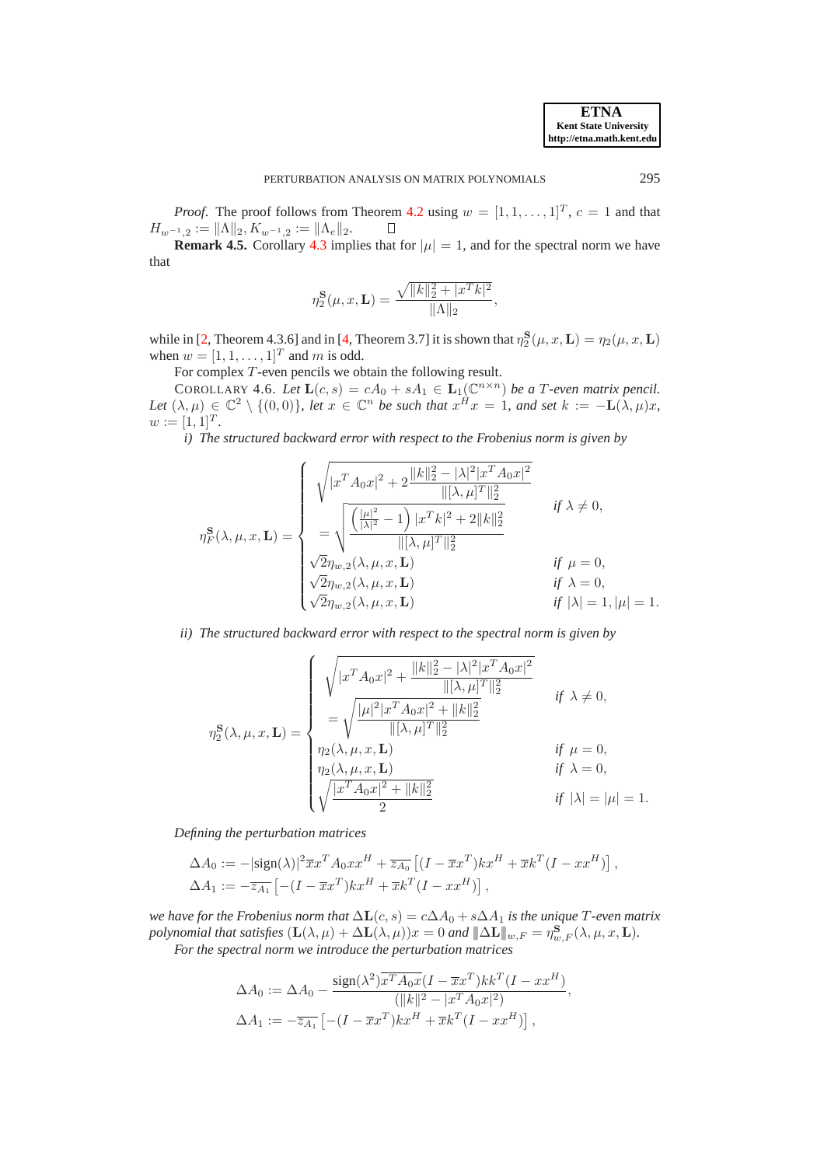*Proof.* The proof follows from Theorem [4.2](#page-15-0) using  $w = [1, 1, \ldots, 1]^T$ ,  $c = 1$  and that  $H_{w^{-1},2} := \|\Lambda\|_2, K_{w^{-1},2} := \|\Lambda_e\|_2.$  $\Box$ 

**Remark 4.5.** Corollary [4.3](#page-18-0) implies that for  $|\mu| = 1$ , and for the spectral norm we have that

<span id="page-20-0"></span>
$$
\eta_2^{\mathbf{S}}(\mu, x, \mathbf{L}) = \frac{\sqrt{\|k\|_2^2 + |x^T k|^2}}{\|\Lambda\|_2},
$$

while in [\[2,](#page-26-0) Theorem 4.3.6] and in [\[4,](#page-26-2) Theorem 3.7] it is shown that  $\eta_2^S(\mu, x, L) = \eta_2(\mu, x, L)$ when  $w = [1, 1, \dots, 1]^T$  and m is odd.

For complex T-even pencils we obtain the following result.

COROLLARY 4.6. Let  $\mathbf{L}(c,s) = cA_0 + sA_1 \in \mathbf{L}_1(\mathbb{C}^{n \times n})$  be a T-even matrix pencil. Let  $(\lambda, \mu) \in \mathbb{C}^2 \setminus \{(0, 0)\}\$ , let  $x \in \mathbb{C}^n$  be such that  $x^H x = 1$ , and set  $k := -L(\lambda, \mu)x$ ,  $w := [1, 1]^T.$ 

*i) The structured backward error with respect to the Frobenius norm is given by*

$$
\eta_F^{\mathbf{S}}(\lambda, \mu, x, \mathbf{L}) = \begin{cases} \sqrt{|x^T A_0 x|^2 + 2 \frac{||k||_2^2 - |\lambda|^2 |x^T A_0 x|^2}{||[\lambda, \mu]^T||_2^2}} & \text{if } \lambda \neq 0, \\ -\sqrt{\frac{|\mu|^2}{|\lambda|^2} - 1} \frac{||x^T k|^2 + 2||k||_2^2}{||[\lambda, \mu]^T||_2^2} & \text{if } \lambda \neq 0, \\ \sqrt{2} \eta_{w,2}(\lambda, \mu, x, \mathbf{L}) & \text{if } \mu = 0, \\ \sqrt{2} \eta_{w,2}(\lambda, \mu, x, \mathbf{L}) & \text{if } \lambda = 0, \\ \sqrt{2} \eta_{w,2}(\lambda, \mu, x, \mathbf{L}) & \text{if } \lambda = 1, |\mu| = 1. \end{cases}
$$

*ii) The structured backward error with respect to the spectral norm is given by*

$$
\eta_2^{\mathbf{S}}(\lambda, \mu, x, \mathbf{L}) = \begin{cases} \sqrt{|x^T A_0 x|^2 + \frac{||k||_2^2 - |\lambda|^2 |x^T A_0 x|^2}{||[\lambda, \mu]^T||_2^2}} & \text{if } \lambda \neq 0, \\ = \sqrt{\frac{|\mu|^2 |x^T A_0 x|^2 + ||k||_2^2}{||[\lambda, \mu]^T||_2^2}} & \text{if } \mu = 0, \\ \eta_2(\lambda, \mu, x, \mathbf{L}) & \text{if } \mu = 0, \\ \eta_2(\lambda, \mu, x, \mathbf{L}) & \text{if } \lambda = 0, \\ \sqrt{\frac{|x^T A_0 x|^2 + ||k||_2^2}{2}} & \text{if } |\lambda| = |\mu| = 1. \end{cases}
$$

*Defining the perturbation matrices*

$$
\Delta A_0 := -|\text{sign}(\lambda)|^2 \overline{x} x^T A_0 x x^H + \overline{z_{A_0}} \left[ (I - \overline{x} x^T) k x^H + \overline{x} k^T (I - x x^H) \right],
$$
  

$$
\Delta A_1 := -\overline{z_{A_1}} \left[ -(I - \overline{x} x^T) k x^H + \overline{x} k^T (I - x x^H) \right],
$$

*we have for the Frobenius norm that*  $\Delta L(c, s) = c\Delta A_0 + s\Delta A_1$  *is the unique*  $T$ -even matrix *polynomial that satisfies*  $(\mathbf{L}(\lambda, \mu) + \Delta \mathbf{L}(\lambda, \mu))x = 0$  *and*  $\|\Delta \mathbf{L}\|_{w,F} = \eta_{w,F}^{\mathbf{S}}(\lambda, \mu, x, \mathbf{L})$ *. For the spectral norm we introduce the perturbation matrices*

$$
\Delta A_0 := \Delta A_0 - \frac{\text{sign}(\lambda^2) \overline{x^T A_0 x} (I - \overline{x} x^T) k k^T (I - x x^H)}{(||k||^2 - |x^T A_0 x|^2)},
$$
  

$$
\Delta A_1 := -\overline{z_{A_1}} \left[ -(I - \overline{x} x^T) k x^H + \overline{x} k^T (I - x x^H) \right],
$$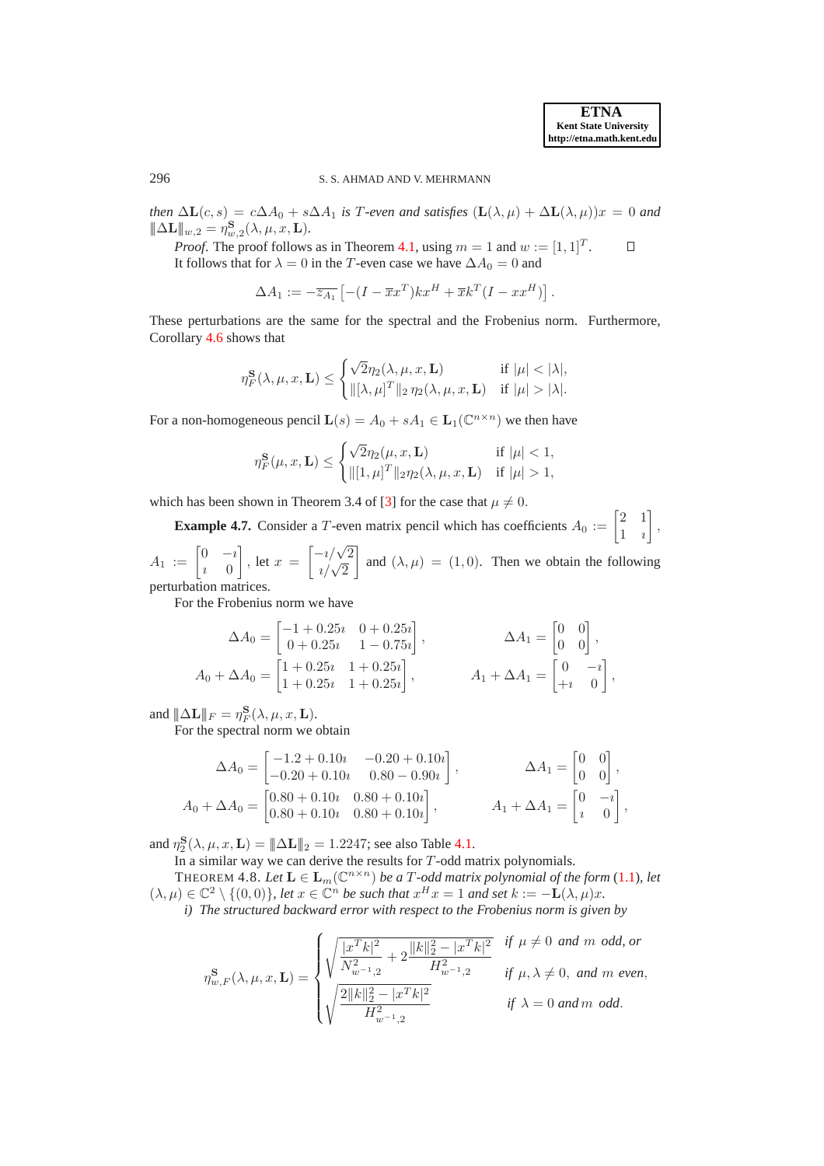# 296 S. S. AHMAD AND V. MEHRMANN

*then*  $\Delta$ **L** $(c, s) = c\Delta A_0 + s\Delta A_1$  *is* T-even and satisfies  $(L(\lambda, \mu) + \Delta$ **L** $(\lambda, \mu))x = 0$  and  $\|\Delta \mathbf{L}\|_{w,2} = \eta_{w,2}^{\mathbf{S}}(\lambda,\mu,x,\mathbf{L}).$ 

*Proof.* The proof follows as in Theorem [4.1,](#page-14-1) using  $m = 1$  and  $w := [1, 1]^T$ .  $\Box$ It follows that for  $\lambda = 0$  in the T-even case we have  $\Delta A_0 = 0$  and

$$
\Delta A_1 := -\overline{z_{A_1}} \left[ -(I - \overline{x}x^T)kx^H + \overline{x}k^T(I - xx^H) \right].
$$

These perturbations are the same for the spectral and the Frobenius norm. Furthermore, Corollary [4.6](#page-20-0) shows that

$$
\eta_F^{\mathbf{S}}(\lambda,\mu,x,\mathbf{L}) \leq \begin{cases} \sqrt{2}\eta_2(\lambda,\mu,x,\mathbf{L}) & \text{if } |\mu| < |\lambda|, \\ \|[\lambda,\mu]^T\|_2 \eta_2(\lambda,\mu,x,\mathbf{L}) & \text{if } |\mu| > |\lambda|. \end{cases}
$$

For a non-homogeneous pencil  $\mathbf{L}(s) = A_0 + sA_1 \in \mathbf{L}_1(\mathbb{C}^{n \times n})$  we then have

$$
\eta_F^{\mathbf{S}}(\mu, x, \mathbf{L}) \leq \begin{cases} \sqrt{2}\eta_2(\mu, x, \mathbf{L}) & \text{if } |\mu| < 1, \\ \| [1, \mu]^T \|_2 \eta_2(\lambda, \mu, x, \mathbf{L}) & \text{if } |\mu| > 1, \end{cases}
$$

<span id="page-21-0"></span>which has been shown in Theorem 3.4 of [\[3\]](#page-26-1) for the case that  $\mu \neq 0$ .

**Example 4.7.** Consider a T-even matrix pencil which has coefficients  $A_0 := \begin{bmatrix} 2 & 1 \\ 1 & 2 \end{bmatrix}$ 1 ı ¸ , 1 1

 $A_1 := \begin{bmatrix} 0 & -i \\ i & 0 \end{bmatrix}$  $i \equiv 0$ , let  $x =$  $\begin{bmatrix} -i/\sqrt{2} \\ i/\sqrt{2} \end{bmatrix}$ and  $(\lambda, \mu) = (1, 0)$ . Then we obtain the following perturbation matrices.

For the Frobenius norm we have

$$
\Delta A_0 = \begin{bmatrix} -1 + 0.25i & 0 + 0.25i \\ 0 + 0.25i & 1 - 0.75i \end{bmatrix}, \qquad \Delta A_1 = \begin{bmatrix} 0 & 0 \\ 0 & 0 \end{bmatrix},
$$
  
\n
$$
A_0 + \Delta A_0 = \begin{bmatrix} 1 + 0.25i & 1 + 0.25i \\ 1 + 0.25i & 1 + 0.25i \end{bmatrix}, \qquad A_1 + \Delta A_1 = \begin{bmatrix} 0 & -i \\ +i & 0 \end{bmatrix},
$$

and  $\|\Delta \mathbf{L}\|_F = \eta_F^{\mathbf{S}}(\lambda, \mu, x, \mathbf{L}).$ 

For the spectral norm we obtain

$$
\Delta A_0 = \begin{bmatrix} -1.2 + 0.10i & -0.20 + 0.10i \\ -0.20 + 0.10i & 0.80 - 0.90i \end{bmatrix}, \qquad \Delta A_1 = \begin{bmatrix} 0 & 0 \\ 0 & 0 \end{bmatrix},
$$
  
\n
$$
A_0 + \Delta A_0 = \begin{bmatrix} 0.80 + 0.10i & 0.80 + 0.10i \\ 0.80 + 0.10i & 0.80 + 0.10i \end{bmatrix}, \qquad A_1 + \Delta A_1 = \begin{bmatrix} 0 & -i \\ i & 0 \end{bmatrix},
$$

and  $\eta_2^{\mathbf{S}}(\lambda, \mu, x, \mathbf{L}) = \|\Delta \mathbf{L}\|_2 = 1.2247$ ; see also Table [4.1.](#page-22-0)

In a similar way we can derive the results for  $T$ -odd matrix polynomials.

THEOREM 4.8. Let  $\mathbf{L} \in \mathbf{L}_m(\mathbb{C}^{n \times n})$  *be a T-odd matrix polynomial of the form* [\(1.1\)](#page-0-0)*, let*  $(\lambda, \mu) \in \mathbb{C}^2 \setminus \{ (0, 0) \}$ , let  $x \in \mathbb{C}^n$  be such that  $x^H x = 1$  and set  $k := -\mathbf{L}(\lambda, \mu)x$ . *i) The structured backward error with respect to the Frobenius norm is given by*

<span id="page-21-1"></span>
$$
\eta_{w,F}^{\bf S}(\lambda,\mu,x,{\bf L})=\begin{cases} \sqrt{\frac{|x^Tk|^2}{N_{w^{-1},2}^2}+2\frac{\|k\|_2^2-|x^Tk|^2}{H_{w^{-1},2}^2}} & \text{if}\,\, \mu\neq 0\,\,and\,\,m\,\,odd,\,or\\ \sqrt{\frac{2\|k\|_2^2-|x^Tk|^2}{H_{w^{-1},2}^2}} & \text{if}\,\, \mu,\lambda\neq 0,\,\,and\,\,m\,\,even,\\ \end{cases}
$$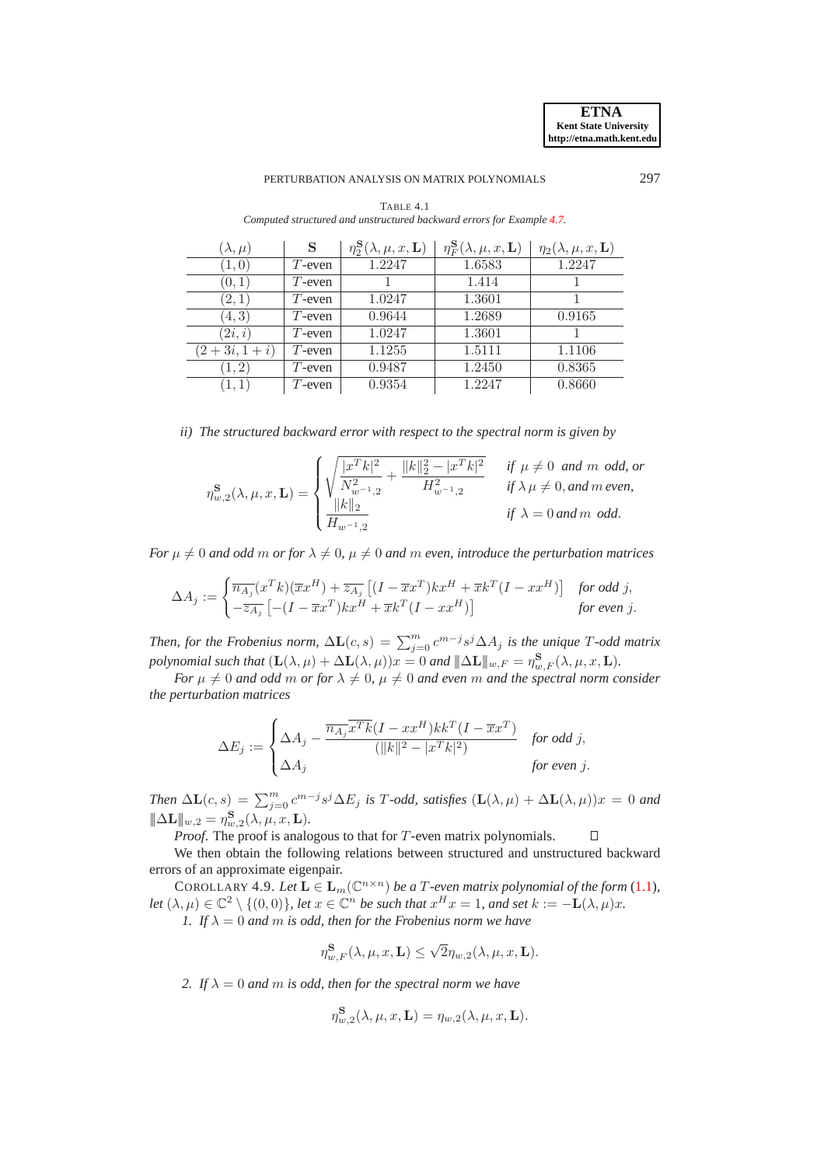### PERTURBATION ANALYSIS ON MATRIX POLYNOMIALS 297

| $(\lambda,\mu)$ | S         | $\eta_2^{\mathbf{S}}(\lambda,\mu,x,\mathbf{L})$ | $\eta_F^{\mathbf{S}}(\lambda,\mu,x,\mathbf{L})$ | $\eta_2(\lambda,\mu,x,\mathbf{L})$ |
|-----------------|-----------|-------------------------------------------------|-------------------------------------------------|------------------------------------|
| (1,0)           | $T$ -even | 1.2247                                          | 1.6583                                          | 1.2247                             |
| (0,1)           | $T$ -even |                                                 | 1.414                                           |                                    |
| (2,1)           | $T$ -even | 1.0247                                          | 1.3601                                          |                                    |
| (4,3)           | $T$ -even | 0.9644                                          | 1.2689                                          | 0.9165                             |
| (2i, i)         | $T$ -even | 1.0247                                          | 1.3601                                          |                                    |
| $(2+3i, 1+i)$   | $T$ -even | 1.1255                                          | 1.5111                                          | 1.1106                             |
| (1, 2)          | $T$ -even | 0.9487                                          | 1.2450                                          | 0.8365                             |
| (1,1)           | $T$ -even | 0.9354                                          | 1.2247                                          | 0.8660                             |

<span id="page-22-0"></span>TABLE 4.1 *Computed structured and unstructured backward errors for Example [4.7.](#page-21-0)*

*ii) The structured backward error with respect to the spectral norm is given by*

$$
\eta_{w,2}^{\mathbf{S}}(\lambda,\mu,x,\mathbf{L}) = \begin{cases} \sqrt{\frac{|x^T k|^2}{N_{w^{-1},2}^2} + \frac{\|k\|_2^2 - |x^T k|^2}{H_{w^{-1},2}^2}} & \text{if } \mu \neq 0 \text{ and } m \text{ odd, or} \\ \frac{\|k\|_2}{H_{w^{-1},2}} & \text{if } \lambda \mu \neq 0, \text{and } m \text{ even,} \\ H_{w^{-1},2} & \text{if } \lambda = 0 \text{ and } m \text{ odd.} \end{cases}
$$

*For*  $\mu \neq 0$  *and odd* m *or for*  $\lambda \neq 0$ ,  $\mu \neq 0$  *and* m *even, introduce the perturbation matrices* 

$$
\Delta A_j := \begin{cases} \overline{n_{A_j}}(x^T k)(\overline{x} x^H) + \overline{z_{A_j}} \left[ (I - \overline{x} x^T) k x^H + \overline{x} k^T (I - x x^H) \right] & \text{for odd } j, \\ -\overline{z_{A_j}} \left[ -(I - \overline{x} x^T) k x^H + \overline{x} k^T (I - x x^H) \right] & \text{for even } j. \end{cases}
$$

*Then, for the Frobenius norm,*  $\Delta L(c, s) = \sum_{j=0}^{m} c^{m-j} s^j \Delta A_j$  *is the unique* T-odd matrix *polynomial such that*  $(\mathbf{L}(\lambda, \mu) + \Delta \mathbf{L}(\lambda, \mu))x = 0$  *and*  $\|\Delta \mathbf{L}\|_{w,F} = \eta_{w,F}^{\mathbf{S}}(\lambda, \mu, x, \mathbf{L})$ .

*For*  $\mu \neq 0$  *and odd* m *or for*  $\lambda \neq 0$ ,  $\mu \neq 0$  *and even* m *and the spectral norm consider the perturbation matrices*

$$
\Delta E_j := \begin{cases} \Delta A_j - \frac{\overline{n_{A_j}} \overline{x^T k} (I - x x^H) k k^T (I - \overline{x} x^T)}{(\|k\|^2 - |x^T k|^2)} & \text{for odd } j, \\ \Delta A_j & \text{for even } j. \end{cases}
$$

*Then*  $\Delta L(c, s) = \sum_{j=0}^{m} c^{m-j} s^j \Delta E_j$  *is T*-odd, satisfies  $(L(\lambda, \mu) + \Delta L(\lambda, \mu))x = 0$  and  $\|\Delta \mathbf{L}\|_{w,2} = \eta_{w,2}^{\mathbf{S}}(\lambda, \mu, x, \mathbf{L}).$ 

*Proof*. The proof is analogous to that for T-even matrix polynomials.  $\Box$ 

We then obtain the following relations between structured and unstructured backward errors of an approximate eigenpair.

COROLLARY 4.9. Let  $\mathbf{L} \in \mathbf{L}_m(\mathbb{C}^{n \times n})$  *be a T*-even matrix polynomial of the form [\(1.1\)](#page-0-0), *let*  $(\lambda, \mu) \in \mathbb{C}^2 \setminus \{(0, 0)\}\$ , *let*  $x \in \mathbb{C}^n$  *be such that*  $x^H x = 1$ *, and set*  $k := -L(\lambda, \mu)x$ *. 1.* If  $\lambda = 0$  and m is odd, then for the Frobenius norm we have

$$
\eta_{w,F}^{\mathbf{S}}(\lambda,\mu,x,\mathbf{L})\leq \sqrt{2}\eta_{w,2}(\lambda,\mu,x,\mathbf{L}).
$$

*2.* If  $\lambda = 0$  *and m is odd, then for the spectral norm we have* 

$$
\eta_{w,2}^{\mathbf{S}}(\lambda,\mu,x,\mathbf{L}) = \eta_{w,2}(\lambda,\mu,x,\mathbf{L}).
$$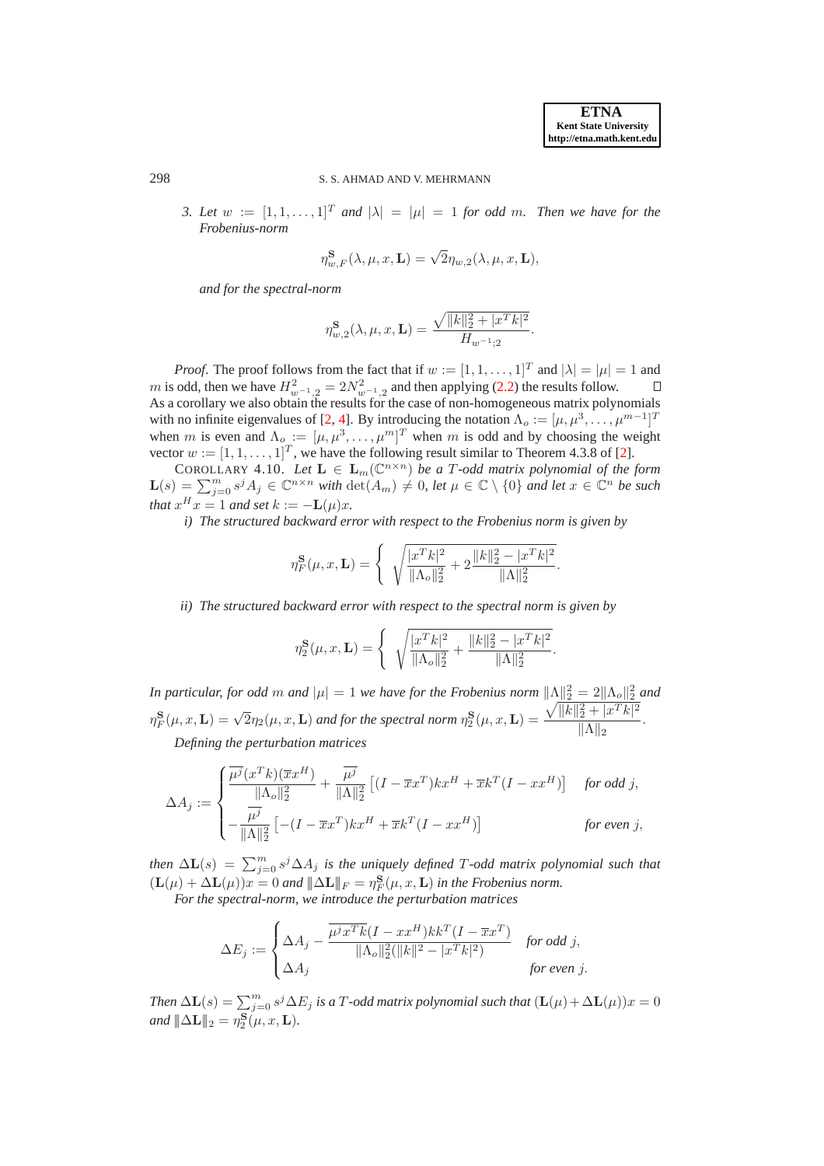298 S. S. AHMAD AND V. MEHRMANN

*3. Let*  $w := [1, 1, \ldots, 1]^T$  *and*  $|\lambda| = |\mu| = 1$  *for odd m. Then we have for the Frobenius-norm*

$$
\eta_{w,F}^{\mathbf{S}}(\lambda,\mu,x,\mathbf{L})=\sqrt{2}\eta_{w,2}(\lambda,\mu,x,\mathbf{L}),
$$

*and for the spectral-norm*

<span id="page-23-0"></span>
$$
\eta_{w,2}^{\mathbf{S}}(\lambda,\mu,x,\mathbf{L}) = \frac{\sqrt{\|k\|_2^2 + |x^T k|^2}}{H_{w^{-1};2}}.
$$

*Proof.* The proof follows from the fact that if  $w := [1, 1, \dots, 1]^T$  and  $|\lambda| = |\mu| = 1$  and m is odd, then we have  $H^2_{w^{-1},2} = 2N_{w^{-1},2}^2$  and then applying [\(2.2\)](#page-3-3) the results follow. As a corollary we also obtain the results for the case of non-homogeneous matrix polynomials with no infinite eigenvalues of [\[2,](#page-26-0) [4\]](#page-26-2). By introducing the notation  $\Lambda_o := [\mu, \mu^3, \dots, \mu^{m-1}]^T$ when m is even and  $\Lambda_o := [\mu, \mu^3, \dots, \mu^m]^T$  when m is odd and by choosing the weight vector  $w := [1, 1, \ldots, 1]^T$ , we have the following result similar to Theorem 4.3.8 of [\[2\]](#page-26-0).

COROLLARY 4.10. Let  $\mathbf{L} \in \mathbf{L}_m(\mathbb{C}^{n \times n})$  *be a T-odd matrix polynomial of the form*  $\mathbf{L}(s) = \sum_{j=0}^{m} s^{j} A_{j} \in \mathbb{C}^{n \times n}$  *with*  $\det(A_{m}) \neq 0$ , let  $\mu \in \mathbb{C} \setminus \{0\}$  *and let*  $x \in \mathbb{C}^{n}$  *be such that*  $x^H x = 1$  *and set*  $k := -L(\mu)x$ *.* 

*i) The structured backward error with respect to the Frobenius norm is given by*

$$
\eta_F^{\bf S}(\mu,x,{\bf L})=\left\{\begin{array}{c}\sqrt{\frac{|x^Tk|^2}{\|\Lambda_o\|_2^2}+2\frac{\|k\|_2^2-|x^Tk|^2}{\|\Lambda\|_2^2}}.\end{array}\right.
$$

*ii) The structured backward error with respect to the spectral norm is given by*

$$
\eta_2^{\mathbf{S}}(\mu, x, \mathbf{L}) = \begin{cases} \sqrt{\frac{|x^T k|^2}{\|\Lambda_o\|_2^2} + \frac{\|k\|_2^2 - |x^T k|^2}{\|\Lambda\|_2^2}}. \end{cases}
$$

*In particular, for odd m and*  $|\mu| = 1$  *we have for the Frobenius norm*  $\|\Lambda\|_2^2 = 2\|\Lambda_o\|_2^2$  *and*  $\eta_F^{\bf S}(\mu,x,{\bf L})=\sqrt{2}\eta_2(\mu,x,{\bf L})$  and for the spectral norm  $\eta_2^{\bf S}(\mu,x,{\bf L})=\frac{\sqrt{\|k\|_2^2+\|x^T k\|^2}}{\|{\bf A}\|_2}$  $\frac{2 + |\omega - \kappa|}{\|\Lambda\|_2}$ . *Defining the perturbation matrices*

$$
\Delta A_j := \begin{cases} \frac{\overline{\mu^j}(x^T k)(\overline{x} x^H)}{\|\Lambda_0\|_2^2} + \frac{\overline{\mu^j}}{\|\Lambda\|_2^2} \left[ (I - \overline{x} x^T) k x^H + \overline{x} k^T (I - x x^H) \right] & \text{for odd } j, \\ -\frac{\overline{\mu^j}}{\|\Lambda\|_2^2} \left[ -(I - \overline{x} x^T) k x^H + \overline{x} k^T (I - x x^H) \right] & \text{for even } j, \end{cases}
$$

*then*  $\Delta$ **L**(s) =  $\sum_{j=0}^{m} s^{j} \Delta A_{j}$  *is the uniquely defined* T-odd matrix polynomial such that  $(\mathbf{L}(\mu) + \Delta \mathbf{L}(\mu))x = 0$  and  $\|\Delta \mathbf{L}\|_F = \eta_F^{\mathbf{S}}(\mu, x, \mathbf{L})$  in the Frobenius norm.

*For the spectral-norm, we introduce the perturbation matrices*

$$
\Delta E_j := \begin{cases} \Delta A_j - \frac{\overline{\mu^j x^T k} (I - x x^H) k k^T (I - \overline{x} x^T)}{\|\Lambda_o\|_2^2 (\|k\|^2 - |x^T k|^2)} & \text{for odd } j, \\ \Delta A_j & \text{for even } j. \end{cases}
$$

*Then*  $\Delta$ **L**(s) =  $\sum_{j=0}^{m} s^{j} \Delta E_{j}$  *is a*  $T$ *-odd matrix polynomial such that*  $(L(\mu) + \Delta$ **L** $(\mu))x = 0$ *and*  $\|\Delta \mathbf{L}\|_2 = \eta_2^{\mathbf{S}}(\mu, x, \mathbf{L}).$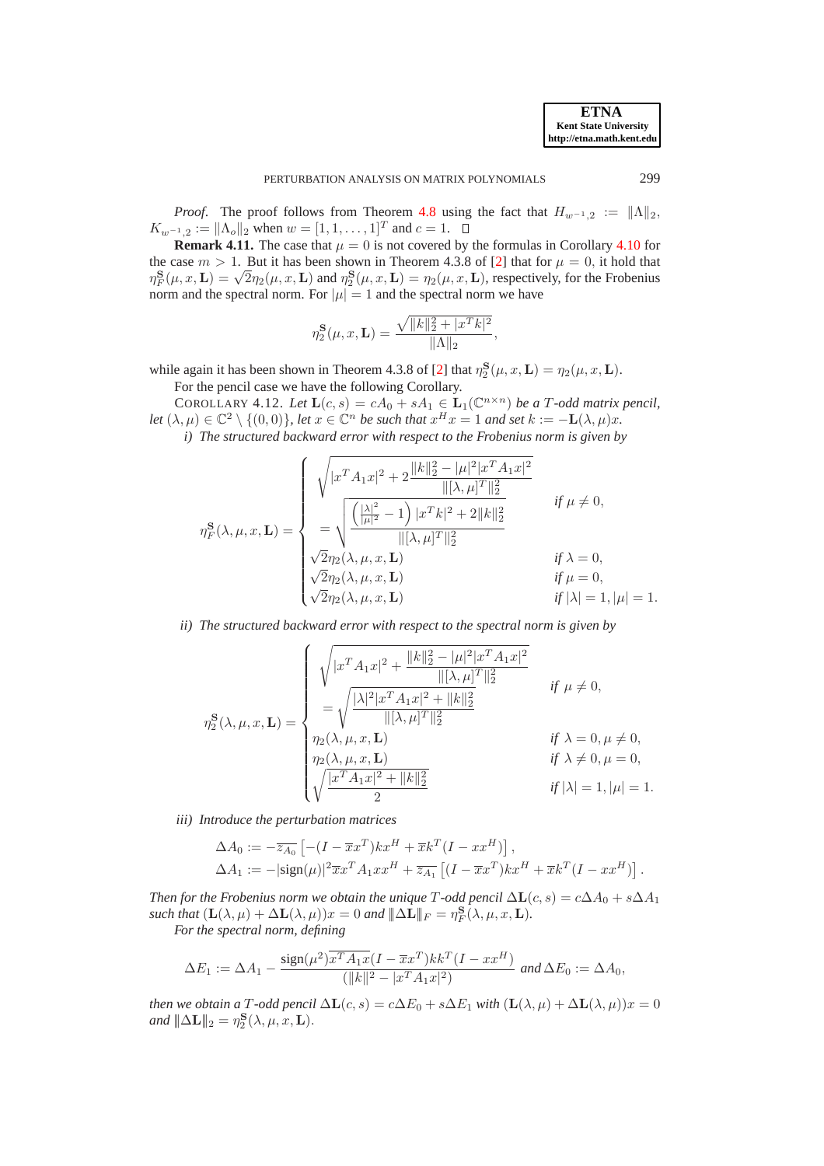*Proof.* The proof follows from Theorem [4.8](#page-21-1) using the fact that  $H_{w^{-1},2} := ||\Lambda||_2$ ,  $K_{w^{-1},2} := ||\Lambda_o||_2$  when  $w = [1, 1, \ldots, 1]^T$  and  $c = 1$ .

**Remark 4.11.** The case that  $\mu = 0$  is not covered by the formulas in Corollary [4.10](#page-23-0) for the case  $m > 1$ . But it has been shown in Theorem 4.3.8 of [\[2\]](#page-26-0) that for  $\mu = 0$ , it hold that  $\eta_F^{\rm E}(\mu, x, L) = \sqrt{2}\eta_2(\mu, x, L)$  and  $\eta_2^{\rm S}(\mu, x, L) = \eta_2(\mu, x, L)$ , respectively, for the Frobenius norm and the spectral norm. For  $|\mu| = 1$  and the spectral norm we have

<span id="page-24-0"></span>
$$
\eta_2^{\mathbf{S}}(\mu, x, \mathbf{L}) = \frac{\sqrt{\|k\|_2^2 + |x^T k|^2}}{\|\Lambda\|_2},
$$

while again it has been shown in Theorem 4.3.8 of [\[2\]](#page-26-0) that  $\eta_2^{\mathbf{S}}(\mu, x, \mathbf{L}) = \eta_2(\mu, x, \mathbf{L})$ . For the pencil case we have the following Corollary.

COROLLARY 4.12. Let  $\mathbf{L}(c, s) = cA_0 + sA_1 \in \mathbf{L}_1(\mathbb{C}^{n \times n})$  *be a T-odd matrix pencil, let*  $(\lambda, \mu) \in \mathbb{C}^2 \setminus \{(0, 0)\}\)$ , *let*  $x \in \mathbb{C}^n$  *be such that*  $x^H x = 1$  *and set*  $k := -L(\lambda, \mu)x$ .

*i) The structured backward error with respect to the Frobenius norm is given by*

$$
\eta_F^{\mathbf{S}}(\lambda, \mu, x, \mathbf{L}) = \begin{cases} \sqrt{|x^T A_1 x|^2 + 2 \frac{\|k\|_2^2 - |\mu|^2 |x^T A_1 x|^2}{\|[{\lambda}, \mu]^T\|_2^2}} & \text{if } \mu \neq 0, \\ -\sqrt{\frac{(\frac{|{\lambda}|^2}{|\mu|^2} - 1) |x^T k|^2 + 2\|k\|_2^2}{\|[{\lambda}, \mu]^T\|_2^2}} & \text{if } \mu \neq 0, \\ \sqrt{2} \eta_2(\lambda, \mu, x, \mathbf{L}) & \text{if } \lambda = 0, \\ \sqrt{2} \eta_2(\lambda, \mu, x, \mathbf{L}) & \text{if } \mu = 0, \\ \sqrt{2} \eta_2(\lambda, \mu, x, \mathbf{L}) & \text{if } |\lambda| = 1, |\mu| = 1. \end{cases}
$$

*ii) The structured backward error with respect to the spectral norm is given by*

$$
\eta_2^{\mathbf{S}}(\lambda, \mu, x, \mathbf{L}) = \begin{cases}\n\sqrt{|x^T A_1 x|^2 + \frac{||k||_2^2 - |\mu|^2 |x^T A_1 x|^2}{||[\lambda, \mu]^T||_2^2}} & \text{if } \mu \neq 0, \\
= \sqrt{\frac{|\lambda|^2 |x^T A_1 x|^2 + ||k||_2^2}{||[\lambda, \mu]^T||_2^2}} & \text{if } \mu \neq 0, \\
\eta_2(\lambda, \mu, x, \mathbf{L}) & \text{if } \lambda = 0, \mu \neq 0, \\
\eta_2(\lambda, \mu, x, \mathbf{L}) & \text{if } \lambda \neq 0, \mu = 0, \\
\sqrt{\frac{|x^T A_1 x|^2 + ||k||_2^2}{2}} & \text{if } |\lambda| = 1, |\mu| = 1.\n\end{cases}
$$

*iii) Introduce the perturbation matrices*

$$
\Delta A_0 := -\overline{z_{A_0}} \left[ -(I - \overline{x}x^T)kx^H + \overline{x}k^T(I - xx^H) \right],
$$
  
\n
$$
\Delta A_1 := -|\text{sign}(\mu)|^2 \overline{x}x^T A_1 xx^H + \overline{z_{A_1}} \left[ (I - \overline{x}x^T)kx^H + \overline{x}k^T(I - xx^H) \right].
$$

*Then for the Frobenius norm we obtain the unique T*-odd pencil  $\Delta L(c,s) = c\Delta A_0 + s\Delta A_1$ *such that*  $(\mathbf{L}(\lambda,\mu) + \Delta \mathbf{L}(\lambda,\mu))x = 0$  *and*  $\|\Delta \mathbf{L}\|_F = \eta_F^{\mathbf{S}}(\lambda,\mu,x,\mathbf{L})$ .

*For the spectral norm, defining*

$$
\Delta E_1 := \Delta A_1 - \frac{\text{sign}(\mu^2) \overline{x^T A_1 x} (I - \overline{x} x^T) k k^T (I - x x^H)}{(\|k\|^2 - |x^T A_1 x|^2)} \text{ and } \Delta E_0 := \Delta A_0,
$$

*then we obtain a* T-odd pencil  $\Delta L(c, s) = c\Delta E_0 + s\Delta E_1$  *with*  $(L(\lambda, \mu) + \Delta L(\lambda, \mu))x = 0$ *and*  $\|\Delta \mathbf{L}\|_2 = \eta_2^{\mathbf{S}}(\lambda, \mu, x, \mathbf{L}).$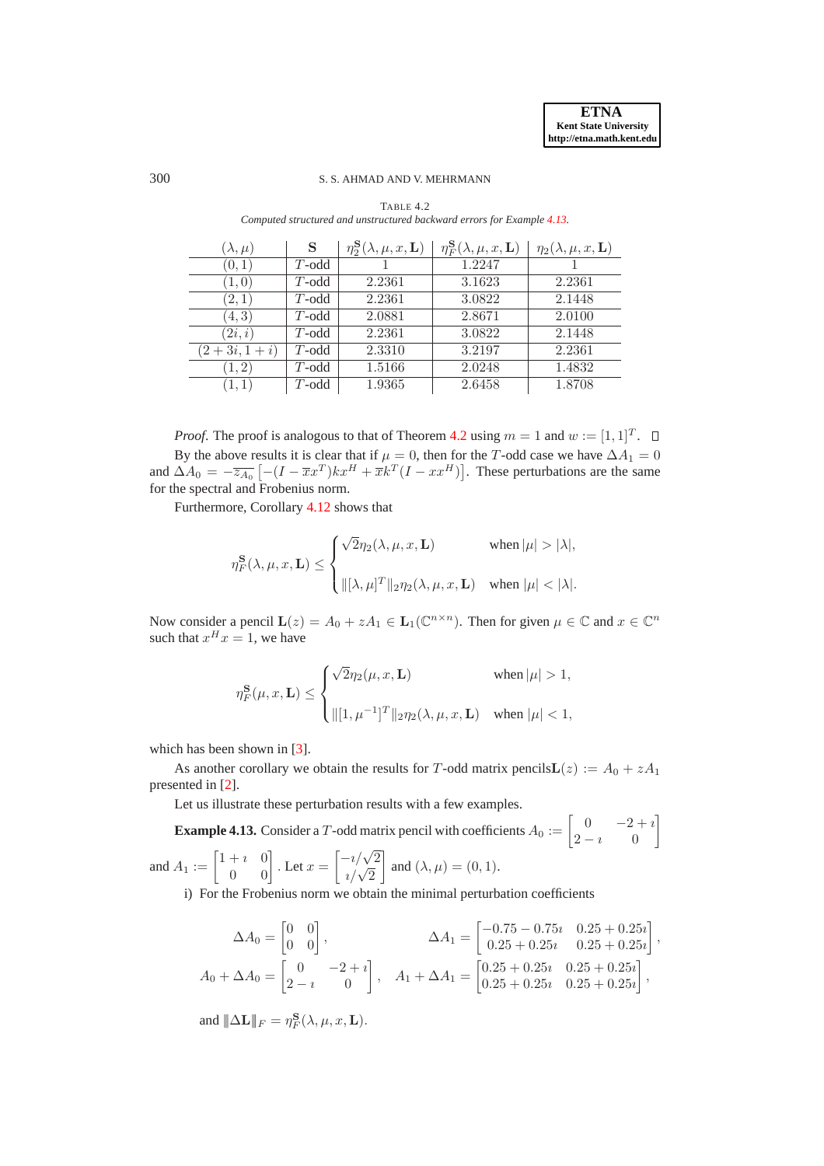# 300 S. S. AHMAD AND V. MEHRMANN

| $(\lambda,\mu)$ | S        | $\eta_2^{\mathbf{S}}(\lambda,\mu,x,\mathbf{L})$ | $\eta_F^{\mathbf{S}}(\lambda,\mu,x,\mathbf{L})$ | $\eta_2(\lambda,\mu,x,\mathbf{L})$ |
|-----------------|----------|-------------------------------------------------|-------------------------------------------------|------------------------------------|
| (0,1)           | $T$ -odd |                                                 | 1.2247                                          |                                    |
| (1,0)           | $T$ -odd | 2.2361                                          | 3.1623                                          | 2.2361                             |
| (2,1)           | $T$ -odd | 2.2361                                          | 3.0822                                          | 2.1448                             |
| (4, 3)          | $T$ -odd | 2.0881                                          | 2.8671                                          | 2.0100                             |
| (2i, i)         | $T$ -odd | 2.2361                                          | 3.0822                                          | 2.1448                             |
| $(2+3i,1+i)$    | $T$ -odd | 2.3310                                          | 3.2197                                          | 2.2361                             |
| (1, 2)          | $T$ -odd | 1.5166                                          | 2.0248                                          | 1.4832                             |
| (1,1)           | $T$ -odd | 1.9365                                          | 2.6458                                          | 1.8708                             |

<span id="page-25-1"></span>TABLE 4.2 *Computed structured and unstructured backward errors for Example [4.13.](#page-25-0)*

*Proof.* The proof is analogous to that of Theorem [4.2](#page-15-0) using  $m = 1$  and  $w := [1, 1]^T$ . By the above results it is clear that if  $\mu = 0$ , then for the T-odd case we have  $\Delta A_1 = 0$ and  $\Delta A_0 = -\overline{z_{A_0}} \left[ -(I - \overline{x} x^T) k x^H + \overline{x} k^T (I - x x^H) \right]$ . These perturbations are the same for the spectral and Frobenius norm.

Furthermore, Corollary [4.12](#page-24-0) shows that

$$
\eta^{\mathbf{S}}_F(\lambda,\mu,x,\mathbf{L}) \leq \begin{cases} \sqrt{2}\eta_2(\lambda,\mu,x,\mathbf{L}) & \quad \text{when }|\mu| > |\lambda|, \\ \\ \|[\lambda,\mu]^T\|_2\eta_2(\lambda,\mu,x,\mathbf{L}) & \quad \text{when }|\mu| < |\lambda|. \end{cases}
$$

Now consider a pencil  $\mathbf{L}(z) = A_0 + zA_1 \in \mathbf{L}_1(\mathbb{C}^{n \times n})$ . Then for given  $\mu \in \mathbb{C}$  and  $x \in \mathbb{C}^n$ such that  $x^H x = 1$ , we have

<span id="page-25-0"></span>
$$
\eta^{\mathbf{S}}_F(\mu,x,\mathbf{L}) \leq \begin{cases} \sqrt{2}\eta_2(\mu,x,\mathbf{L}) & \quad \text{when }|\mu|>1, \\ \\ \||[\mathbf{1},\mu^{-1}]^T\|_2\eta_2(\lambda,\mu,x,\mathbf{L}) & \quad \text{when }|\mu|<1, \end{cases}
$$

which has been shown in [\[3\]](#page-26-1).

As another corollary we obtain the results for T-odd matrix pencils  $\mathbf{L}(z) := A_0 + zA_1$ presented in [\[2\]](#page-26-0).

Let us illustrate these perturbation results with a few examples.

**Example 4.13.** Consider a T-odd matrix pencil with coefficients  $A_0 := \begin{bmatrix} 0 & -2+i \\ 2-i & 0 \end{bmatrix}$  $2-i$  0 ¸ and  $A_1 := \begin{bmatrix} 1+i & 0 \\ 0 & 0 \end{bmatrix}$ . Let  $x =$  $\begin{bmatrix} -i/\sqrt{2} \\ i/\sqrt{2} \end{bmatrix}$ ¸ and  $(\lambda, \mu) = (0, 1)$ .

i) For the Frobenius norm we obtain the minimal perturbation coefficients

$$
\Delta A_0 = \begin{bmatrix} 0 & 0 \\ 0 & 0 \end{bmatrix}, \qquad \Delta A_1 = \begin{bmatrix} -0.75 - 0.75i & 0.25 + 0.25i \\ 0.25 + 0.25i & 0.25 + 0.25i \end{bmatrix},
$$
  
\n
$$
A_0 + \Delta A_0 = \begin{bmatrix} 0 & -2 + i \\ 2 - i & 0 \end{bmatrix}, \quad A_1 + \Delta A_1 = \begin{bmatrix} 0.25 + 0.25i & 0.25 + 0.25i \\ 0.25 + 0.25i & 0.25 + 0.25i \end{bmatrix},
$$

and  $\|\Delta \mathbf{L}\|_F = \eta_F^{\mathbf{S}}(\lambda, \mu, x, \mathbf{L}).$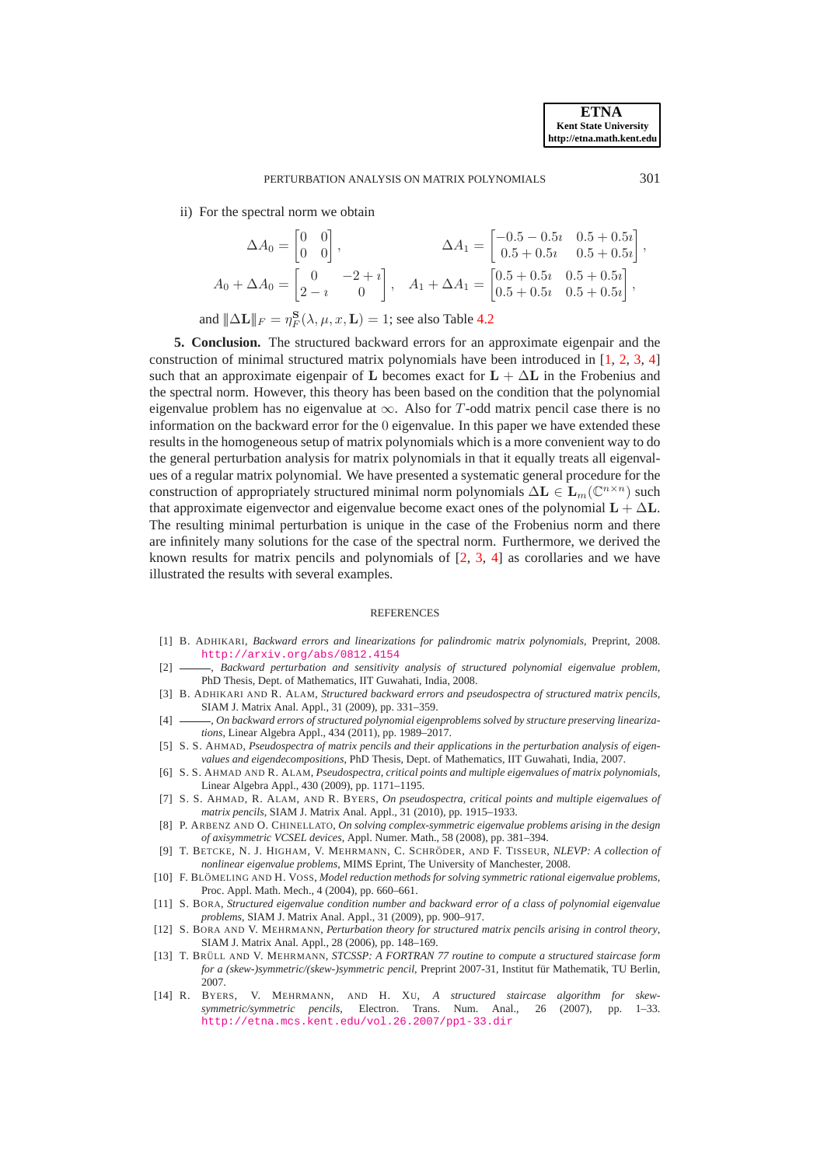ii) For the spectral norm we obtain

$$
\Delta A_0 = \begin{bmatrix} 0 & 0 \\ 0 & 0 \end{bmatrix}, \qquad \Delta A_1 = \begin{bmatrix} -0.5 - 0.5i & 0.5 + 0.5i \\ 0.5 + 0.5i & 0.5 + 0.5i \end{bmatrix},
$$
  
\n
$$
A_0 + \Delta A_0 = \begin{bmatrix} 0 & -2 + i \\ 2 - i & 0 \end{bmatrix}, \quad A_1 + \Delta A_1 = \begin{bmatrix} 0.5 + 0.5i & 0.5 + 0.5i \\ 0.5 + 0.5i & 0.5 + 0.5i \end{bmatrix},
$$

and  $\|\Delta \mathbf{L}\|_F = \eta_F^{\mathbf{S}}(\lambda, \mu, x, \mathbf{L}) = 1$ ; see also Table [4.2](#page-25-1)

**5. Conclusion.** The structured backward errors for an approximate eigenpair and the construction of minimal structured matrix polynomials have been introduced in [\[1,](#page-26-7) [2,](#page-26-0) [3,](#page-26-1) [4\]](#page-26-2) such that an approximate eigenpair of L becomes exact for  $L + \Delta L$  in the Frobenius and the spectral norm. However, this theory has been based on the condition that the polynomial eigenvalue problem has no eigenvalue at  $\infty$ . Also for T-odd matrix pencil case there is no information on the backward error for the 0 eigenvalue. In this paper we have extended these results in the homogeneous setup of matrix polynomials which is a more convenient way to do the general perturbation analysis for matrix polynomials in that it equally treats all eigenvalues of a regular matrix polynomial. We have presented a systematic general procedure for the construction of appropriately structured minimal norm polynomials  $\Delta L \in L_m(\mathbb{C}^{n \times n})$  such that approximate eigenvector and eigenvalue become exact ones of the polynomial  $L + \Delta L$ . The resulting minimal perturbation is unique in the case of the Frobenius norm and there are infinitely many solutions for the case of the spectral norm. Furthermore, we derived the known results for matrix pencils and polynomials of [\[2,](#page-26-0) [3,](#page-26-1) [4\]](#page-26-2) as corollaries and we have illustrated the results with several examples.

#### REFERENCES

- <span id="page-26-7"></span>[1] B. ADHIKARI, *Backward errors and linearizations for palindromic matrix polynomials*, Preprint, 2008. <http://arxiv.org/abs/0812.4154>
- <span id="page-26-0"></span>[2] , *Backward perturbation and sensitivity analysis of structured polynomial eigenvalue problem*, PhD Thesis, Dept. of Mathematics, IIT Guwahati, India, 2008.
- <span id="page-26-1"></span>[3] B. ADHIKARI AND R. ALAM, *Structured backward errors and pseudospectra of structured matrix pencils*, SIAM J. Matrix Anal. Appl., 31 (2009), pp. 331–359.
- <span id="page-26-2"></span>[4] , *On backward errors of structured polynomial eigenproblems solved by structure preserving linearizations*, Linear Algebra Appl., 434 (2011), pp. 1989–2017.
- <span id="page-26-12"></span>[5] S. S. AHMAD, *Pseudospectra of matrix pencils and their applications in the perturbation analysis of eigenvalues and eigendecompositions*, PhD Thesis, Dept. of Mathematics, IIT Guwahati, India, 2007.
- <span id="page-26-8"></span>[6] S. S. AHMAD AND R. ALAM, *Pseudospectra, critical points and multiple eigenvalues of matrix polynomials*, Linear Algebra Appl., 430 (2009), pp. 1171–1195.
- <span id="page-26-13"></span>[7] S. S. AHMAD, R. ALAM, AND R. BYERS, *On pseudospectra, critical points and multiple eigenvalues of matrix pencils*, SIAM J. Matrix Anal. Appl., 31 (2010), pp. 1915–1933.
- <span id="page-26-9"></span>[8] P. ARBENZ AND O. CHINELLATO, *On solving complex-symmetric eigenvalue problems arising in the design of axisymmetric VCSEL devices*, Appl. Numer. Math., 58 (2008), pp. 381–394.
- <span id="page-26-3"></span>[9] T. BETCKE, N. J. HIGHAM, V. MEHRMANN, C. SCHRÖDER, AND F. TISSEUR, *NLEVP: A collection of nonlinear eigenvalue problems*, MIMS Eprint, The University of Manchester, 2008.
- <span id="page-26-6"></span>[10] F. BLÖMELING AND H. VOSS, *Model reduction methods for solving symmetric rational eigenvalue problems*, Proc. Appl. Math. Mech., 4 (2004), pp. 660–661.
- <span id="page-26-4"></span>[11] S. BORA, *Structured eigenvalue condition number and backward error of a class of polynomial eigenvalue problems*, SIAM J. Matrix Anal. Appl., 31 (2009), pp. 900–917.
- <span id="page-26-5"></span>[12] S. BORA AND V. MEHRMANN, *Perturbation theory for structured matrix pencils arising in control theory*, SIAM J. Matrix Anal. Appl., 28 (2006), pp. 148–169.
- <span id="page-26-10"></span>[13] T. BRÜLL AND V. MEHRMANN, *STCSSP: A FORTRAN 77 routine to compute a structured staircase form for a (skew-)symmetric/(skew-)symmetric pencil*, Preprint 2007-31, Institut für Mathematik, TU Berlin, 2007.
- <span id="page-26-11"></span>[14] R. BYERS, V. MEHRMANN, AND H. XU, *A structured staircase algorithm for skewsymmetric/symmetric pencils*, Electron. Trans. Num. Anal., 26 (2007), pp. 1–33. <http://etna.mcs.kent.edu/vol.26.2007/pp1-33.dir>